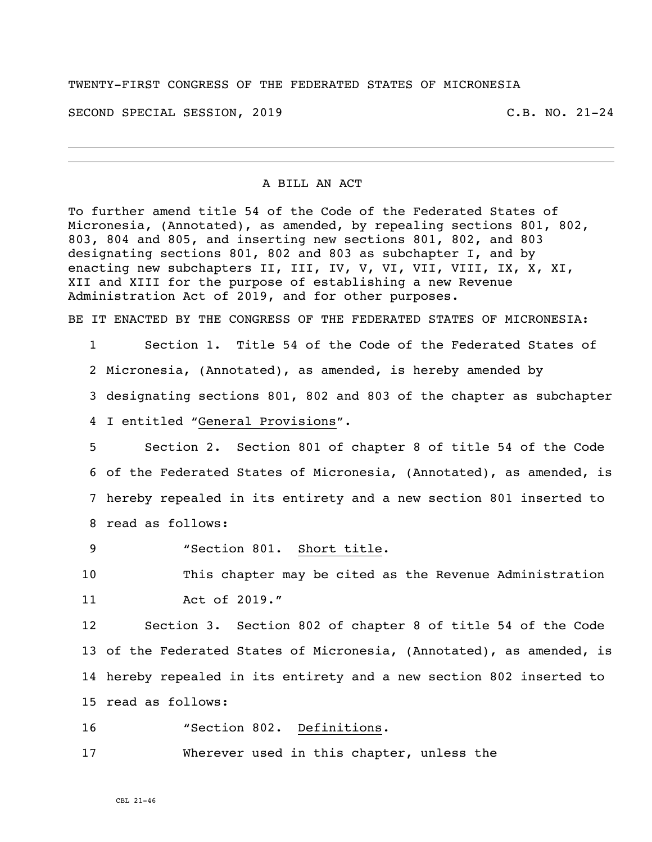TWENTY-FIRST CONGRESS OF THE FEDERATED STATES OF MICRONESIA

SECOND SPECIAL SESSION, 2019 C.B. NO. 21-24

## A BILL AN ACT

To further amend title 54 of the Code of the Federated States of Micronesia, (Annotated), as amended, by repealing sections 801, 802, 803, 804 and 805, and inserting new sections 801, 802, and 803 designating sections 801, 802 and 803 as subchapter I, and by enacting new subchapters II, III, IV, V, VI, VII, VIII, IX, X, XI, XII and XIII for the purpose of establishing a new Revenue Administration Act of 2019, and for other purposes.

BE IT ENACTED BY THE CONGRESS OF THE FEDERATED STATES OF MICRONESIA:

 Section 1. Title 54 of the Code of the Federated States of Micronesia, (Annotated), as amended, is hereby amended by designating sections 801, 802 and 803 of the chapter as subchapter I entitled "General Provisions".

 Section 2. Section 801 of chapter 8 of title 54 of the Code of the Federated States of Micronesia, (Annotated), as amended, is hereby repealed in its entirety and a new section 801 inserted to read as follows:

9 "Section 801. Short title.

10 This chapter may be cited as the Revenue Administration 11 Act of 2019."

 Section 3. Section 802 of chapter 8 of title 54 of the Code of the Federated States of Micronesia, (Annotated), as amended, is hereby repealed in its entirety and a new section 802 inserted to read as follows:

16 "Section 802. Definitions.

17 Wherever used in this chapter, unless the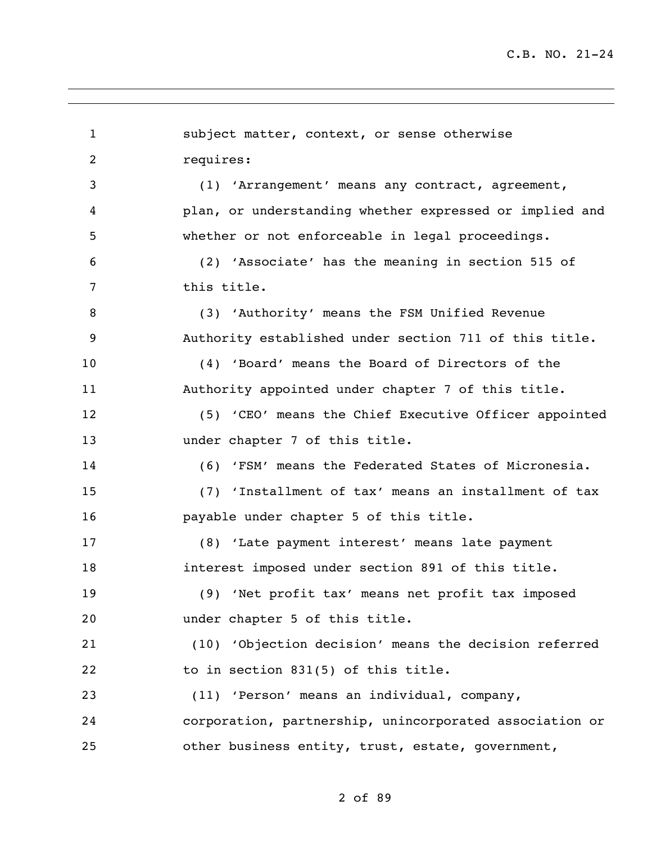subject matter, context, or sense otherwise requires: (1) 'Arrangement' means any contract, agreement, plan, or understanding whether expressed or implied and whether or not enforceable in legal proceedings. (2) 'Associate' has the meaning in section 515 of this title. (3) 'Authority' means the FSM Unified Revenue Authority established under section 711 of this title. (4) 'Board' means the Board of Directors of the Authority appointed under chapter 7 of this title. (5) 'CEO' means the Chief Executive Officer appointed 13 under chapter 7 of this title. (6) 'FSM' means the Federated States of Micronesia. (7) 'Installment of tax' means an installment of tax payable under chapter 5 of this title. (8) 'Late payment interest' means late payment interest imposed under section 891 of this title. (9) 'Net profit tax' means net profit tax imposed under chapter 5 of this title. (10) 'Objection decision' means the decision referred 22 to in section 831(5) of this title. (11) 'Person' means an individual, company, corporation, partnership, unincorporated association or other business entity, trust, estate, government,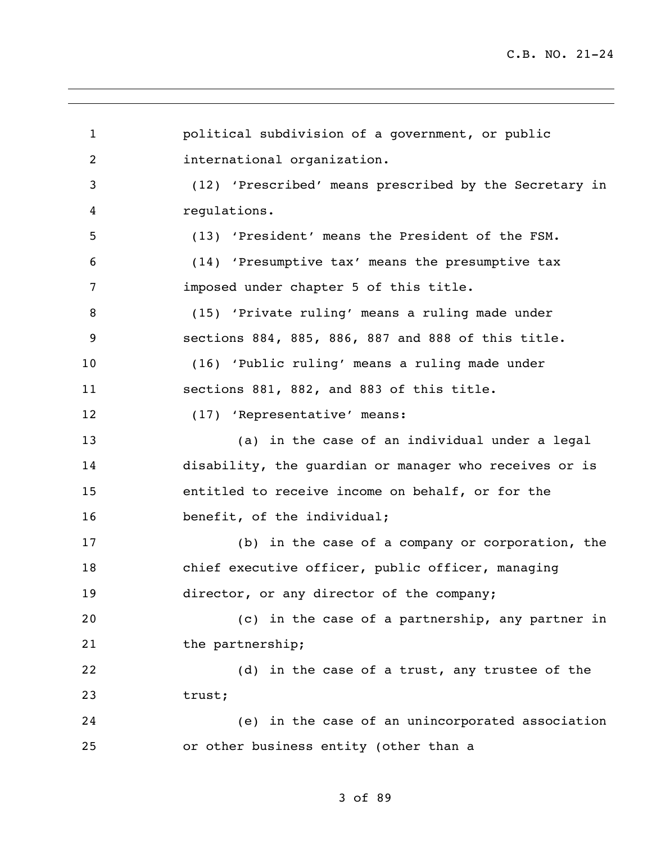political subdivision of a government, or public international organization. (12) 'Prescribed' means prescribed by the Secretary in regulations. (13) 'President' means the President of the FSM. (14) 'Presumptive tax' means the presumptive tax imposed under chapter 5 of this title. (15) 'Private ruling' means a ruling made under sections 884, 885, 886, 887 and 888 of this title. (16) 'Public ruling' means a ruling made under sections 881, 882, and 883 of this title. 12 (17) 'Representative' means: (a) in the case of an individual under a legal disability, the guardian or manager who receives or is entitled to receive income on behalf, or for the 16 benefit, of the individual; (b) in the case of a company or corporation, the chief executive officer, public officer, managing 19 director, or any director of the company; (c) in the case of a partnership, any partner in 21 the partnership; (d) in the case of a trust, any trustee of the trust; (e) in the case of an unincorporated association or other business entity (other than a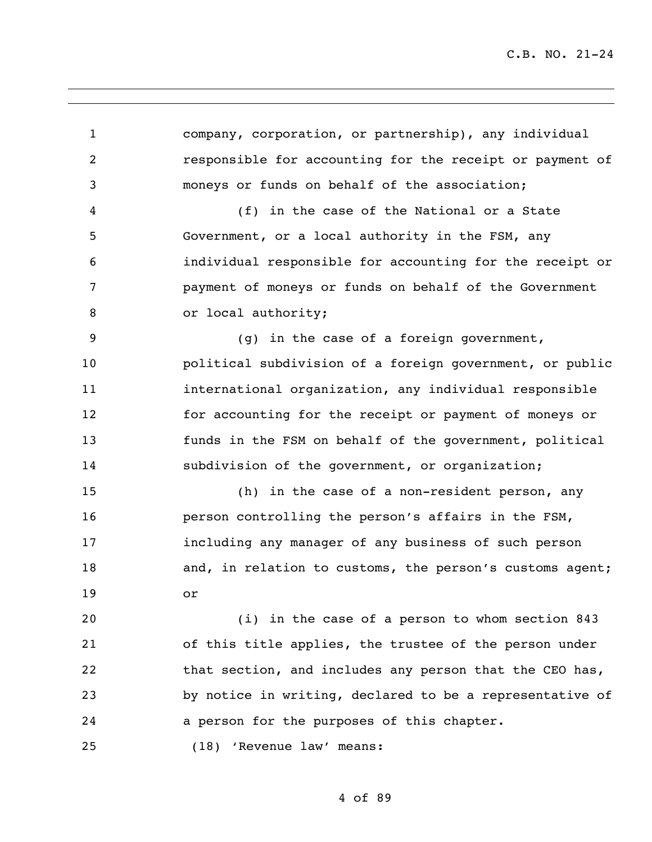| $\mathbf{1}$   | company, corporation, or partnership), any individual    |
|----------------|----------------------------------------------------------|
| $\overline{2}$ | responsible for accounting for the receipt or payment of |
| 3              | moneys or funds on behalf of the association;            |
| 4              | (f) in the case of the National or a State               |
| 5              | Government, or a local authority in the FSM, any         |
| 6              | individual responsible for accounting for the receipt or |
| 7              | payment of moneys or funds on behalf of the Government   |
| 8              | or local authority;                                      |
| 9              | (g) in the case of a foreign government,                 |
| 10             | political subdivision of a foreign government, or public |
| 11             | international organization, any individual responsible   |
| 12             | for accounting for the receipt or payment of moneys or   |
| 13             | funds in the FSM on behalf of the government, political  |
| 14             | subdivision of the government, or organization;          |
| 15             | (h) in the case of a non-resident person, any            |
| 16             | person controlling the person's affairs in the FSM,      |
| 17             | including any manager of any business of such person     |
| 18             | and, in relation to customs, the person's customs agent; |
| 19             | or                                                       |
| 20             | (i) in the case of a person to whom section 843          |
| 21             | of this title applies, the trustee of the person under   |
| 22             | that section, and includes any person that the CEO has,  |
| 23             | by notice in writing, declared to be a representative of |
| 24             | a person for the purposes of this chapter.               |
| 25             | (18) 'Revenue law' means:                                |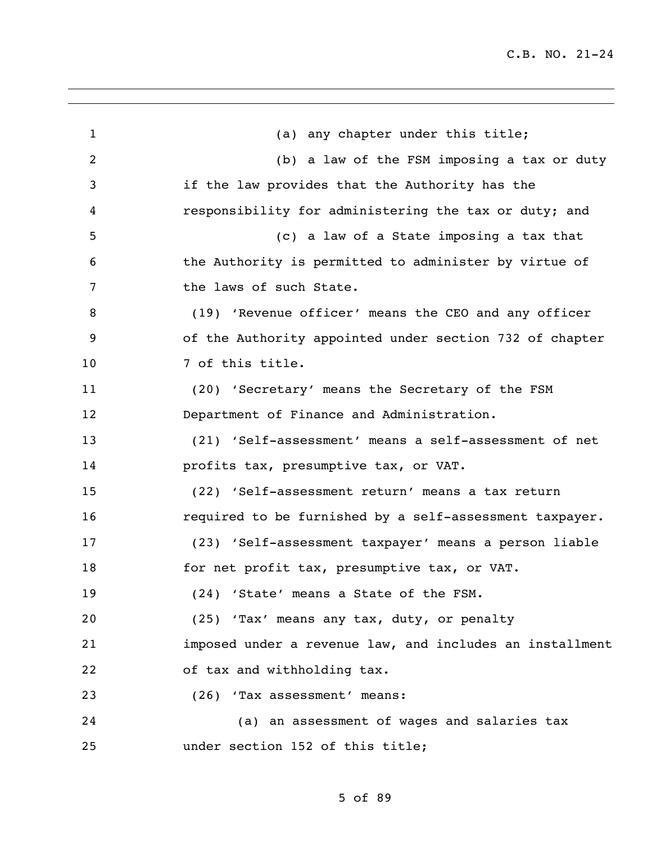1 (a) any chapter under this title; (b) a law of the FSM imposing a tax or duty if the law provides that the Authority has the responsibility for administering the tax or duty; and (c) a law of a State imposing a tax that the Authority is permitted to administer by virtue of 7 the laws of such State. (19) 'Revenue officer' means the CEO and any officer of the Authority appointed under section 732 of chapter 10 7 of this title. (20) 'Secretary' means the Secretary of the FSM Department of Finance and Administration. (21) 'Self-assessment' means a self-assessment of net profits tax, presumptive tax, or VAT. (22) 'Self-assessment return' means a tax return required to be furnished by a self-assessment taxpayer. (23) 'Self-assessment taxpayer' means a person liable for net profit tax, presumptive tax, or VAT. (24) 'State' means a State of the FSM. (25) 'Tax' means any tax, duty, or penalty imposed under a revenue law, and includes an installment of tax and withholding tax. (26) 'Tax assessment' means: (a) an assessment of wages and salaries tax under section 152 of this title;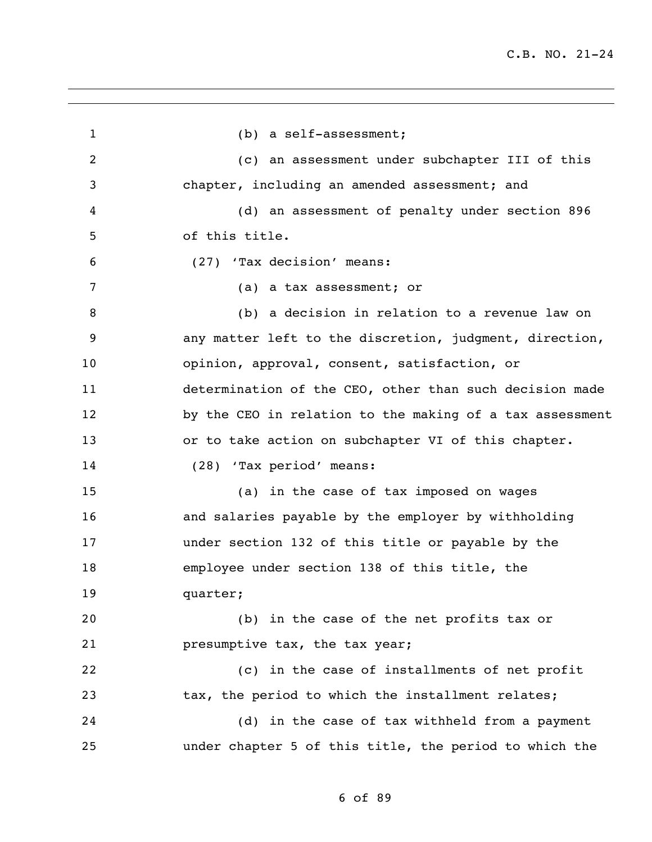(b) a self-assessment; (c) an assessment under subchapter III of this chapter, including an amended assessment; and (d) an assessment of penalty under section 896 of this title. (27) 'Tax decision' means: (a) a tax assessment; or (b) a decision in relation to a revenue law on any matter left to the discretion, judgment, direction, opinion, approval, consent, satisfaction, or determination of the CEO, other than such decision made by the CEO in relation to the making of a tax assessment or to take action on subchapter VI of this chapter. (28) 'Tax period' means: (a) in the case of tax imposed on wages and salaries payable by the employer by withholding under section 132 of this title or payable by the employee under section 138 of this title, the quarter; (b) in the case of the net profits tax or presumptive tax, the tax year; (c) in the case of installments of net profit 23 tax, the period to which the installment relates; (d) in the case of tax withheld from a payment under chapter 5 of this title, the period to which the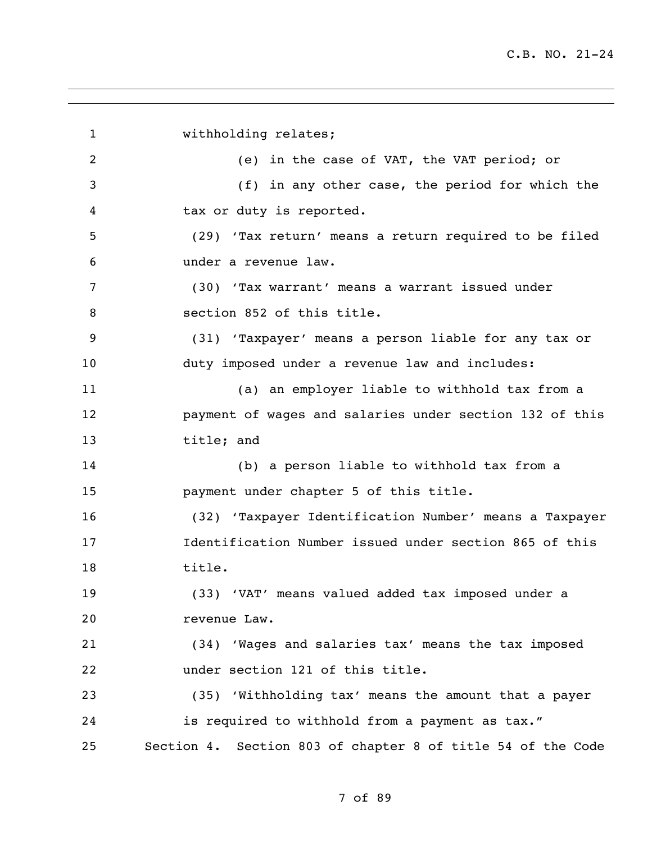1 withholding relates; (e) in the case of VAT, the VAT period; or (f) in any other case, the period for which the tax or duty is reported. (29) 'Tax return' means a return required to be filed under a revenue law. (30) 'Tax warrant' means a warrant issued under section 852 of this title. (31) 'Taxpayer' means a person liable for any tax or duty imposed under a revenue law and includes: (a) an employer liable to withhold tax from a payment of wages and salaries under section 132 of this title; and (b) a person liable to withhold tax from a payment under chapter 5 of this title. (32) 'Taxpayer Identification Number' means a Taxpayer Identification Number issued under section 865 of this title. (33) 'VAT' means valued added tax imposed under a revenue Law. (34) 'Wages and salaries tax' means the tax imposed under section 121 of this title. (35) 'Withholding tax' means the amount that a payer is required to withhold from a payment as tax." Section 4. Section 803 of chapter 8 of title 54 of the Code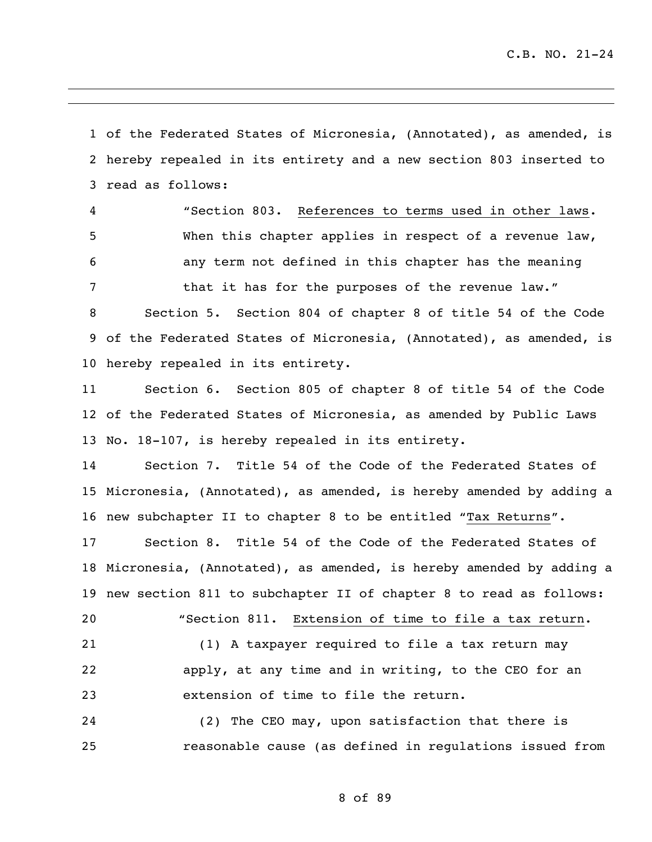of the Federated States of Micronesia, (Annotated), as amended, is hereby repealed in its entirety and a new section 803 inserted to read as follows:

 "Section 803. References to terms used in other laws. When this chapter applies in respect of a revenue law, any term not defined in this chapter has the meaning 7 that it has for the purposes of the revenue law."

 Section 5. Section 804 of chapter 8 of title 54 of the Code of the Federated States of Micronesia, (Annotated), as amended, is hereby repealed in its entirety.

 Section 6. Section 805 of chapter 8 of title 54 of the Code of the Federated States of Micronesia, as amended by Public Laws No. 18-107, is hereby repealed in its entirety.

 Section 7. Title 54 of the Code of the Federated States of Micronesia, (Annotated), as amended, is hereby amended by adding a new subchapter II to chapter 8 to be entitled "Tax Returns".

 Section 8. Title 54 of the Code of the Federated States of Micronesia, (Annotated), as amended, is hereby amended by adding a new section 811 to subchapter II of chapter 8 to read as follows:

 "Section 811. Extension of time to file a tax return. (1) A taxpayer required to file a tax return may apply, at any time and in writing, to the CEO for an extension of time to file the return.

 (2) The CEO may, upon satisfaction that there is reasonable cause (as defined in regulations issued from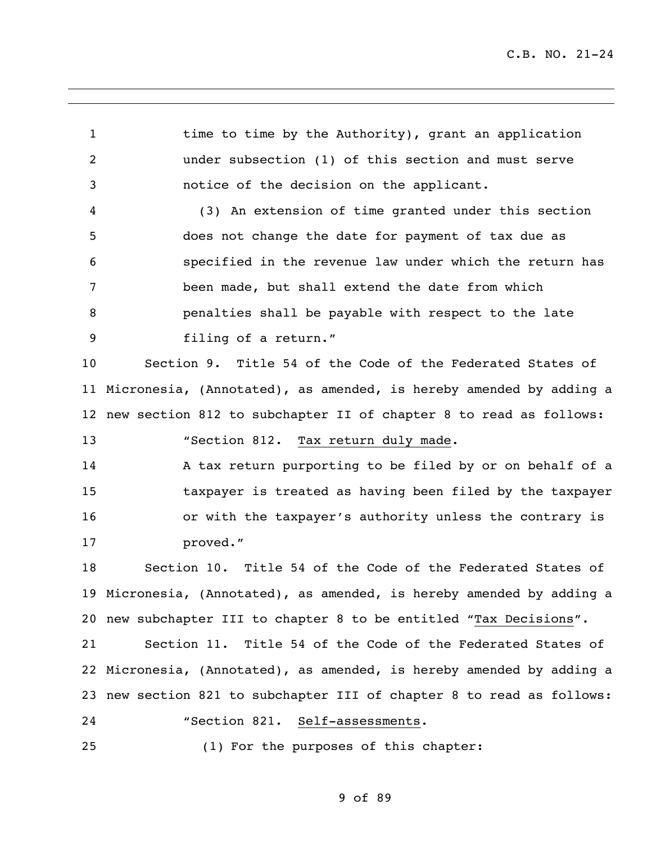1 time to time by the Authority), grant an application under subsection (1) of this section and must serve notice of the decision on the applicant. (3) An extension of time granted under this section does not change the date for payment of tax due as specified in the revenue law under which the return has been made, but shall extend the date from which penalties shall be payable with respect to the late filing of a return."

 Section 9. Title 54 of the Code of the Federated States of Micronesia, (Annotated), as amended, is hereby amended by adding a new section 812 to subchapter II of chapter 8 to read as follows:

13 "Section 812. Tax return duly made.

 A tax return purporting to be filed by or on behalf of a taxpayer is treated as having been filed by the taxpayer or with the taxpayer's authority unless the contrary is proved."

 Section 10. Title 54 of the Code of the Federated States of Micronesia, (Annotated), as amended, is hereby amended by adding a new subchapter III to chapter 8 to be entitled "Tax Decisions".

 Section 11. Title 54 of the Code of the Federated States of Micronesia, (Annotated), as amended, is hereby amended by adding a new section 821 to subchapter III of chapter 8 to read as follows: "Section 821. Self-assessments.

(1) For the purposes of this chapter: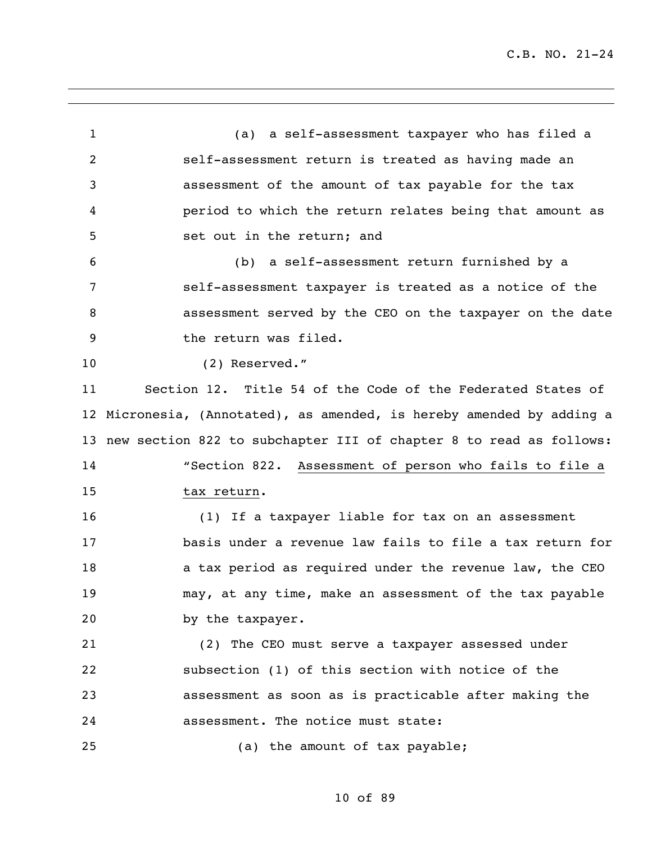(a) a self-assessment taxpayer who has filed a self-assessment return is treated as having made an assessment of the amount of tax payable for the tax period to which the return relates being that amount as set out in the return; and (b) a self-assessment return furnished by a self-assessment taxpayer is treated as a notice of the assessment served by the CEO on the taxpayer on the date the return was filed. (2) Reserved." Section 12. Title 54 of the Code of the Federated States of Micronesia, (Annotated), as amended, is hereby amended by adding a new section 822 to subchapter III of chapter 8 to read as follows: "Section 822. Assessment of person who fails to file a tax return. (1) If a taxpayer liable for tax on an assessment basis under a revenue law fails to file a tax return for 18 a tax period as required under the revenue law, the CEO may, at any time, make an assessment of the tax payable by the taxpayer. (2) The CEO must serve a taxpayer assessed under subsection (1) of this section with notice of the assessment as soon as is practicable after making the assessment. The notice must state: (a) the amount of tax payable;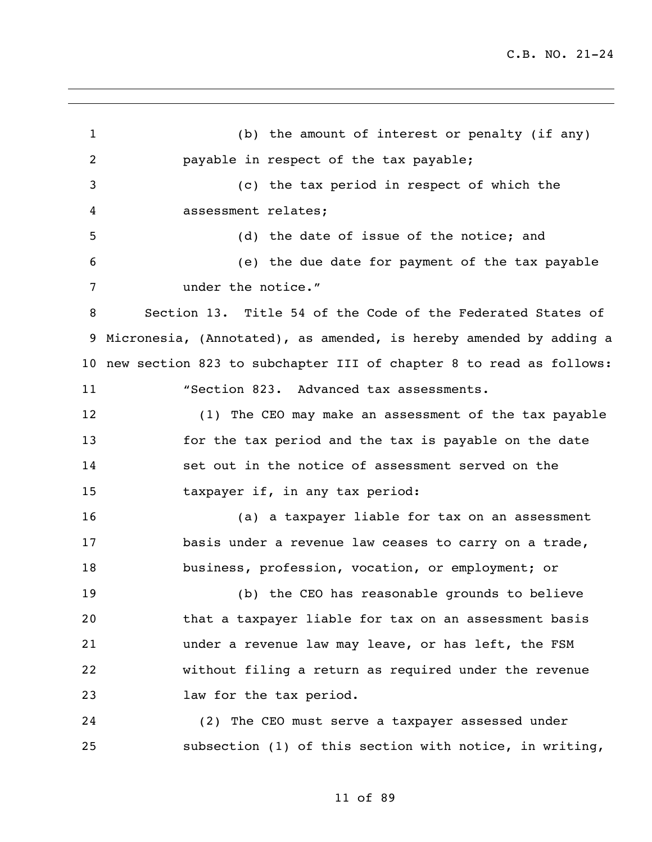(b) the amount of interest or penalty (if any) payable in respect of the tax payable; (c) the tax period in respect of which the assessment relates; (d) the date of issue of the notice; and (e) the due date for payment of the tax payable under the notice." Section 13. Title 54 of the Code of the Federated States of Micronesia, (Annotated), as amended, is hereby amended by adding a new section 823 to subchapter III of chapter 8 to read as follows: 11 "Section 823. Advanced tax assessments. (1) The CEO may make an assessment of the tax payable for the tax period and the tax is payable on the date set out in the notice of assessment served on the taxpayer if, in any tax period: (a) a taxpayer liable for tax on an assessment 17 basis under a revenue law ceases to carry on a trade, business, profession, vocation, or employment; or (b) the CEO has reasonable grounds to believe that a taxpayer liable for tax on an assessment basis under a revenue law may leave, or has left, the FSM without filing a return as required under the revenue law for the tax period. (2) The CEO must serve a taxpayer assessed under subsection (1) of this section with notice, in writing,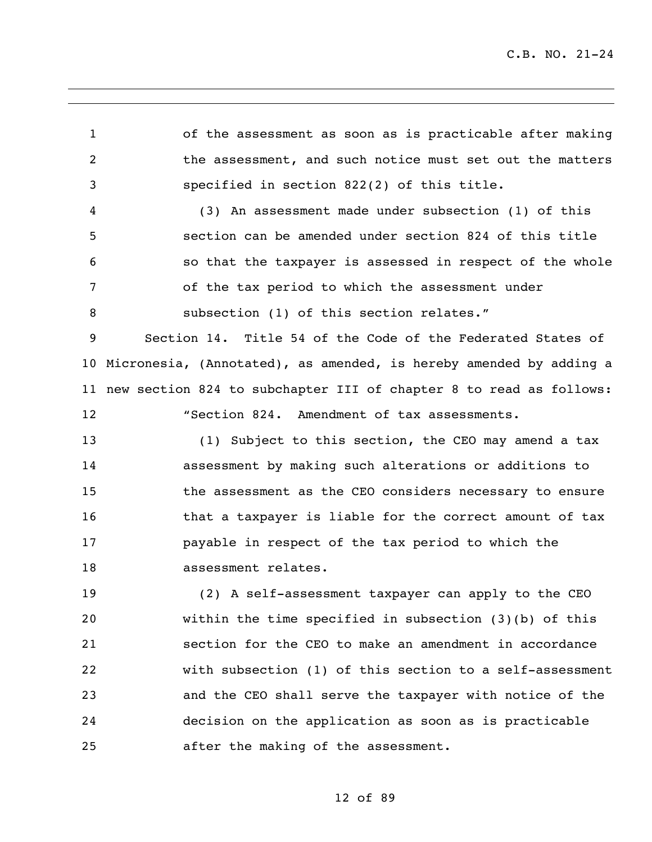of the assessment as soon as is practicable after making the assessment, and such notice must set out the matters specified in section 822(2) of this title.

 (3) An assessment made under subsection (1) of this section can be amended under section 824 of this title so that the taxpayer is assessed in respect of the whole of the tax period to which the assessment under 8 subsection (1) of this section relates."

 Section 14. Title 54 of the Code of the Federated States of Micronesia, (Annotated), as amended, is hereby amended by adding a new section 824 to subchapter III of chapter 8 to read as follows: "Section 824. Amendment of tax assessments.

 (1) Subject to this section, the CEO may amend a tax assessment by making such alterations or additions to the assessment as the CEO considers necessary to ensure **that a taxpayer is liable for the correct amount of tax**  payable in respect of the tax period to which the assessment relates.

 (2) A self-assessment taxpayer can apply to the CEO within the time specified in subsection (3)(b) of this section for the CEO to make an amendment in accordance with subsection (1) of this section to a self-assessment and the CEO shall serve the taxpayer with notice of the decision on the application as soon as is practicable after the making of the assessment.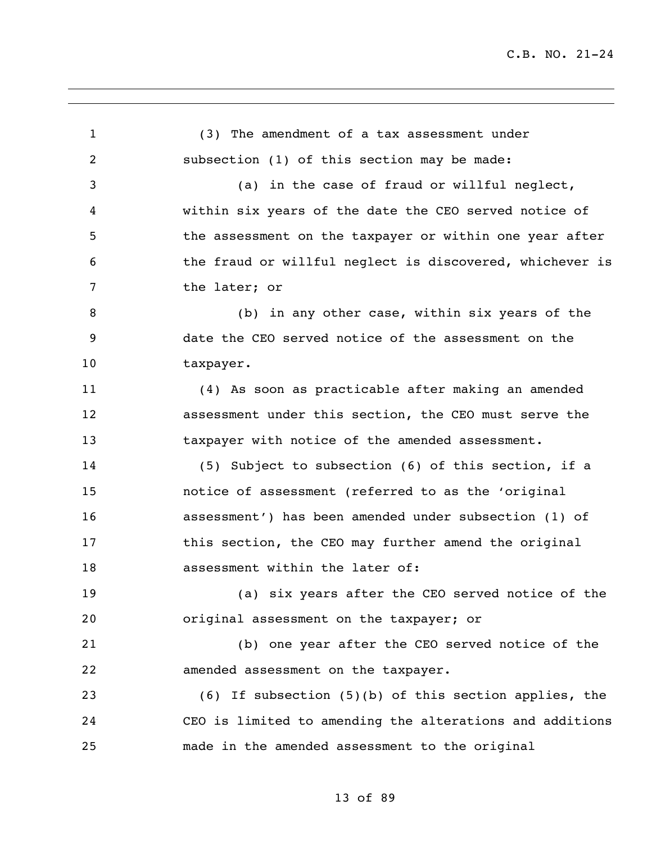(3) The amendment of a tax assessment under subsection (1) of this section may be made: (a) in the case of fraud or willful neglect, within six years of the date the CEO served notice of 5 the assessment on the taxpayer or within one year after the fraud or willful neglect is discovered, whichever is the later; or (b) in any other case, within six years of the date the CEO served notice of the assessment on the 10 taxpayer. (4) As soon as practicable after making an amended assessment under this section, the CEO must serve the taxpayer with notice of the amended assessment. (5) Subject to subsection (6) of this section, if a notice of assessment (referred to as the 'original assessment') has been amended under subsection (1) of this section, the CEO may further amend the original **assessment within the later of:**  (a) six years after the CEO served notice of the original assessment on the taxpayer; or (b) one year after the CEO served notice of the amended assessment on the taxpayer. (6) If subsection (5)(b) of this section applies, the CEO is limited to amending the alterations and additions made in the amended assessment to the original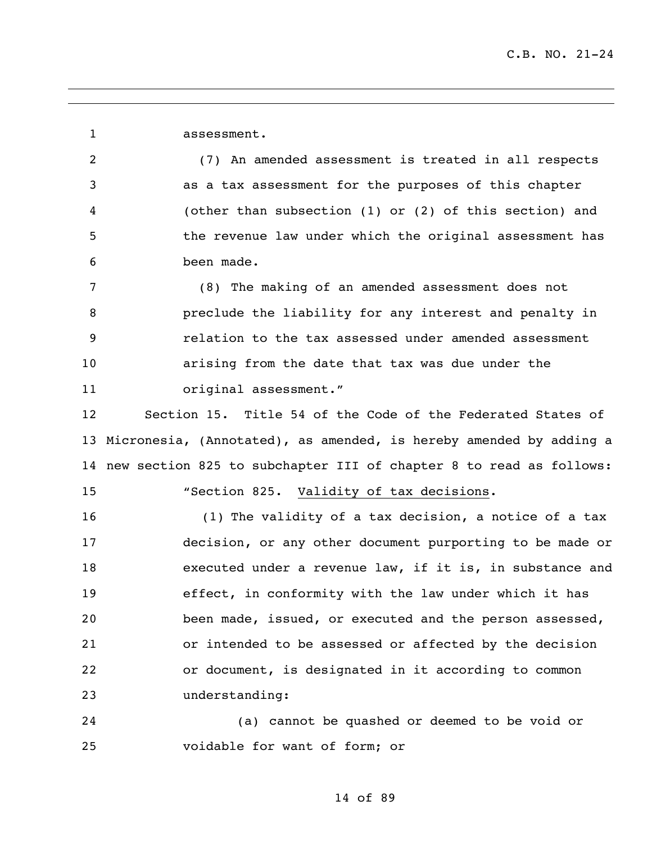assessment.

 (7) An amended assessment is treated in all respects as a tax assessment for the purposes of this chapter (other than subsection (1) or (2) of this section) and the revenue law under which the original assessment has been made.

 (8) The making of an amended assessment does not preclude the liability for any interest and penalty in relation to the tax assessed under amended assessment arising from the date that tax was due under the 11 original assessment."

 Section 15. Title 54 of the Code of the Federated States of Micronesia, (Annotated), as amended, is hereby amended by adding a new section 825 to subchapter III of chapter 8 to read as follows:

"Section 825. Validity of tax decisions.

 (1) The validity of a tax decision, a notice of a tax decision, or any other document purporting to be made or executed under a revenue law, if it is, in substance and effect, in conformity with the law under which it has been made, issued, or executed and the person assessed, or intended to be assessed or affected by the decision or document, is designated in it according to common understanding:

 (a) cannot be quashed or deemed to be void or voidable for want of form; or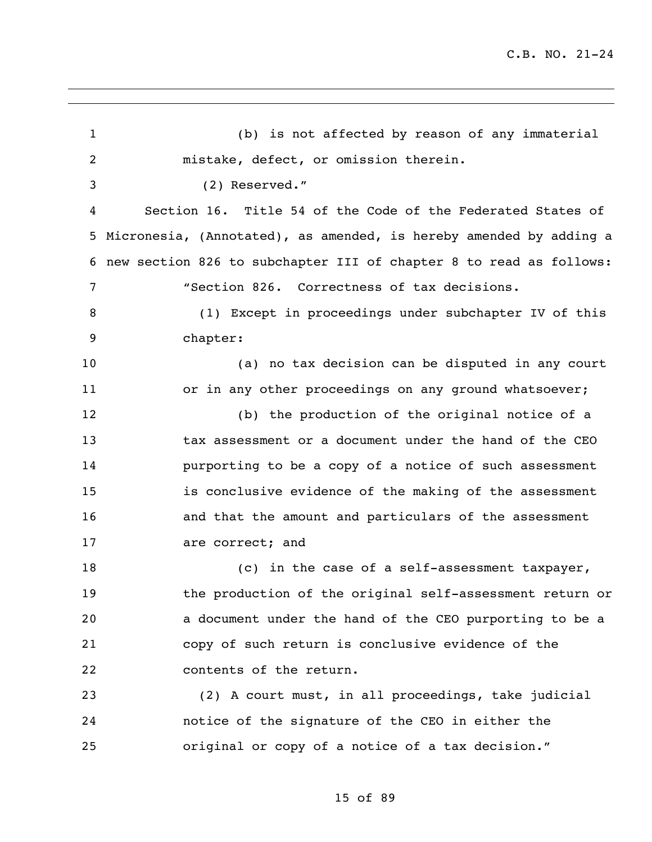(b) is not affected by reason of any immaterial mistake, defect, or omission therein. (2) Reserved." Section 16. Title 54 of the Code of the Federated States of Micronesia, (Annotated), as amended, is hereby amended by adding a new section 826 to subchapter III of chapter 8 to read as follows: "Section 826. Correctness of tax decisions. (1) Except in proceedings under subchapter IV of this chapter: (a) no tax decision can be disputed in any court 11 or in any other proceedings on any ground whatsoever; (b) the production of the original notice of a tax assessment or a document under the hand of the CEO purporting to be a copy of a notice of such assessment is conclusive evidence of the making of the assessment and that the amount and particulars of the assessment 17 are correct; and 18 (c) in the case of a self-assessment taxpayer, the production of the original self-assessment return or a document under the hand of the CEO purporting to be a copy of such return is conclusive evidence of the 22 contents of the return. (2) A court must, in all proceedings, take judicial notice of the signature of the CEO in either the original or copy of a notice of a tax decision."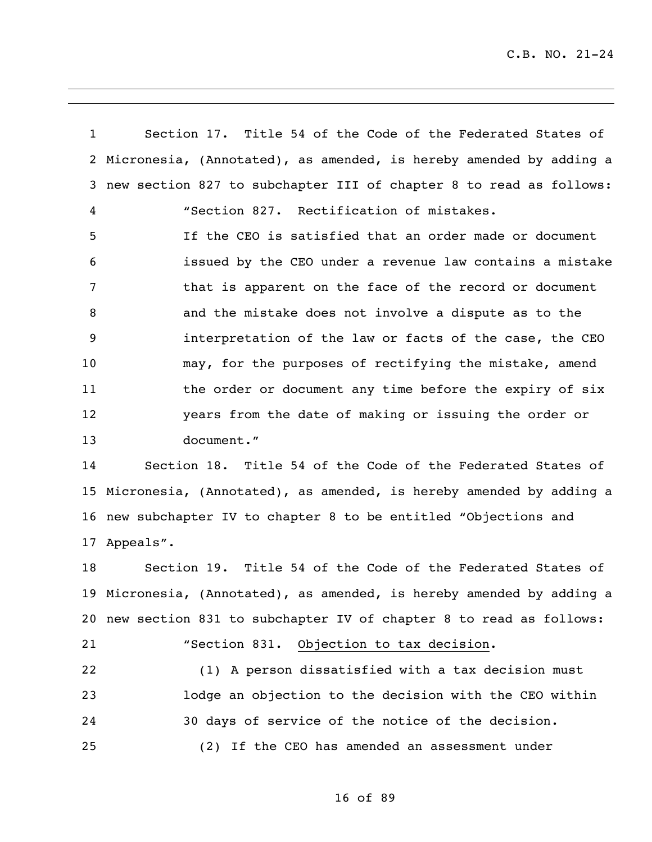Section 17. Title 54 of the Code of the Federated States of Micronesia, (Annotated), as amended, is hereby amended by adding a new section 827 to subchapter III of chapter 8 to read as follows: "Section 827. Rectification of mistakes. If the CEO is satisfied that an order made or document issued by the CEO under a revenue law contains a mistake that is apparent on the face of the record or document and the mistake does not involve a dispute as to the interpretation of the law or facts of the case, the CEO may, for the purposes of rectifying the mistake, amend 11 the order or document any time before the expiry of six years from the date of making or issuing the order or document." Section 18. Title 54 of the Code of the Federated States of

 Micronesia, (Annotated), as amended, is hereby amended by adding a new subchapter IV to chapter 8 to be entitled "Objections and Appeals".

 Section 19. Title 54 of the Code of the Federated States of Micronesia, (Annotated), as amended, is hereby amended by adding a new section 831 to subchapter IV of chapter 8 to read as follows: "Section 831. Objection to tax decision.

 (1) A person dissatisfied with a tax decision must lodge an objection to the decision with the CEO within 30 days of service of the notice of the decision. (2) If the CEO has amended an assessment under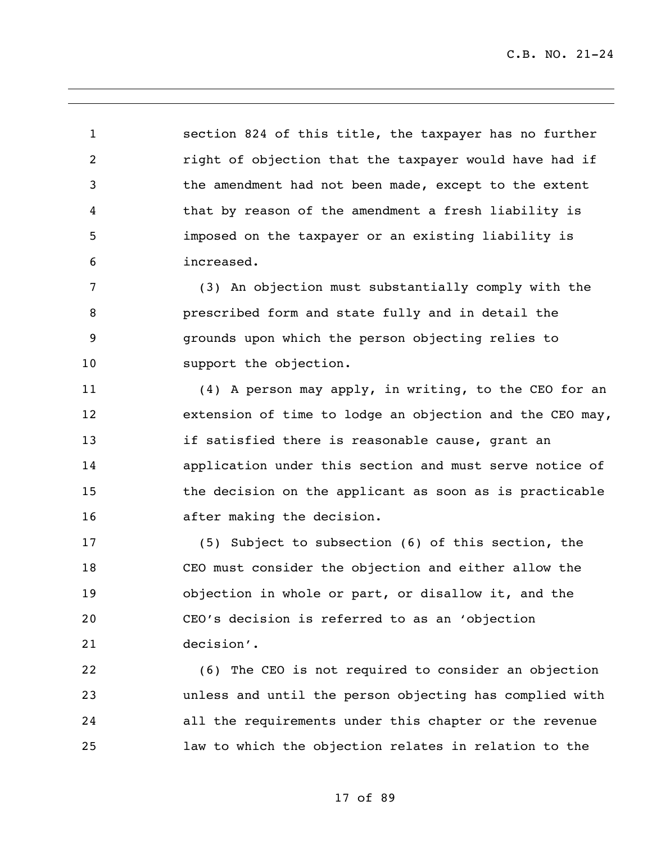section 824 of this title, the taxpayer has no further **right of objection that the taxpayer would have had if**  the amendment had not been made, except to the extent that by reason of the amendment a fresh liability is imposed on the taxpayer or an existing liability is increased.

 (3) An objection must substantially comply with the prescribed form and state fully and in detail the grounds upon which the person objecting relies to 10 support the objection.

 (4) A person may apply, in writing, to the CEO for an extension of time to lodge an objection and the CEO may, if satisfied there is reasonable cause, grant an application under this section and must serve notice of the decision on the applicant as soon as is practicable after making the decision.

 (5) Subject to subsection (6) of this section, the CEO must consider the objection and either allow the objection in whole or part, or disallow it, and the CEO's decision is referred to as an 'objection decision'.

 (6) The CEO is not required to consider an objection unless and until the person objecting has complied with all the requirements under this chapter or the revenue law to which the objection relates in relation to the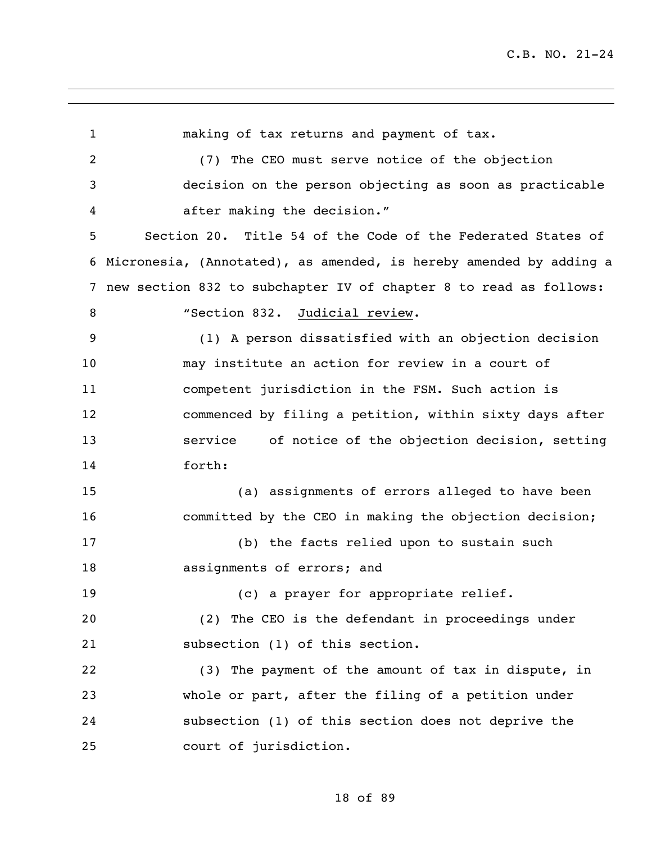making of tax returns and payment of tax. (7) The CEO must serve notice of the objection decision on the person objecting as soon as practicable after making the decision." Section 20. Title 54 of the Code of the Federated States of Micronesia, (Annotated), as amended, is hereby amended by adding a new section 832 to subchapter IV of chapter 8 to read as follows: 8 "Section 832. Judicial review. (1) A person dissatisfied with an objection decision may institute an action for review in a court of competent jurisdiction in the FSM. Such action is commenced by filing a petition, within sixty days after service of notice of the objection decision, setting forth: (a) assignments of errors alleged to have been committed by the CEO in making the objection decision; (b) the facts relied upon to sustain such assignments of errors; and (c) a prayer for appropriate relief. (2) The CEO is the defendant in proceedings under subsection (1) of this section. (3) The payment of the amount of tax in dispute, in whole or part, after the filing of a petition under subsection (1) of this section does not deprive the court of jurisdiction.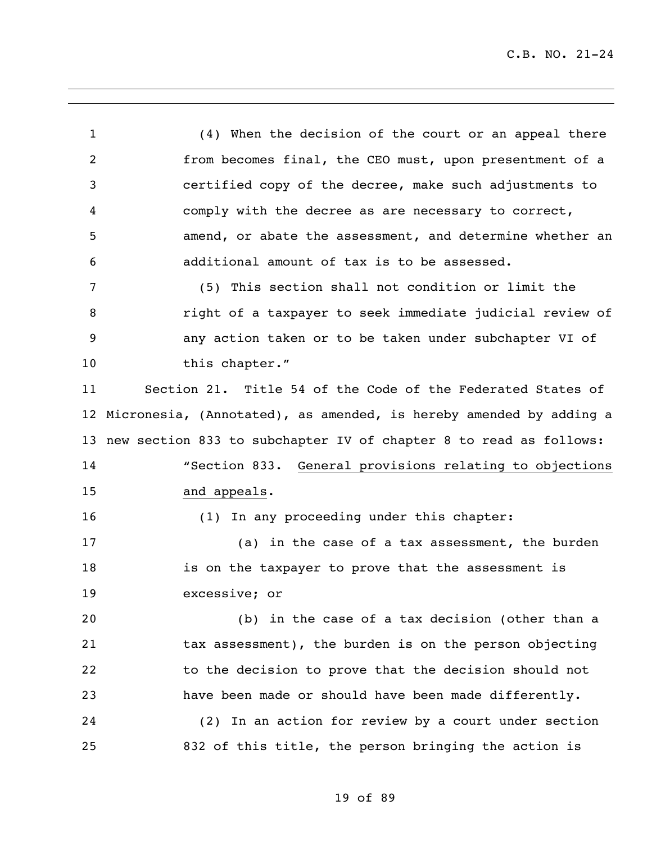(4) When the decision of the court or an appeal there from becomes final, the CEO must, upon presentment of a certified copy of the decree, make such adjustments to comply with the decree as are necessary to correct, amend, or abate the assessment, and determine whether an additional amount of tax is to be assessed. (5) This section shall not condition or limit the **8** right of a taxpayer to seek immediate judicial review of any action taken or to be taken under subchapter VI of 10 this chapter." Section 21. Title 54 of the Code of the Federated States of Micronesia, (Annotated), as amended, is hereby amended by adding a new section 833 to subchapter IV of chapter 8 to read as follows: "Section 833. General provisions relating to objections and appeals. 16 (1) In any proceeding under this chapter: 17 (a) in the case of a tax assessment, the burden is on the taxpayer to prove that the assessment is excessive; or (b) in the case of a tax decision (other than a tax assessment), the burden is on the person objecting to the decision to prove that the decision should not have been made or should have been made differently. (2) In an action for review by a court under section 832 of this title, the person bringing the action is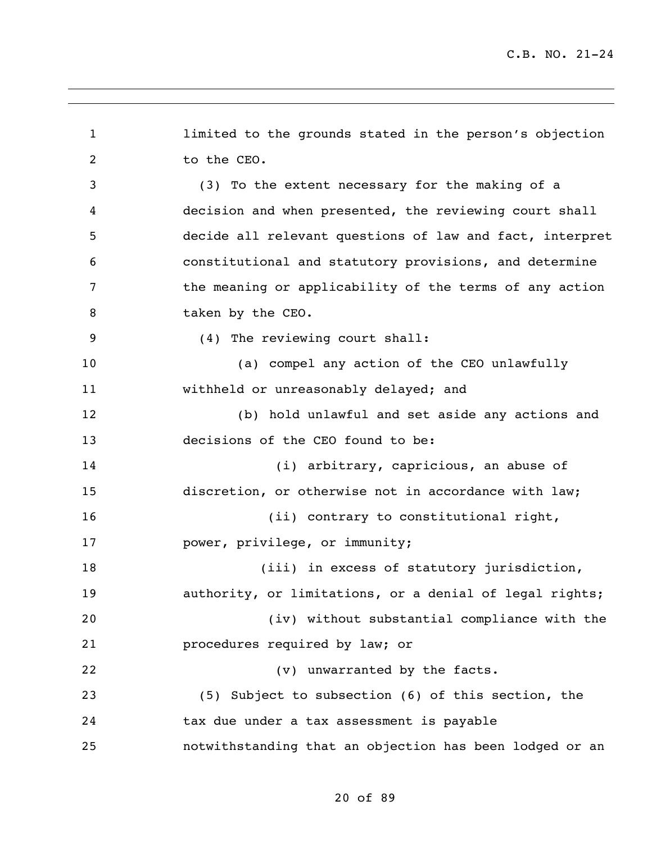```
1 limited to the grounds stated in the person's objection 
2 to the CEO.
3 (3) To the extent necessary for the making of a 
4 decision and when presented, the reviewing court shall 
5 decide all relevant questions of law and fact, interpret 
6 constitutional and statutory provisions, and determine 
7 the meaning or applicability of the terms of any action 
8 taken by the CEO.
9 (4) The reviewing court shall:
10 (a) compel any action of the CEO unlawfully 
11 withheld or unreasonably delayed; and
12 (b) hold unlawful and set aside any actions and 
13 decisions of the CEO found to be:
14 (i) arbitrary, capricious, an abuse of 
15 discretion, or otherwise not in accordance with law;
16 (ii) contrary to constitutional right,
17 power, privilege, or immunity;
18 (iii) in excess of statutory jurisdiction,
19 authority, or limitations, or a denial of legal rights;
20 (iv) without substantial compliance with the 
21 procedures required by law; or
22 (v) unwarranted by the facts. 
23 (5) Subject to subsection (6) of this section, the 
24 tax due under a tax assessment is payable 
25 notwithstanding that an objection has been lodged or an
```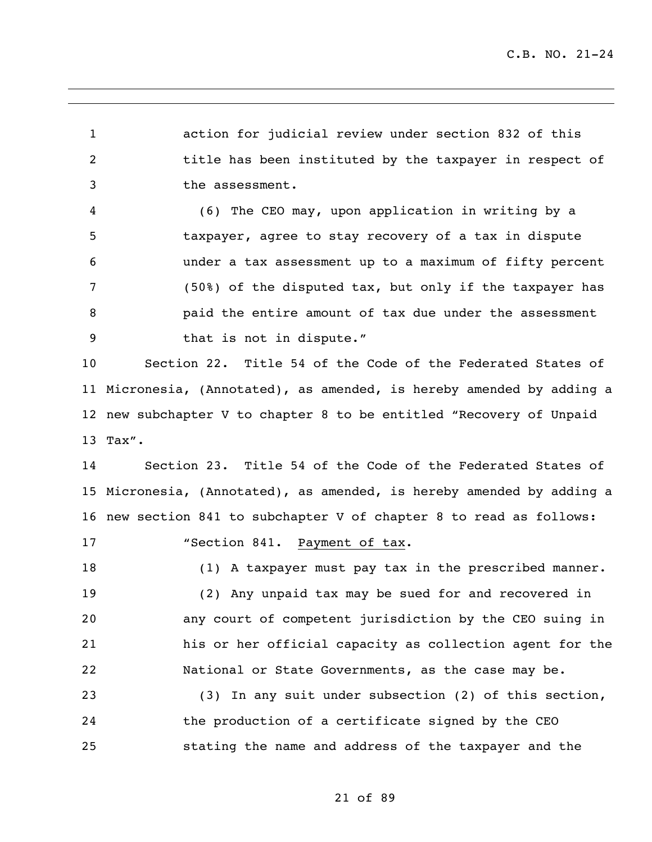action for judicial review under section 832 of this 2 title has been instituted by the taxpayer in respect of the assessment.

 (6) The CEO may, upon application in writing by a taxpayer, agree to stay recovery of a tax in dispute under a tax assessment up to a maximum of fifty percent (50%) of the disputed tax, but only if the taxpayer has paid the entire amount of tax due under the assessment 9 that is not in dispute."

 Section 22. Title 54 of the Code of the Federated States of Micronesia, (Annotated), as amended, is hereby amended by adding a new subchapter V to chapter 8 to be entitled "Recovery of Unpaid Tax".

 Section 23. Title 54 of the Code of the Federated States of Micronesia, (Annotated), as amended, is hereby amended by adding a new section 841 to subchapter V of chapter 8 to read as follows:

17 "Section 841. Payment of tax.

(1) A taxpayer must pay tax in the prescribed manner.

 (2) Any unpaid tax may be sued for and recovered in any court of competent jurisdiction by the CEO suing in his or her official capacity as collection agent for the National or State Governments, as the case may be.

 (3) In any suit under subsection (2) of this section, the production of a certificate signed by the CEO stating the name and address of the taxpayer and the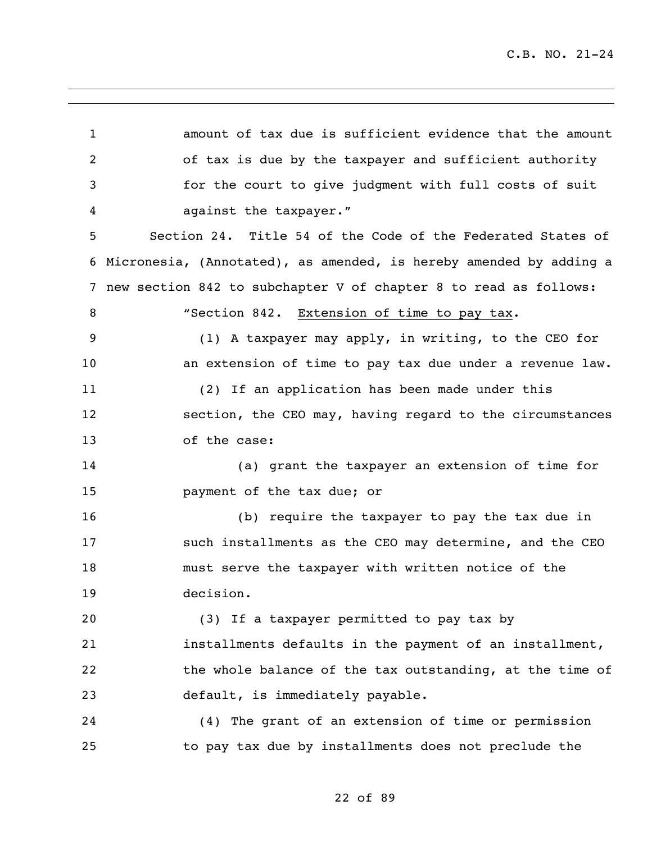| 1              | amount of tax due is sufficient evidence that the amount           |
|----------------|--------------------------------------------------------------------|
| $\overline{2}$ | of tax is due by the taxpayer and sufficient authority             |
| 3              | for the court to give judgment with full costs of suit             |
| 4              | against the taxpayer."                                             |
| 5              | Section 24. Title 54 of the Code of the Federated States of        |
| 6              | Micronesia, (Annotated), as amended, is hereby amended by adding a |
| 7              | new section 842 to subchapter V of chapter 8 to read as follows:   |
| 8              | "Section 842. Extension of time to pay tax.                        |
| 9              | (1) A taxpayer may apply, in writing, to the CEO for               |
| 10             | an extension of time to pay tax due under a revenue law.           |
| 11             | (2) If an application has been made under this                     |
| 12             | section, the CEO may, having regard to the circumstances           |
| 13             | of the case:                                                       |
| 14             | (a) grant the taxpayer an extension of time for                    |
| 15             | payment of the tax due; or                                         |
| 16             | (b) require the taxpayer to pay the tax due in                     |
| 17             | such installments as the CEO may determine, and the CEO            |
| 18             | must serve the taxpayer with written notice of the                 |
| 19             | decision.                                                          |
| 20             | (3) If a taxpayer permitted to pay tax by                          |
| 21             | installments defaults in the payment of an installment,            |
| 22             | the whole balance of the tax outstanding, at the time of           |
| 23             | default, is immediately payable.                                   |
| 24             | (4) The grant of an extension of time or permission                |
| 25             | to pay tax due by installments does not preclude the               |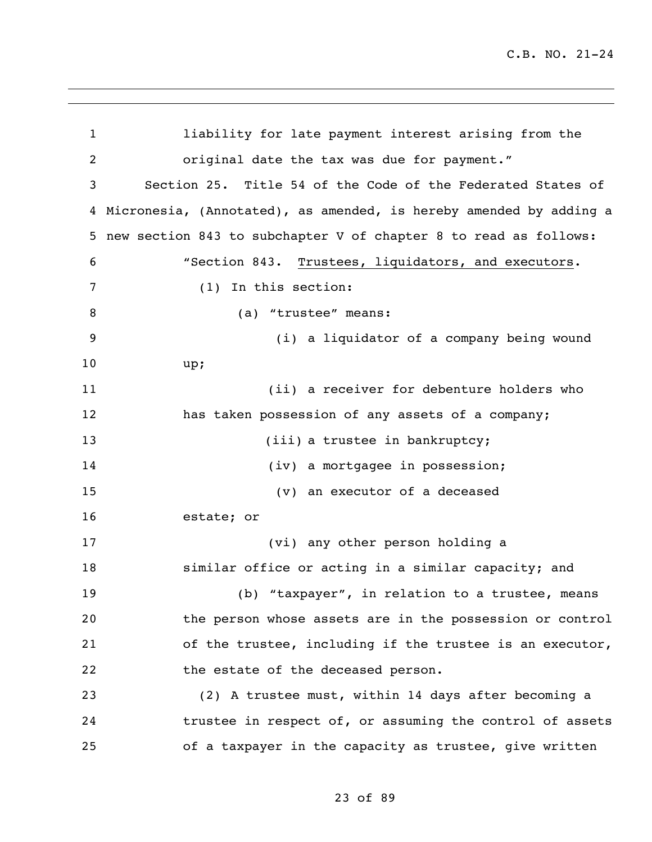liability for late payment interest arising from the original date the tax was due for payment." Section 25. Title 54 of the Code of the Federated States of Micronesia, (Annotated), as amended, is hereby amended by adding a new section 843 to subchapter V of chapter 8 to read as follows: "Section 843. Trustees, liquidators, and executors. (1) In this section: 8 (a) "trustee" means: (i) a liquidator of a company being wound up; (ii) a receiver for debenture holders who has taken possession of any assets of a company; 13 (iii) a trustee in bankruptcy; 14 (iv) a mortgagee in possession; (v) an executor of a deceased estate; or (vi) any other person holding a similar office or acting in a similar capacity; and (b) "taxpayer", in relation to a trustee, means the person whose assets are in the possession or control of the trustee, including if the trustee is an executor, 22 the estate of the deceased person. (2) A trustee must, within 14 days after becoming a trustee in respect of, or assuming the control of assets of a taxpayer in the capacity as trustee, give written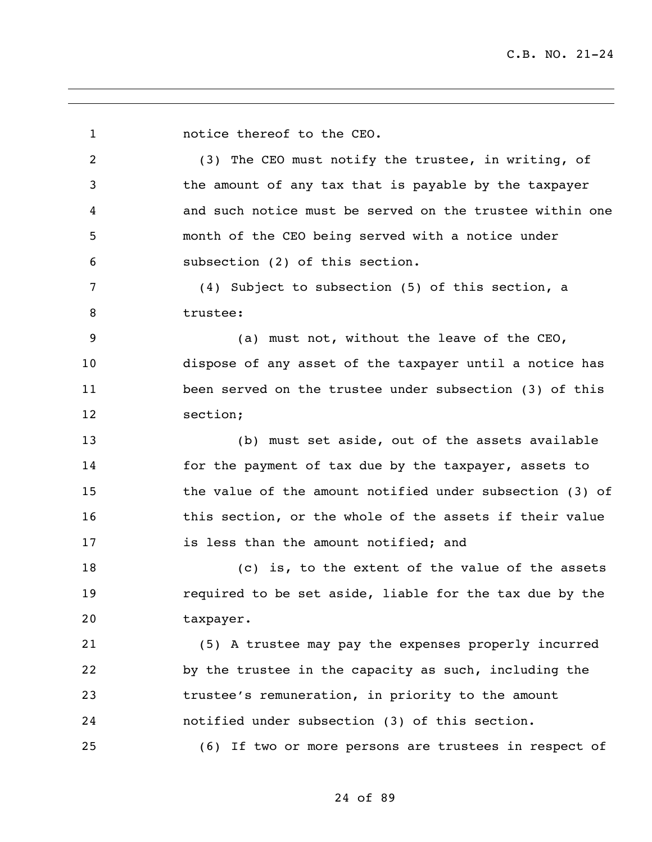1 notice thereof to the CEO. (3) The CEO must notify the trustee, in writing, of the amount of any tax that is payable by the taxpayer and such notice must be served on the trustee within one month of the CEO being served with a notice under subsection (2) of this section. (4) Subject to subsection (5) of this section, a trustee: (a) must not, without the leave of the CEO, dispose of any asset of the taxpayer until a notice has been served on the trustee under subsection (3) of this section; (b) must set aside, out of the assets available for the payment of tax due by the taxpayer, assets to the value of the amount notified under subsection (3) of 16 this section, or the whole of the assets if their value is less than the amount notified; and (c) is, to the extent of the value of the assets required to be set aside, liable for the tax due by the taxpayer. (5) A trustee may pay the expenses properly incurred by the trustee in the capacity as such, including the trustee's remuneration, in priority to the amount notified under subsection (3) of this section. (6) If two or more persons are trustees in respect of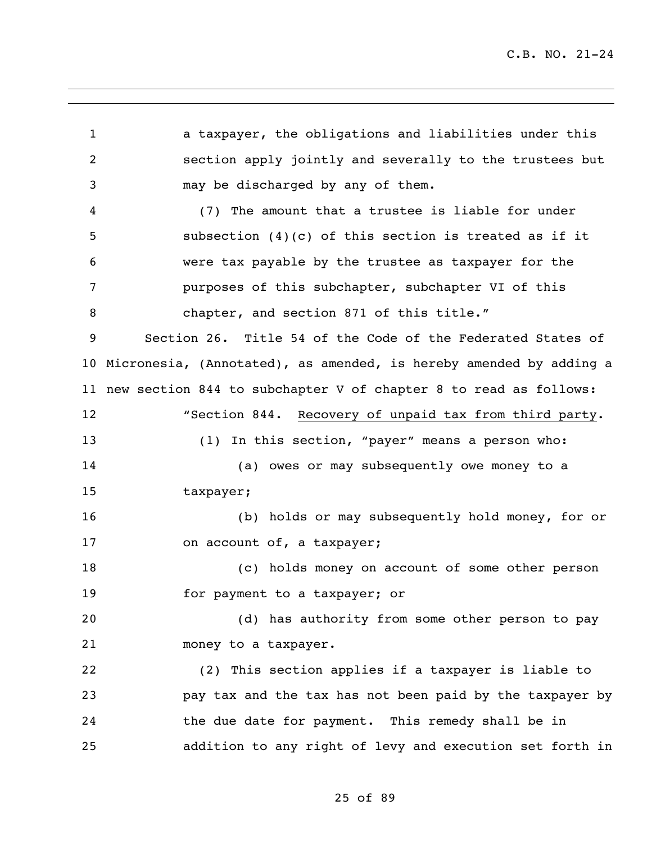a taxpayer, the obligations and liabilities under this section apply jointly and severally to the trustees but may be discharged by any of them. (7) The amount that a trustee is liable for under subsection (4)(c) of this section is treated as if it were tax payable by the trustee as taxpayer for the purposes of this subchapter, subchapter VI of this 8 chapter, and section 871 of this title." Section 26. Title 54 of the Code of the Federated States of Micronesia, (Annotated), as amended, is hereby amended by adding a new section 844 to subchapter V of chapter 8 to read as follows: "Section 844. Recovery of unpaid tax from third party. (1) In this section, "payer" means a person who: (a) owes or may subsequently owe money to a taxpayer; (b) holds or may subsequently hold money, for or 17 on account of, a taxpayer; (c) holds money on account of some other person for payment to a taxpayer; or (d) has authority from some other person to pay money to a taxpayer. (2) This section applies if a taxpayer is liable to pay tax and the tax has not been paid by the taxpayer by the due date for payment. This remedy shall be in addition to any right of levy and execution set forth in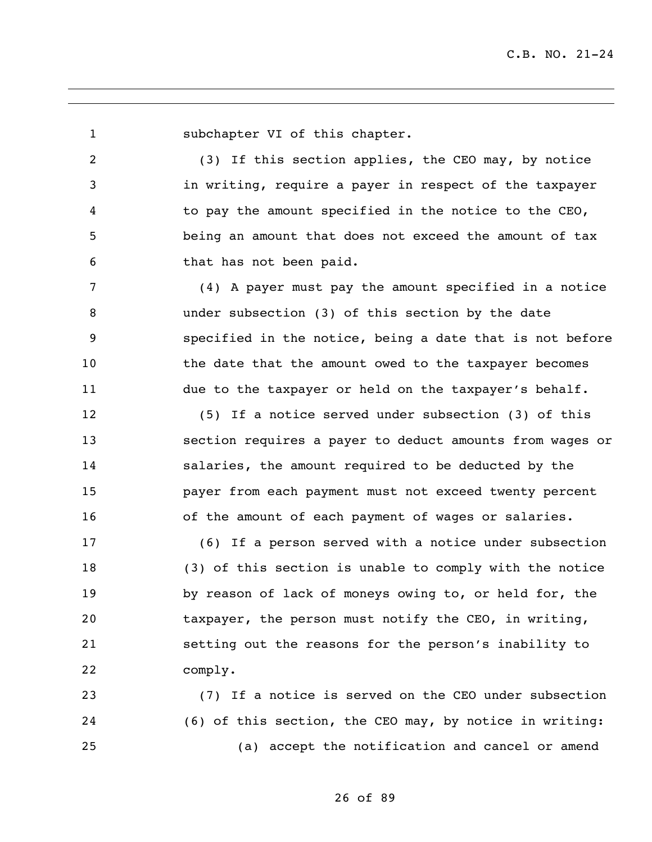1 subchapter VI of this chapter. (3) If this section applies, the CEO may, by notice in writing, require a payer in respect of the taxpayer to pay the amount specified in the notice to the CEO, being an amount that does not exceed the amount of tax that has not been paid. (4) A payer must pay the amount specified in a notice under subsection (3) of this section by the date specified in the notice, being a date that is not before 10 the date that the amount owed to the taxpayer becomes due to the taxpayer or held on the taxpayer's behalf. (5) If a notice served under subsection (3) of this section requires a payer to deduct amounts from wages or salaries, the amount required to be deducted by the payer from each payment must not exceed twenty percent of the amount of each payment of wages or salaries. (6) If a person served with a notice under subsection (3) of this section is unable to comply with the notice by reason of lack of moneys owing to, or held for, the taxpayer, the person must notify the CEO, in writing, setting out the reasons for the person's inability to comply. (7) If a notice is served on the CEO under subsection (6) of this section, the CEO may, by notice in writing: (a) accept the notification and cancel or amend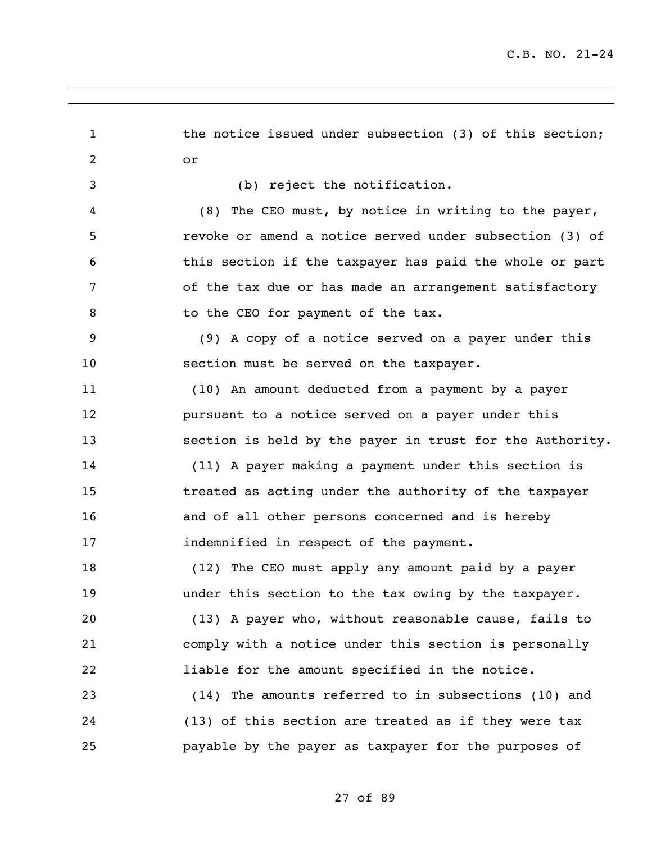| $\mathbf{1}$   | the notice issued under subsection (3) of this section;  |
|----------------|----------------------------------------------------------|
| $\overline{2}$ | or                                                       |
| 3              | (b) reject the notification.                             |
| 4              | (8) The CEO must, by notice in writing to the payer,     |
| 5              | revoke or amend a notice served under subsection (3) of  |
| 6              | this section if the taxpayer has paid the whole or part  |
| 7              | of the tax due or has made an arrangement satisfactory   |
| 8              | to the CEO for payment of the tax.                       |
| 9              | (9) A copy of a notice served on a payer under this      |
| 10             | section must be served on the taxpayer.                  |
| 11             | (10) An amount deducted from a payment by a payer        |
| 12             | pursuant to a notice served on a payer under this        |
| 13             | section is held by the payer in trust for the Authority. |
| 14             | (11) A payer making a payment under this section is      |
| 15             | treated as acting under the authority of the taxpayer    |
| 16             | and of all other persons concerned and is hereby         |
| 17             | indemnified in respect of the payment.                   |
| 18             | (12) The CEO must apply any amount paid by a payer       |
| 19             | under this section to the tax owing by the taxpayer.     |
| 20             | (13) A payer who, without reasonable cause, fails to     |
| 21             | comply with a notice under this section is personally    |
| 22             | liable for the amount specified in the notice.           |
| 23             | (14) The amounts referred to in subsections (10) and     |
| 24             | (13) of this section are treated as if they were tax     |
| 25             | payable by the payer as taxpayer for the purposes of     |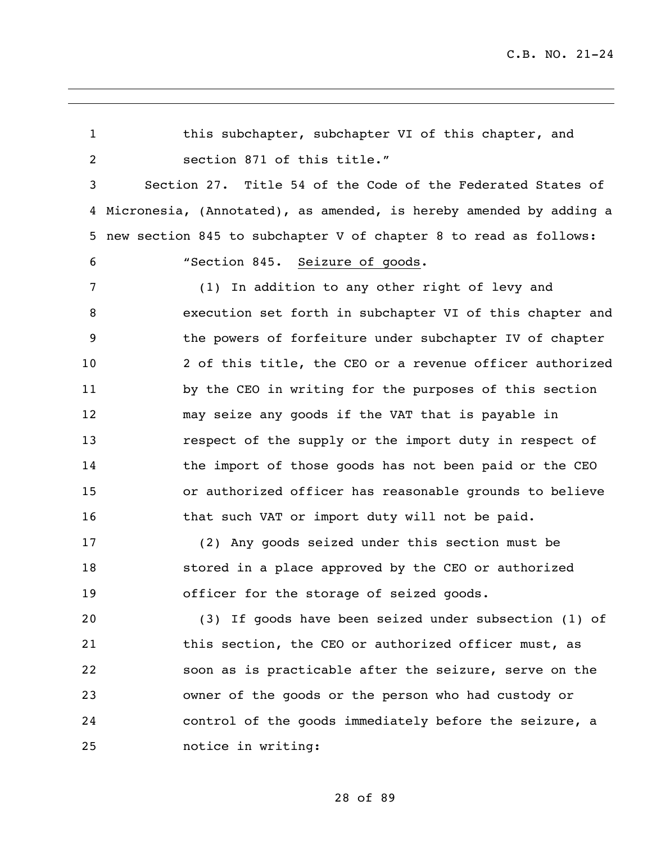this subchapter, subchapter VI of this chapter, and section 871 of this title." Section 27. Title 54 of the Code of the Federated States of Micronesia, (Annotated), as amended, is hereby amended by adding a new section 845 to subchapter V of chapter 8 to read as follows: "Section 845. Seizure of goods. (1) In addition to any other right of levy and execution set forth in subchapter VI of this chapter and the powers of forfeiture under subchapter IV of chapter 2 of this title, the CEO or a revenue officer authorized by the CEO in writing for the purposes of this section may seize any goods if the VAT that is payable in respect of the supply or the import duty in respect of the import of those goods has not been paid or the CEO or authorized officer has reasonable grounds to believe 16 that such VAT or import duty will not be paid. (2) Any goods seized under this section must be stored in a place approved by the CEO or authorized officer for the storage of seized goods. (3) If goods have been seized under subsection (1) of this section, the CEO or authorized officer must, as soon as is practicable after the seizure, serve on the owner of the goods or the person who had custody or control of the goods immediately before the seizure, a notice in writing: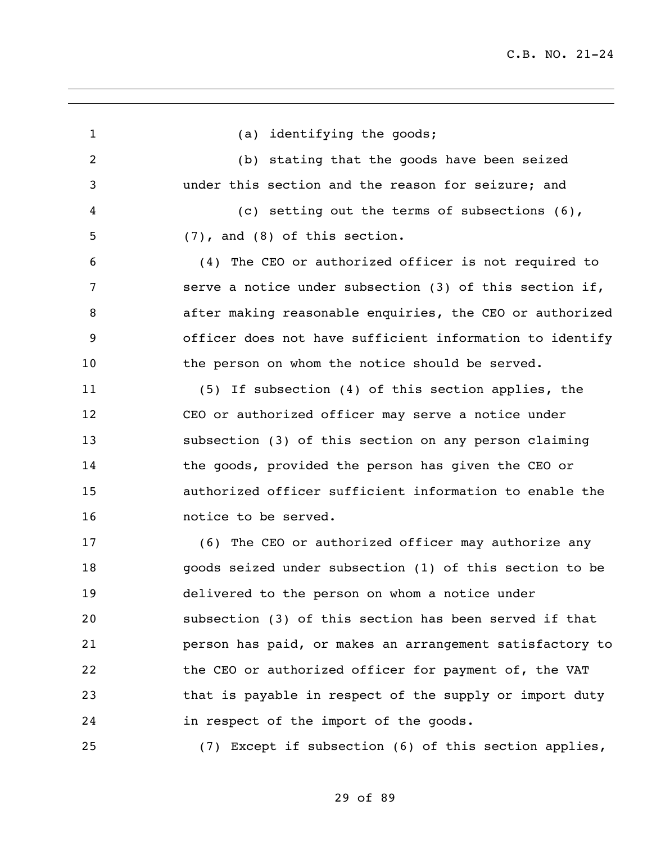| $\mathbf{1}$   | (a) identifying the goods;                               |
|----------------|----------------------------------------------------------|
| $\overline{2}$ | (b) stating that the goods have been seized              |
| 3              | under this section and the reason for seizure; and       |
| 4              | (c) setting out the terms of subsections $(6)$ ,         |
| 5              | $(7)$ , and $(8)$ of this section.                       |
| 6              | (4) The CEO or authorized officer is not required to     |
| 7              | serve a notice under subsection (3) of this section if,  |
| 8              | after making reasonable enquiries, the CEO or authorized |
| 9              | officer does not have sufficient information to identify |
| 10             | the person on whom the notice should be served.          |
| 11             | (5) If subsection (4) of this section applies, the       |
| 12             | CEO or authorized officer may serve a notice under       |
| 13             | subsection (3) of this section on any person claiming    |
| 14             | the goods, provided the person has given the CEO or      |
| 15             | authorized officer sufficient information to enable the  |
| 16             | notice to be served.                                     |
| 17             | (6) The CEO or authorized officer may authorize any      |
| 18             | goods seized under subsection (1) of this section to be  |
| 19             | delivered to the person on whom a notice under           |
| 20             | subsection (3) of this section has been served if that   |
| 21             | person has paid, or makes an arrangement satisfactory to |
| 22             | the CEO or authorized officer for payment of, the VAT    |
| 23             | that is payable in respect of the supply or import duty  |
| 24             | in respect of the import of the goods.                   |
| 25             | (7) Except if subsection (6) of this section applies,    |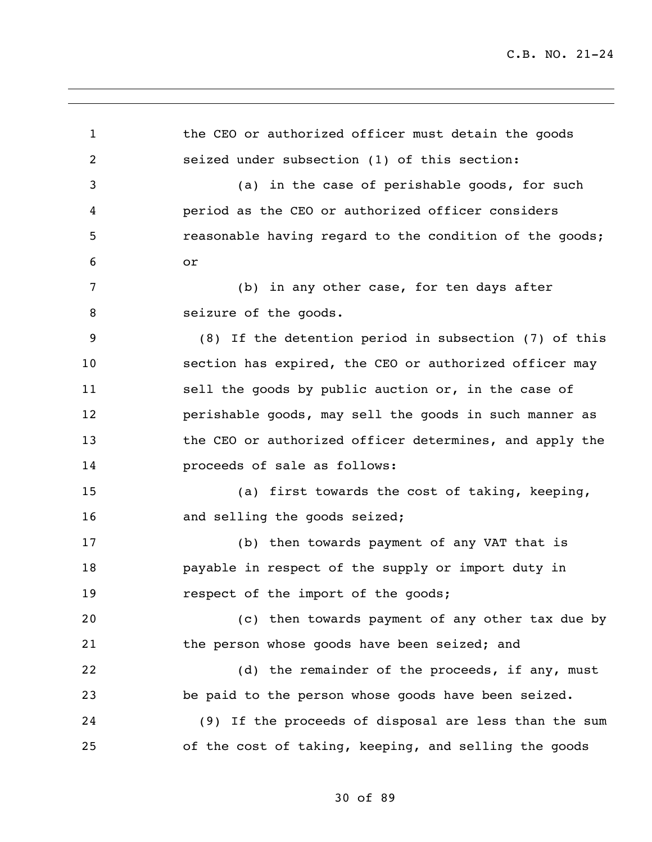1 the CEO or authorized officer must detain the goods seized under subsection (1) of this section: (a) in the case of perishable goods, for such period as the CEO or authorized officer considers **19 reasonable having regard to the condition of the goods;**  or (b) in any other case, for ten days after 8 seizure of the goods. (8) If the detention period in subsection (7) of this section has expired, the CEO or authorized officer may sell the goods by public auction or, in the case of perishable goods, may sell the goods in such manner as the CEO or authorized officer determines, and apply the proceeds of sale as follows: (a) first towards the cost of taking, keeping, 16 and selling the goods seized; (b) then towards payment of any VAT that is payable in respect of the supply or import duty in **respect of the import of the goods;**  (c) then towards payment of any other tax due by the person whose goods have been seized; and 22 (d) the remainder of the proceeds, if any, must be paid to the person whose goods have been seized. (9) If the proceeds of disposal are less than the sum of the cost of taking, keeping, and selling the goods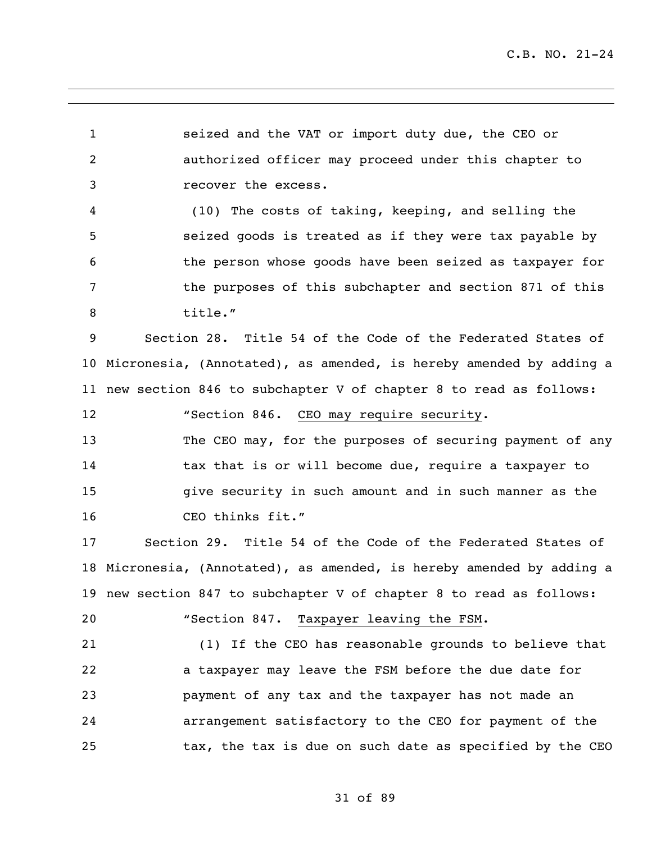seized and the VAT or import duty due, the CEO or authorized officer may proceed under this chapter to recover the excess.

 (10) The costs of taking, keeping, and selling the seized goods is treated as if they were tax payable by the person whose goods have been seized as taxpayer for the purposes of this subchapter and section 871 of this title."

 Section 28. Title 54 of the Code of the Federated States of Micronesia, (Annotated), as amended, is hereby amended by adding a new section 846 to subchapter V of chapter 8 to read as follows:

 The CEO may, for the purposes of securing payment of any 14 tax that is or will become due, require a taxpayer to give security in such amount and in such manner as the CEO thinks fit."

 Section 29. Title 54 of the Code of the Federated States of Micronesia, (Annotated), as amended, is hereby amended by adding a new section 847 to subchapter V of chapter 8 to read as follows:

"Section 847. Taxpayer leaving the FSM.

"Section 846. CEO may require security.

 (1) If the CEO has reasonable grounds to believe that a taxpayer may leave the FSM before the due date for payment of any tax and the taxpayer has not made an arrangement satisfactory to the CEO for payment of the tax, the tax is due on such date as specified by the CEO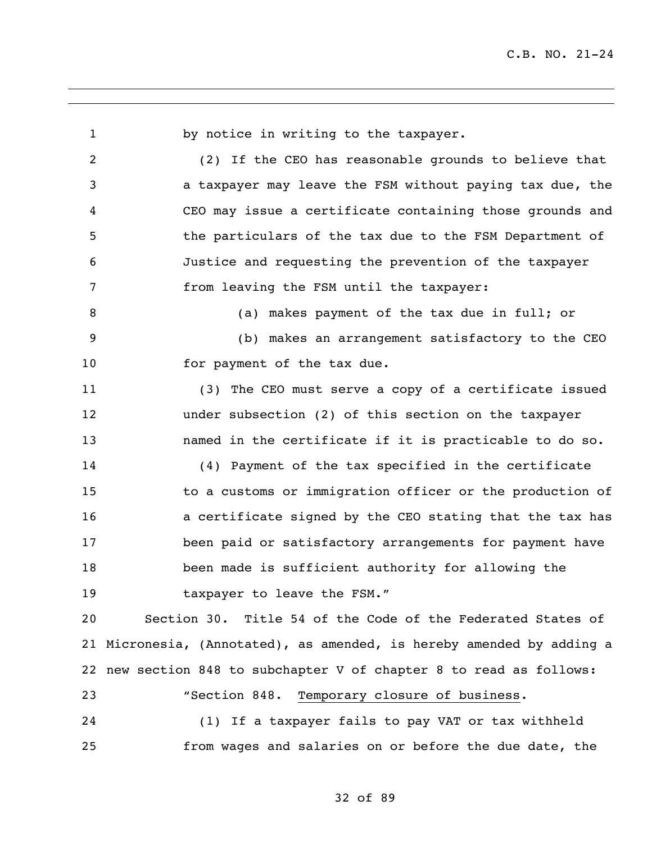by notice in writing to the taxpayer. (2) If the CEO has reasonable grounds to believe that a taxpayer may leave the FSM without paying tax due, the CEO may issue a certificate containing those grounds and the particulars of the tax due to the FSM Department of Justice and requesting the prevention of the taxpayer from leaving the FSM until the taxpayer: 8 (a) makes payment of the tax due in full; or (b) makes an arrangement satisfactory to the CEO 10 for payment of the tax due. (3) The CEO must serve a copy of a certificate issued under subsection (2) of this section on the taxpayer named in the certificate if it is practicable to do so. (4) Payment of the tax specified in the certificate to a customs or immigration officer or the production of **a** certificate signed by the CEO stating that the tax has been paid or satisfactory arrangements for payment have been made is sufficient authority for allowing the 19 taxpayer to leave the FSM." Section 30. Title 54 of the Code of the Federated States of Micronesia, (Annotated), as amended, is hereby amended by adding a new section 848 to subchapter V of chapter 8 to read as follows: "Section 848. Temporary closure of business. (1) If a taxpayer fails to pay VAT or tax withheld from wages and salaries on or before the due date, the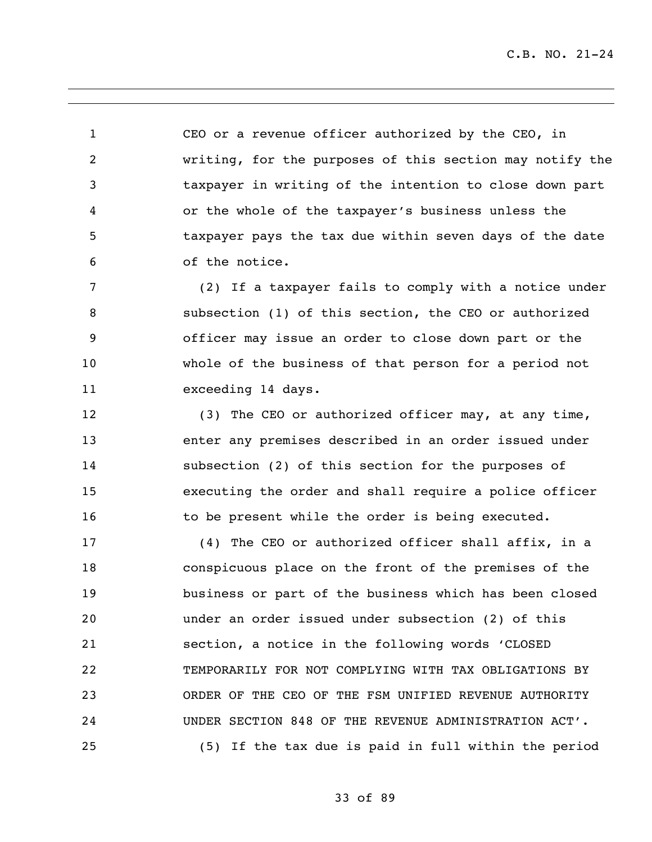CEO or a revenue officer authorized by the CEO, in writing, for the purposes of this section may notify the taxpayer in writing of the intention to close down part or the whole of the taxpayer's business unless the taxpayer pays the tax due within seven days of the date of the notice.

 (2) If a taxpayer fails to comply with a notice under subsection (1) of this section, the CEO or authorized officer may issue an order to close down part or the whole of the business of that person for a period not exceeding 14 days.

 (3) The CEO or authorized officer may, at any time, enter any premises described in an order issued under subsection (2) of this section for the purposes of executing the order and shall require a police officer 16 to be present while the order is being executed.

 (4) The CEO or authorized officer shall affix, in a conspicuous place on the front of the premises of the business or part of the business which has been closed under an order issued under subsection (2) of this section, a notice in the following words 'CLOSED TEMPORARILY FOR NOT COMPLYING WITH TAX OBLIGATIONS BY ORDER OF THE CEO OF THE FSM UNIFIED REVENUE AUTHORITY UNDER SECTION 848 OF THE REVENUE ADMINISTRATION ACT'. (5) If the tax due is paid in full within the period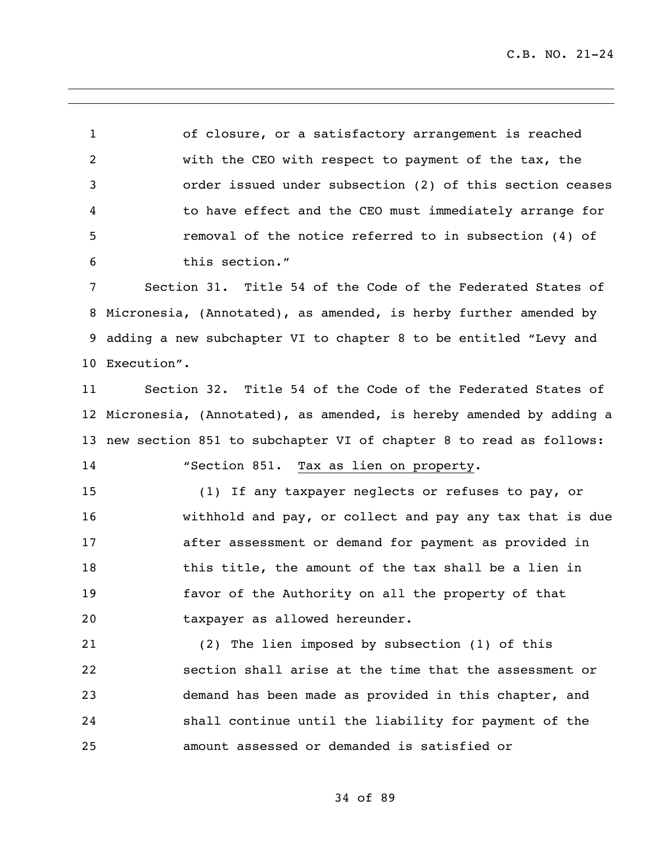of closure, or a satisfactory arrangement is reached with the CEO with respect to payment of the tax, the order issued under subsection (2) of this section ceases to have effect and the CEO must immediately arrange for removal of the notice referred to in subsection (4) of this section."

 Section 31. Title 54 of the Code of the Federated States of Micronesia, (Annotated), as amended, is herby further amended by adding a new subchapter VI to chapter 8 to be entitled "Levy and Execution".

 Section 32. Title 54 of the Code of the Federated States of Micronesia, (Annotated), as amended, is hereby amended by adding a new section 851 to subchapter VI of chapter 8 to read as follows: "Section 851. Tax as lien on property.

 (1) If any taxpayer neglects or refuses to pay, or withhold and pay, or collect and pay any tax that is due after assessment or demand for payment as provided in 18 this title, the amount of the tax shall be a lien in favor of the Authority on all the property of that taxpayer as allowed hereunder.

 (2) The lien imposed by subsection (1) of this section shall arise at the time that the assessment or demand has been made as provided in this chapter, and shall continue until the liability for payment of the amount assessed or demanded is satisfied or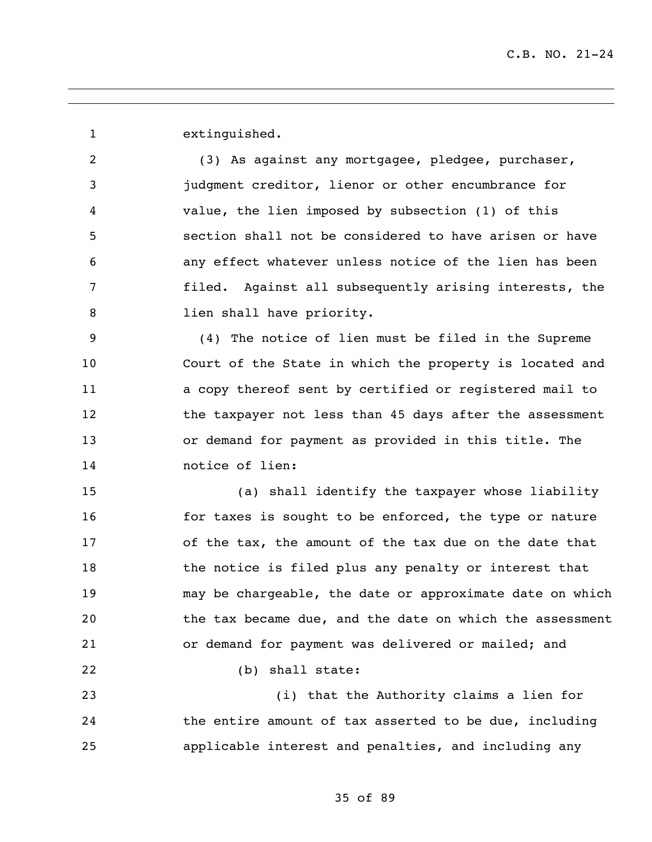extinguished.

 (3) As against any mortgagee, pledgee, purchaser, judgment creditor, lienor or other encumbrance for value, the lien imposed by subsection (1) of this section shall not be considered to have arisen or have any effect whatever unless notice of the lien has been filed. Against all subsequently arising interests, the 8 lien shall have priority.

 (4) The notice of lien must be filed in the Supreme Court of the State in which the property is located and a copy thereof sent by certified or registered mail to 12 the taxpayer not less than 45 days after the assessment or demand for payment as provided in this title. The notice of lien:

 (a) shall identify the taxpayer whose liability **for taxes is sought to be enforced, the type or nature**  of the tax, the amount of the tax due on the date that 18 the notice is filed plus any penalty or interest that may be chargeable, the date or approximate date on which the tax became due, and the date on which the assessment or demand for payment was delivered or mailed; and (b) shall state:

 (i) that the Authority claims a lien for the entire amount of tax asserted to be due, including applicable interest and penalties, and including any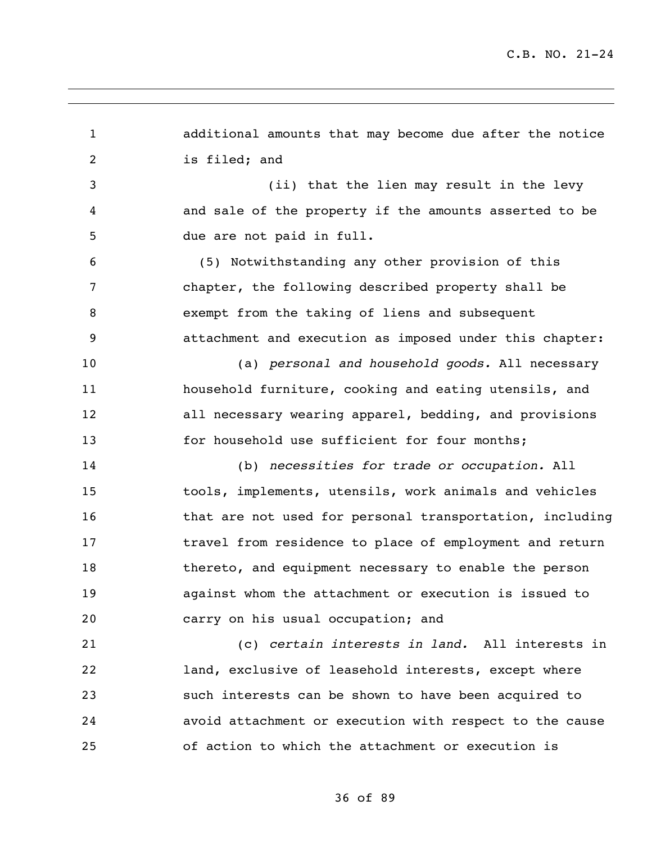| $\mathbf{1}$   | additional amounts that may become due after the notice  |
|----------------|----------------------------------------------------------|
| $\overline{2}$ | is filed; and                                            |
| $\mathfrak{Z}$ | (ii) that the lien may result in the levy                |
| 4              | and sale of the property if the amounts asserted to be   |
| 5              | due are not paid in full.                                |
| 6              | (5) Notwithstanding any other provision of this          |
| 7              | chapter, the following described property shall be       |
| 8              | exempt from the taking of liens and subsequent           |
| 9              | attachment and execution as imposed under this chapter:  |
| 10             | (a) personal and household goods. All necessary          |
| 11             | household furniture, cooking and eating utensils, and    |
| 12             | all necessary wearing apparel, bedding, and provisions   |
| 13             | for household use sufficient for four months;            |
| 14             | (b) necessities for trade or occupation. All             |
| 15             | tools, implements, utensils, work animals and vehicles   |
| 16             | that are not used for personal transportation, including |
| 17             | travel from residence to place of employment and return  |
| 18             | thereto, and equipment necessary to enable the person    |
| 19             | against whom the attachment or execution is issued to    |
| 20             | carry on his usual occupation; and                       |
| 21             | (c) certain interests in land. All interests in          |
| 22             | land, exclusive of leasehold interests, except where     |
| 23             | such interests can be shown to have been acquired to     |
| 24             | avoid attachment or execution with respect to the cause  |
| 25             | of action to which the attachment or execution is        |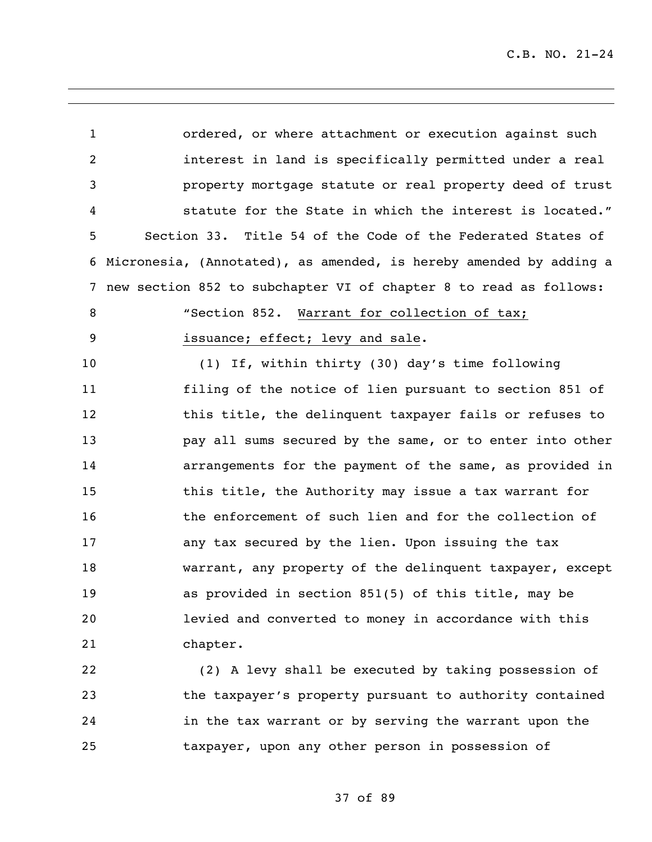| $\mathbf{1}$    | ordered, or where attachment or execution against such             |
|-----------------|--------------------------------------------------------------------|
| $\overline{2}$  | interest in land is specifically permitted under a real            |
| 3               | property mortgage statute or real property deed of trust           |
| 4               | statute for the State in which the interest is located."           |
| 5               | Section 33. Title 54 of the Code of the Federated States of        |
| 6               | Micronesia, (Annotated), as amended, is hereby amended by adding a |
| $7\overline{ }$ | new section 852 to subchapter VI of chapter 8 to read as follows:  |
| 8               | "Section 852. Warrant for collection of tax;                       |
| 9               | issuance; effect; levy and sale.                                   |
| 10              | (1) If, within thirty (30) day's time following                    |
| 11              | filing of the notice of lien pursuant to section 851 of            |
| 12              | this title, the delinquent taxpayer fails or refuses to            |
| 13              | pay all sums secured by the same, or to enter into other           |
| 14              | arrangements for the payment of the same, as provided in           |
| 15              | this title, the Authority may issue a tax warrant for              |
| 16              | the enforcement of such lien and for the collection of             |
| 17              | any tax secured by the lien. Upon issuing the tax                  |
| 18              | warrant, any property of the delinquent taxpayer, except           |
| 19              | as provided in section 851(5) of this title, may be                |
| 20              | levied and converted to money in accordance with this              |
| 21              | chapter.                                                           |
| 22              | (2) A levy shall be executed by taking possession of               |
| 23              | the taxpayer's property pursuant to authority contained            |
| 24              | in the tax warrant or by serving the warrant upon the              |
| 25              | taxpayer, upon any other person in possession of                   |

37 of 89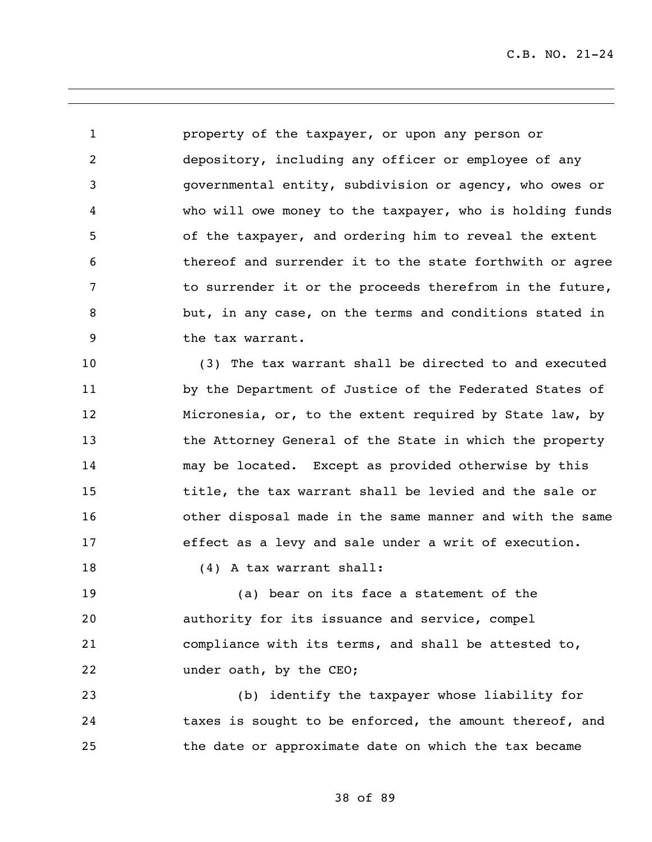property of the taxpayer, or upon any person or depository, including any officer or employee of any governmental entity, subdivision or agency, who owes or who will owe money to the taxpayer, who is holding funds of the taxpayer, and ordering him to reveal the extent thereof and surrender it to the state forthwith or agree to surrender it or the proceeds therefrom in the future, but, in any case, on the terms and conditions stated in the tax warrant.

 (3) The tax warrant shall be directed to and executed by the Department of Justice of the Federated States of Micronesia, or, to the extent required by State law, by the Attorney General of the State in which the property may be located. Except as provided otherwise by this title, the tax warrant shall be levied and the sale or other disposal made in the same manner and with the same effect as a levy and sale under a writ of execution.

18 (4) A tax warrant shall:

 (a) bear on its face a statement of the authority for its issuance and service, compel compliance with its terms, and shall be attested to, under oath, by the CEO;

 (b) identify the taxpayer whose liability for taxes is sought to be enforced, the amount thereof, and the date or approximate date on which the tax became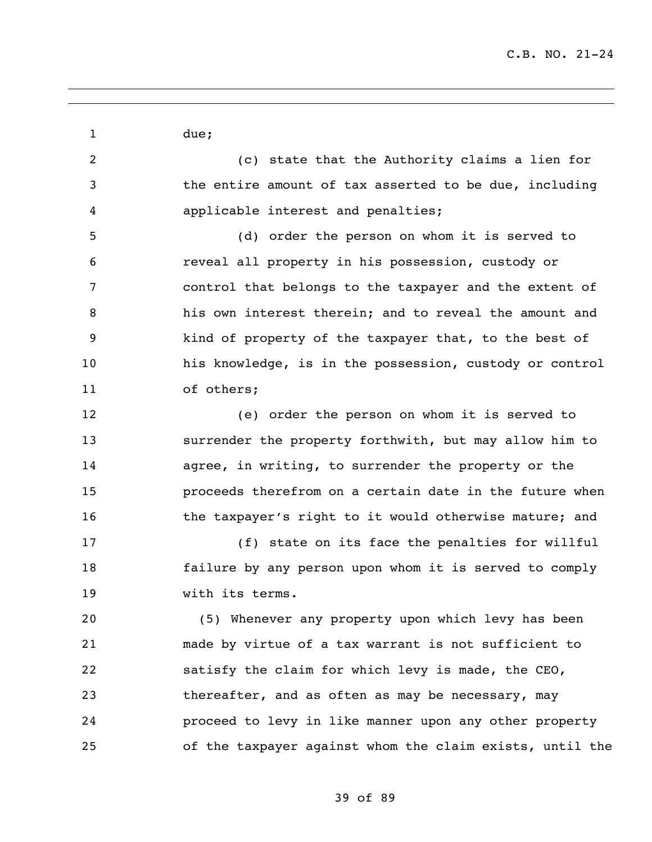1 due; (c) state that the Authority claims a lien for the entire amount of tax asserted to be due, including applicable interest and penalties; (d) order the person on whom it is served to reveal all property in his possession, custody or control that belongs to the taxpayer and the extent of his own interest therein; and to reveal the amount and kind of property of the taxpayer that, to the best of his knowledge, is in the possession, custody or control of others; (e) order the person on whom it is served to surrender the property forthwith, but may allow him to agree, in writing, to surrender the property or the proceeds therefrom on a certain date in the future when 16 the taxpayer's right to it would otherwise mature; and (f) state on its face the penalties for willful failure by any person upon whom it is served to comply with its terms. (5) Whenever any property upon which levy has been made by virtue of a tax warrant is not sufficient to satisfy the claim for which levy is made, the CEO, thereafter, and as often as may be necessary, may proceed to levy in like manner upon any other property of the taxpayer against whom the claim exists, until the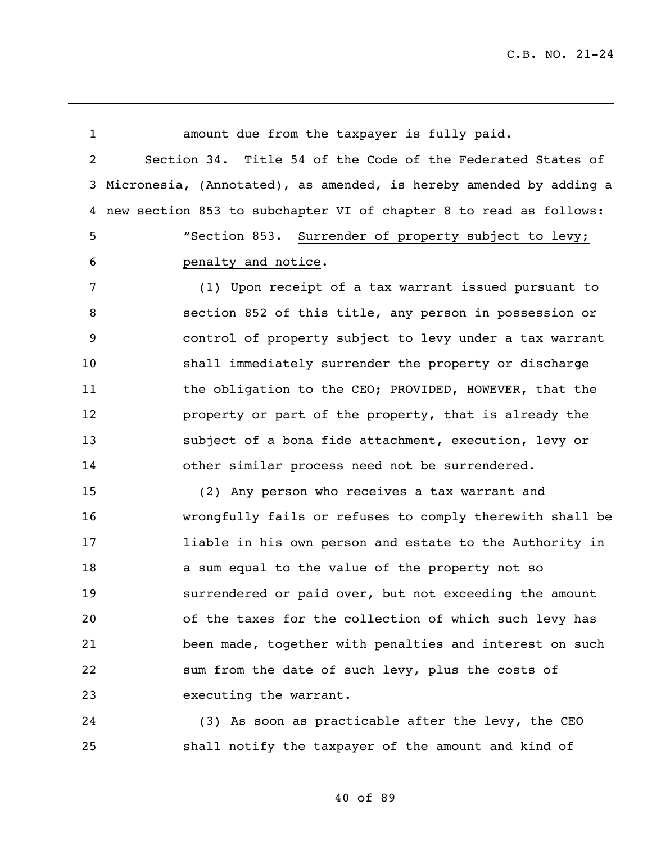| $\mathbf{1}$   | amount due from the taxpayer is fully paid.                          |
|----------------|----------------------------------------------------------------------|
| $\overline{a}$ | Section 34. Title 54 of the Code of the Federated States of          |
|                | 3 Micronesia, (Annotated), as amended, is hereby amended by adding a |
|                | 4 new section 853 to subchapter VI of chapter 8 to read as follows:  |
| 5              | "Section 853. Surrender of property subject to levy;                 |
| 6              | penalty and notice.                                                  |
| 7              | (1) Upon receipt of a tax warrant issued pursuant to                 |
| 8              | section 852 of this title, any person in possession or               |
| 9              | control of property subject to levy under a tax warrant              |
| 10             | shall immediately surrender the property or discharge                |
| 11             | the obligation to the CEO; PROVIDED, HOWEVER, that the               |
| 12             | property or part of the property, that is already the                |
| 13             | subject of a bona fide attachment, execution, levy or                |
| 14             | other similar process need not be surrendered.                       |
| 15             | (2) Any person who receives a tax warrant and                        |
| 16             | wrongfully fails or refuses to comply therewith shall be             |
| 17             | liable in his own person and estate to the Authority in              |
| 18             | a sum equal to the value of the property not so                      |
| 19             | surrendered or paid over, but not exceeding the amount               |
| 20             | of the taxes for the collection of which such levy has               |
| 21             | been made, together with penalties and interest on such              |
| 22             | sum from the date of such levy, plus the costs of                    |
| 23             | executing the warrant.                                               |
| 24             | (3) As soon as practicable after the levy, the CEO                   |
| 25             | shall notify the taxpayer of the amount and kind of                  |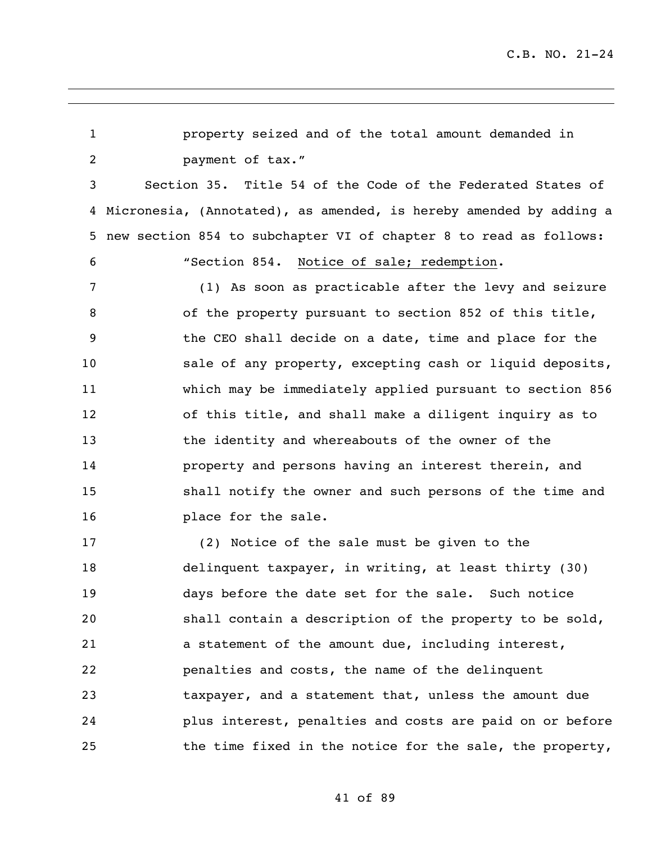property seized and of the total amount demanded in **payment of tax."**  Section 35. Title 54 of the Code of the Federated States of Micronesia, (Annotated), as amended, is hereby amended by adding a new section 854 to subchapter VI of chapter 8 to read as follows: "Section 854. Notice of sale; redemption. (1) As soon as practicable after the levy and seizure of the property pursuant to section 852 of this title, the CEO shall decide on a date, time and place for the sale of any property, excepting cash or liquid deposits, which may be immediately applied pursuant to section 856 of this title, and shall make a diligent inquiry as to the identity and whereabouts of the owner of the property and persons having an interest therein, and shall notify the owner and such persons of the time and place for the sale. (2) Notice of the sale must be given to the delinquent taxpayer, in writing, at least thirty (30) days before the date set for the sale. Such notice shall contain a description of the property to be sold, a statement of the amount due, including interest, penalties and costs, the name of the delinquent taxpayer, and a statement that, unless the amount due

41 of 89

plus interest, penalties and costs are paid on or before

the time fixed in the notice for the sale, the property,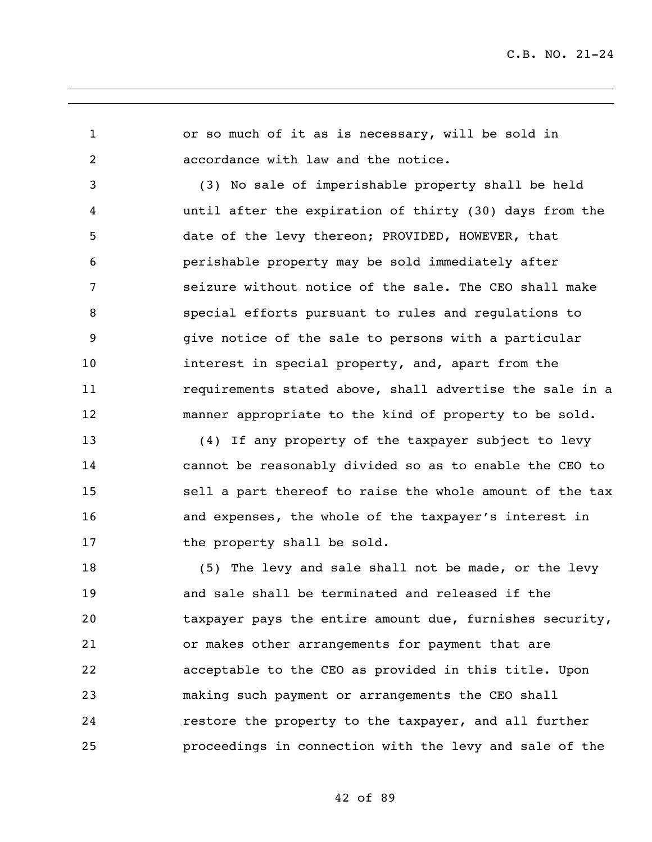or so much of it as is necessary, will be sold in accordance with law and the notice.

 (3) No sale of imperishable property shall be held until after the expiration of thirty (30) days from the date of the levy thereon; PROVIDED, HOWEVER, that perishable property may be sold immediately after seizure without notice of the sale. The CEO shall make special efforts pursuant to rules and regulations to give notice of the sale to persons with a particular interest in special property, and, apart from the requirements stated above, shall advertise the sale in a manner appropriate to the kind of property to be sold.

 (4) If any property of the taxpayer subject to levy cannot be reasonably divided so as to enable the CEO to sell a part thereof to raise the whole amount of the tax and expenses, the whole of the taxpayer's interest in 17 the property shall be sold.

 (5) The levy and sale shall not be made, or the levy and sale shall be terminated and released if the taxpayer pays the entire amount due, furnishes security, or makes other arrangements for payment that are acceptable to the CEO as provided in this title. Upon making such payment or arrangements the CEO shall restore the property to the taxpayer, and all further proceedings in connection with the levy and sale of the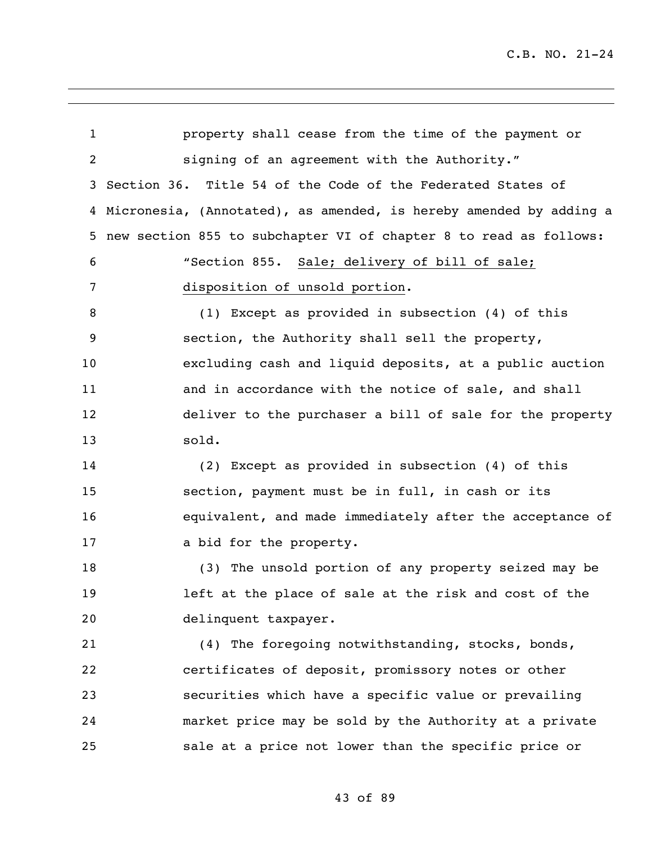property shall cease from the time of the payment or signing of an agreement with the Authority." Section 36. Title 54 of the Code of the Federated States of Micronesia, (Annotated), as amended, is hereby amended by adding a new section 855 to subchapter VI of chapter 8 to read as follows: "Section 855. Sale; delivery of bill of sale; disposition of unsold portion. (1) Except as provided in subsection (4) of this section, the Authority shall sell the property, excluding cash and liquid deposits, at a public auction and in accordance with the notice of sale, and shall deliver to the purchaser a bill of sale for the property sold. (2) Except as provided in subsection (4) of this section, payment must be in full, in cash or its equivalent, and made immediately after the acceptance of 17 a bid for the property. (3) The unsold portion of any property seized may be left at the place of sale at the risk and cost of the delinquent taxpayer. (4) The foregoing notwithstanding, stocks, bonds, certificates of deposit, promissory notes or other securities which have a specific value or prevailing market price may be sold by the Authority at a private sale at a price not lower than the specific price or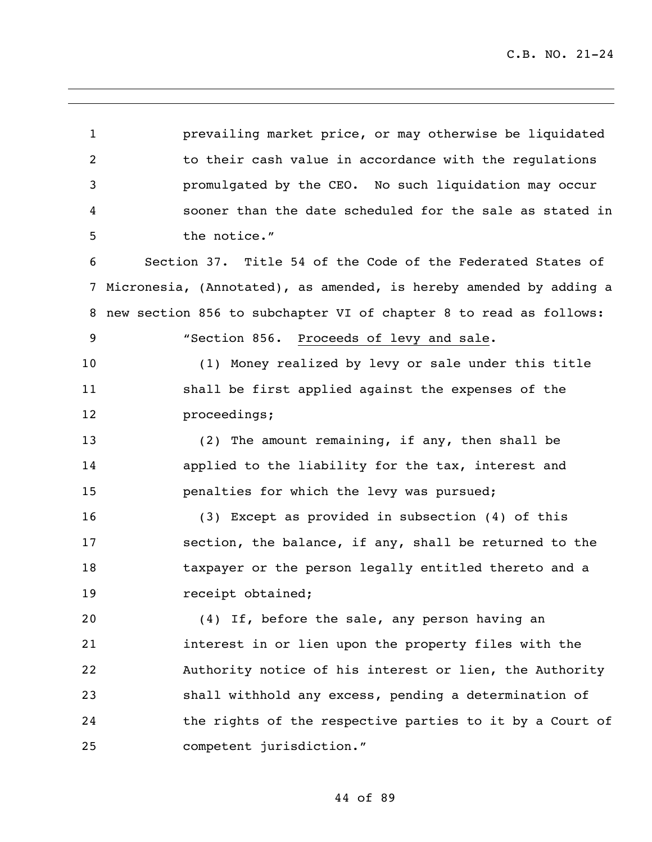prevailing market price, or may otherwise be liquidated to their cash value in accordance with the regulations promulgated by the CEO. No such liquidation may occur sooner than the date scheduled for the sale as stated in the notice." Section 37. Title 54 of the Code of the Federated States of Micronesia, (Annotated), as amended, is hereby amended by adding a new section 856 to subchapter VI of chapter 8 to read as follows: "Section 856. Proceeds of levy and sale. (1) Money realized by levy or sale under this title shall be first applied against the expenses of the proceedings; (2) The amount remaining, if any, then shall be applied to the liability for the tax, interest and penalties for which the levy was pursued; (3) Except as provided in subsection (4) of this section, the balance, if any, shall be returned to the taxpayer or the person legally entitled thereto and a 19 receipt obtained; (4) If, before the sale, any person having an interest in or lien upon the property files with the Authority notice of his interest or lien, the Authority shall withhold any excess, pending a determination of the rights of the respective parties to it by a Court of competent jurisdiction."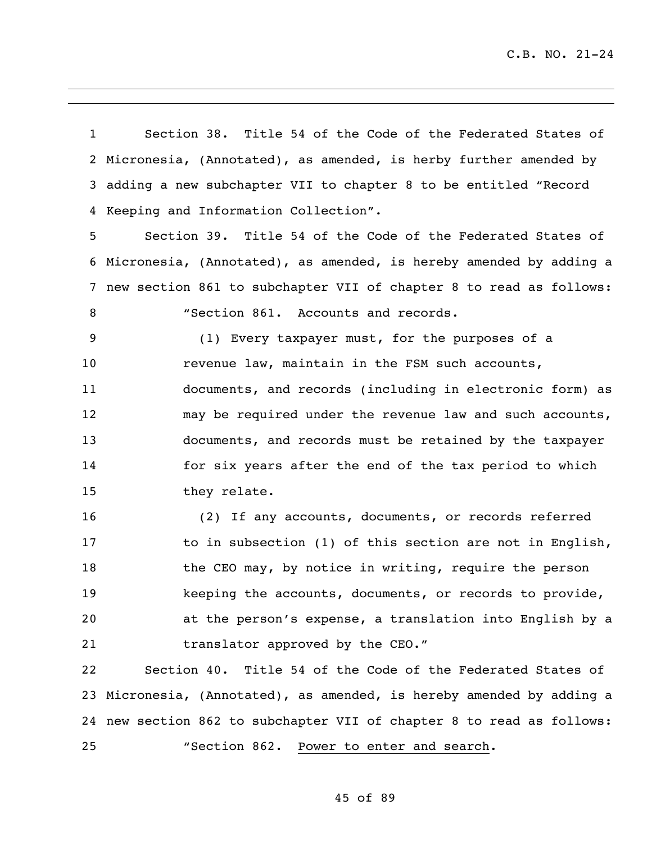Section 38. Title 54 of the Code of the Federated States of Micronesia, (Annotated), as amended, is herby further amended by adding a new subchapter VII to chapter 8 to be entitled "Record Keeping and Information Collection".

 Section 39. Title 54 of the Code of the Federated States of Micronesia, (Annotated), as amended, is hereby amended by adding a new section 861 to subchapter VII of chapter 8 to read as follows:

8 "Section 861. Accounts and records.

 (1) Every taxpayer must, for the purposes of a 10 revenue law, maintain in the FSM such accounts, documents, and records (including in electronic form) as may be required under the revenue law and such accounts, documents, and records must be retained by the taxpayer for six years after the end of the tax period to which they relate.

 (2) If any accounts, documents, or records referred 17 to in subsection (1) of this section are not in English, 18 the CEO may, by notice in writing, require the person keeping the accounts, documents, or records to provide, at the person's expense, a translation into English by a 21 translator approved by the CEO."

 Section 40. Title 54 of the Code of the Federated States of Micronesia, (Annotated), as amended, is hereby amended by adding a new section 862 to subchapter VII of chapter 8 to read as follows: "Section 862. Power to enter and search.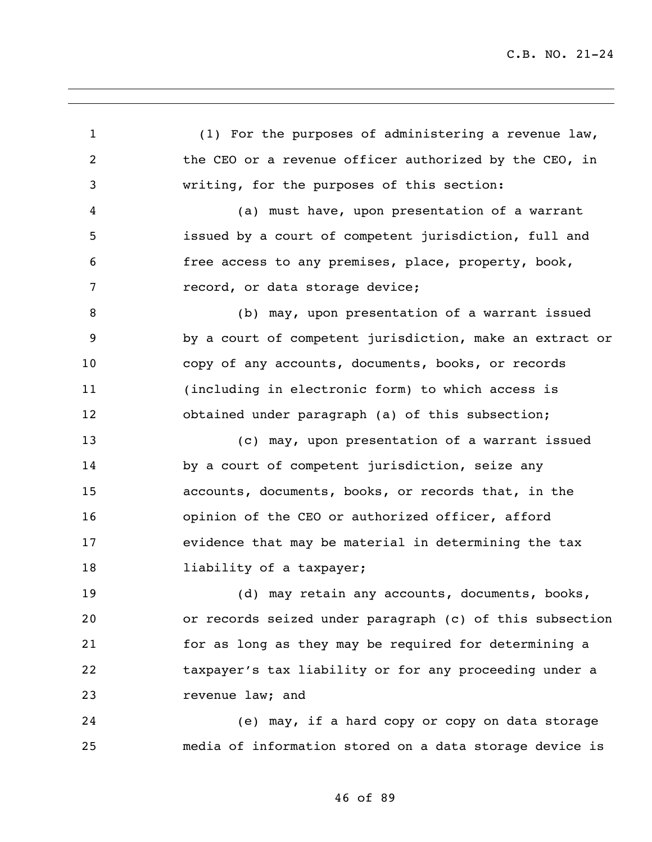(1) For the purposes of administering a revenue law, the CEO or a revenue officer authorized by the CEO, in writing, for the purposes of this section: (a) must have, upon presentation of a warrant issued by a court of competent jurisdiction, full and free access to any premises, place, property, book, record, or data storage device; (b) may, upon presentation of a warrant issued by a court of competent jurisdiction, make an extract or copy of any accounts, documents, books, or records (including in electronic form) to which access is obtained under paragraph (a) of this subsection; (c) may, upon presentation of a warrant issued by a court of competent jurisdiction, seize any accounts, documents, books, or records that, in the opinion of the CEO or authorized officer, afford evidence that may be material in determining the tax **liability of a taxpayer;**  (d) may retain any accounts, documents, books, or records seized under paragraph (c) of this subsection for as long as they may be required for determining a taxpayer's tax liability or for any proceeding under a revenue law; and (e) may, if a hard copy or copy on data storage media of information stored on a data storage device is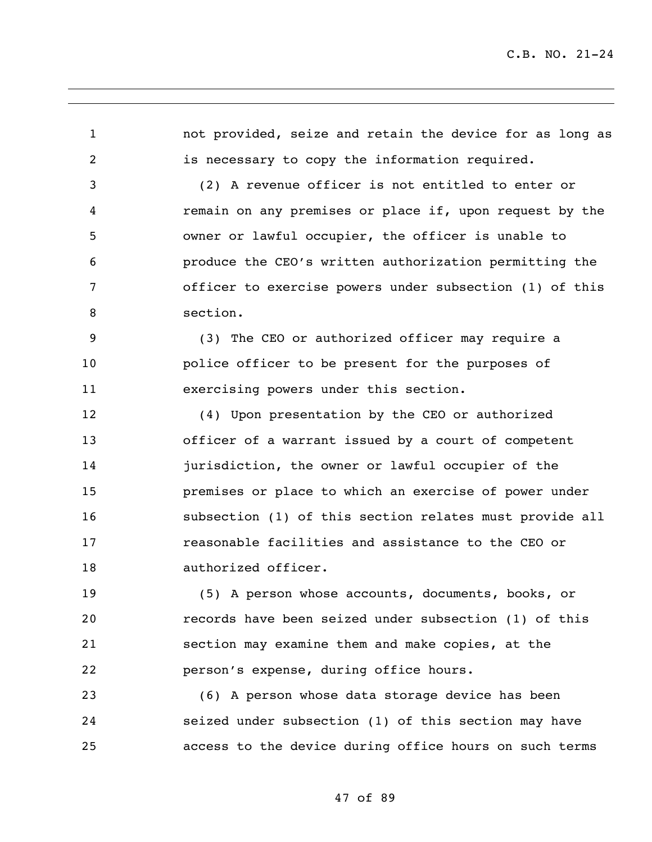not provided, seize and retain the device for as long as is necessary to copy the information required. (2) A revenue officer is not entitled to enter or remain on any premises or place if, upon request by the owner or lawful occupier, the officer is unable to produce the CEO's written authorization permitting the officer to exercise powers under subsection (1) of this section.

 (3) The CEO or authorized officer may require a police officer to be present for the purposes of exercising powers under this section.

 (4) Upon presentation by the CEO or authorized officer of a warrant issued by a court of competent jurisdiction, the owner or lawful occupier of the premises or place to which an exercise of power under subsection (1) of this section relates must provide all reasonable facilities and assistance to the CEO or authorized officer.

 (5) A person whose accounts, documents, books, or records have been seized under subsection (1) of this section may examine them and make copies, at the person's expense, during office hours.

 (6) A person whose data storage device has been seized under subsection (1) of this section may have access to the device during office hours on such terms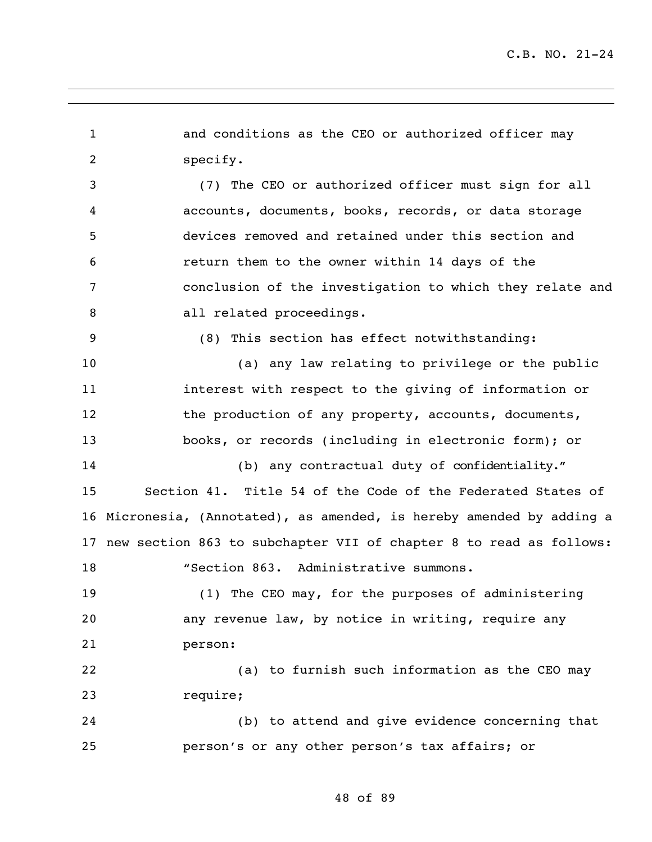and conditions as the CEO or authorized officer may specify. (7) The CEO or authorized officer must sign for all accounts, documents, books, records, or data storage devices removed and retained under this section and return them to the owner within 14 days of the conclusion of the investigation to which they relate and 8 all related proceedings. (8) This section has effect notwithstanding: (a) any law relating to privilege or the public interest with respect to the giving of information or 12 the production of any property, accounts, documents, books, or records (including in electronic form); or (b) any contractual duty of confidentiality." Section 41. Title 54 of the Code of the Federated States of Micronesia, (Annotated), as amended, is hereby amended by adding a new section 863 to subchapter VII of chapter 8 to read as follows: 18 "Section 863. Administrative summons. (1) The CEO may, for the purposes of administering any revenue law, by notice in writing, require any person: (a) to furnish such information as the CEO may require; (b) to attend and give evidence concerning that person's or any other person's tax affairs; or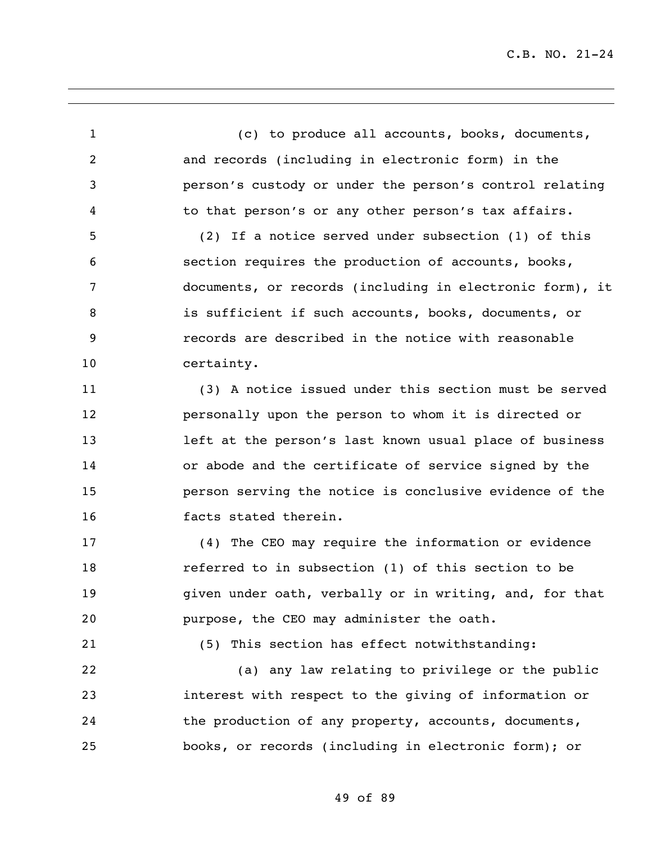(c) to produce all accounts, books, documents, and records (including in electronic form) in the person's custody or under the person's control relating to that person's or any other person's tax affairs. (2) If a notice served under subsection (1) of this section requires the production of accounts, books, documents, or records (including in electronic form), it is sufficient if such accounts, books, documents, or records are described in the notice with reasonable certainty. (3) A notice issued under this section must be served personally upon the person to whom it is directed or left at the person's last known usual place of business or abode and the certificate of service signed by the person serving the notice is conclusive evidence of the facts stated therein. (4) The CEO may require the information or evidence referred to in subsection (1) of this section to be given under oath, verbally or in writing, and, for that purpose, the CEO may administer the oath. (5) This section has effect notwithstanding: (a) any law relating to privilege or the public interest with respect to the giving of information or the production of any property, accounts, documents, books, or records (including in electronic form); or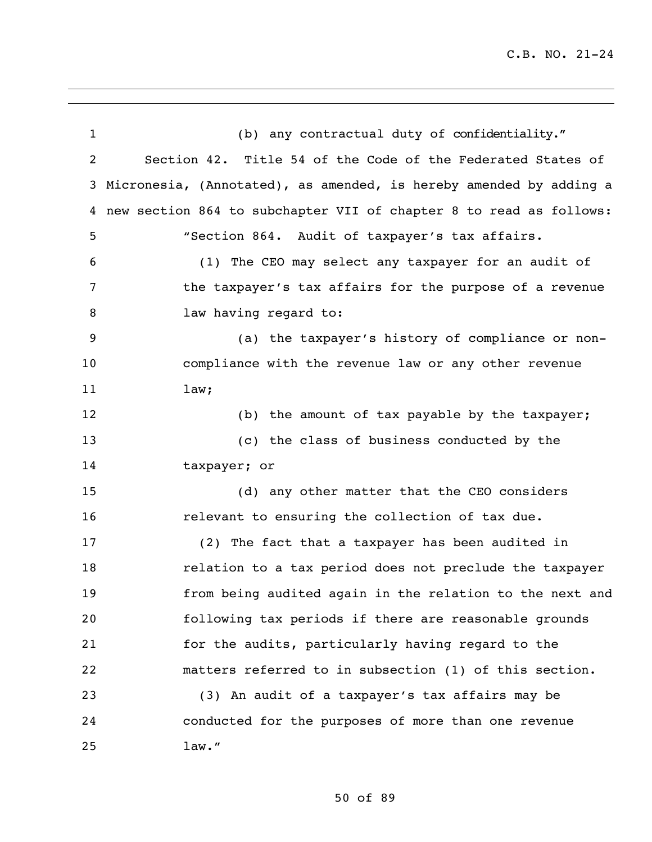| $\mathbf 1$ | (b) any contractual duty of confidentiality."                      |
|-------------|--------------------------------------------------------------------|
| 2           | Section 42. Title 54 of the Code of the Federated States of        |
| 3           | Micronesia, (Annotated), as amended, is hereby amended by adding a |
| 4           | new section 864 to subchapter VII of chapter 8 to read as follows: |
| 5           | "Section 864. Audit of taxpayer's tax affairs.                     |
| 6           | (1) The CEO may select any taxpayer for an audit of                |
| 7           | the taxpayer's tax affairs for the purpose of a revenue            |
| 8           | law having regard to:                                              |
| 9           | (a) the taxpayer's history of compliance or non-                   |
| 10          | compliance with the revenue law or any other revenue               |
| 11          | law;                                                               |
| 12          | (b) the amount of tax payable by the taxpayer;                     |
| 13          | (c) the class of business conducted by the                         |
| 14          | taxpayer; or                                                       |
| 15          | (d) any other matter that the CEO considers                        |
| 16          | relevant to ensuring the collection of tax due.                    |
| 17          | (2) The fact that a taxpayer has been audited in                   |
| 18          | relation to a tax period does not preclude the taxpayer            |
| 19          | from being audited again in the relation to the next and           |
| 20          | following tax periods if there are reasonable grounds              |
| 21          | for the audits, particularly having regard to the                  |
| 22          | matters referred to in subsection (1) of this section.             |
| 23          | (3) An audit of a taxpayer's tax affairs may be                    |
| 24          | conducted for the purposes of more than one revenue                |
| 25          | law."                                                              |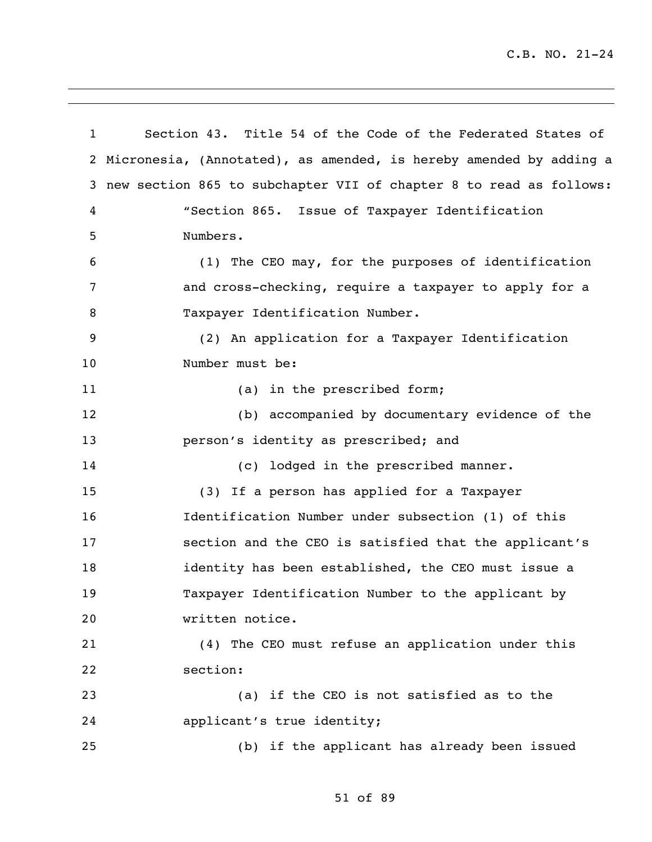Section 43. Title 54 of the Code of the Federated States of Micronesia, (Annotated), as amended, is hereby amended by adding a new section 865 to subchapter VII of chapter 8 to read as follows: "Section 865. Issue of Taxpayer Identification Numbers. (1) The CEO may, for the purposes of identification and cross-checking, require a taxpayer to apply for a 8 Taxpayer Identification Number. (2) An application for a Taxpayer Identification Number must be: 11 (a) in the prescribed form; (b) accompanied by documentary evidence of the person's identity as prescribed; and (c) lodged in the prescribed manner. (3) If a person has applied for a Taxpayer Identification Number under subsection (1) of this section and the CEO is satisfied that the applicant's identity has been established, the CEO must issue a Taxpayer Identification Number to the applicant by written notice. (4) The CEO must refuse an application under this section: (a) if the CEO is not satisfied as to the applicant's true identity; (b) if the applicant has already been issued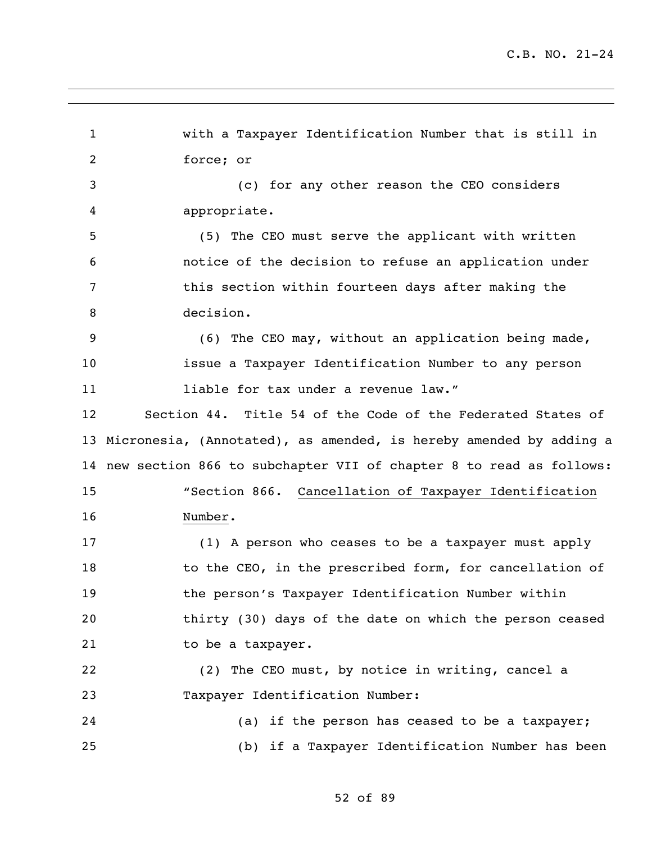with a Taxpayer Identification Number that is still in force; or (c) for any other reason the CEO considers appropriate. (5) The CEO must serve the applicant with written notice of the decision to refuse an application under this section within fourteen days after making the decision. (6) The CEO may, without an application being made, issue a Taxpayer Identification Number to any person **11** liable for tax under a revenue law." Section 44. Title 54 of the Code of the Federated States of Micronesia, (Annotated), as amended, is hereby amended by adding a new section 866 to subchapter VII of chapter 8 to read as follows: "Section 866. Cancellation of Taxpayer Identification Number. (1) A person who ceases to be a taxpayer must apply 18 to the CEO, in the prescribed form, for cancellation of the person's Taxpayer Identification Number within thirty (30) days of the date on which the person ceased 21 to be a taxpayer. (2) The CEO must, by notice in writing, cancel a Taxpayer Identification Number: (a) if the person has ceased to be a taxpayer; (b) if a Taxpayer Identification Number has been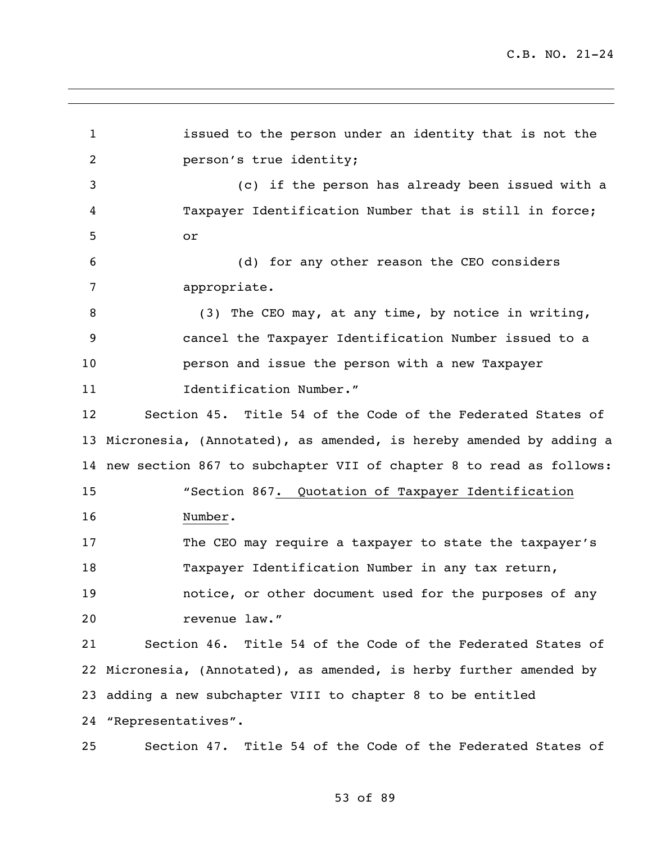issued to the person under an identity that is not the person's true identity; (c) if the person has already been issued with a Taxpayer Identification Number that is still in force; or (d) for any other reason the CEO considers appropriate. (3) The CEO may, at any time, by notice in writing, cancel the Taxpayer Identification Number issued to a person and issue the person with a new Taxpayer **Identification Number."**  Section 45. Title 54 of the Code of the Federated States of Micronesia, (Annotated), as amended, is hereby amended by adding a new section 867 to subchapter VII of chapter 8 to read as follows: "Section 867. Quotation of Taxpayer Identification Number. The CEO may require a taxpayer to state the taxpayer's Taxpayer Identification Number in any tax return, notice, or other document used for the purposes of any revenue law." Section 46. Title 54 of the Code of the Federated States of Micronesia, (Annotated), as amended, is herby further amended by adding a new subchapter VIII to chapter 8 to be entitled "Representatives". Section 47. Title 54 of the Code of the Federated States of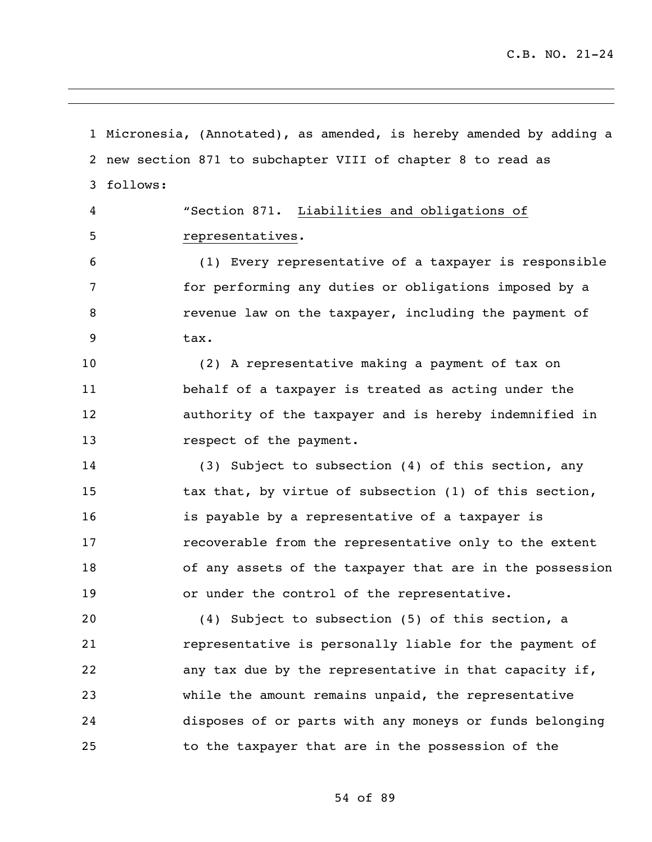Micronesia, (Annotated), as amended, is hereby amended by adding a new section 871 to subchapter VIII of chapter 8 to read as follows: "Section 871. Liabilities and obligations of representatives. (1) Every representative of a taxpayer is responsible for performing any duties or obligations imposed by a revenue law on the taxpayer, including the payment of tax. (2) A representative making a payment of tax on behalf of a taxpayer is treated as acting under the authority of the taxpayer and is hereby indemnified in 13 respect of the payment. (3) Subject to subsection (4) of this section, any tax that, by virtue of subsection (1) of this section, is payable by a representative of a taxpayer is recoverable from the representative only to the extent of any assets of the taxpayer that are in the possession or under the control of the representative. (4) Subject to subsection (5) of this section, a representative is personally liable for the payment of any tax due by the representative in that capacity if, while the amount remains unpaid, the representative disposes of or parts with any moneys or funds belonging to the taxpayer that are in the possession of the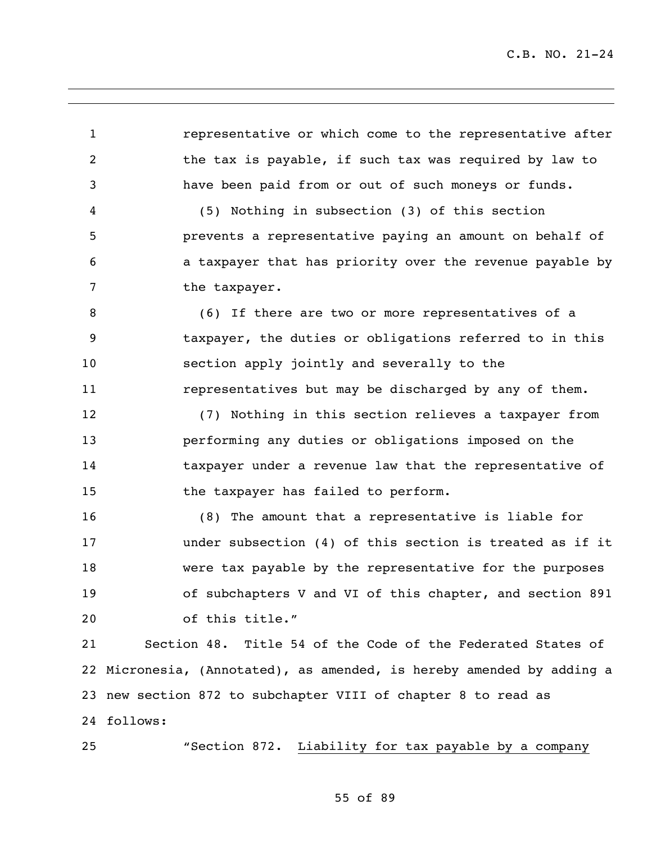representative or which come to the representative after the tax is payable, if such tax was required by law to have been paid from or out of such moneys or funds.

 (5) Nothing in subsection (3) of this section prevents a representative paying an amount on behalf of a taxpayer that has priority over the revenue payable by 7 the taxpayer.

 (6) If there are two or more representatives of a taxpayer, the duties or obligations referred to in this section apply jointly and severally to the representatives but may be discharged by any of them.

 (7) Nothing in this section relieves a taxpayer from performing any duties or obligations imposed on the taxpayer under a revenue law that the representative of 15 the taxpayer has failed to perform.

 (8) The amount that a representative is liable for under subsection (4) of this section is treated as if it were tax payable by the representative for the purposes of subchapters V and VI of this chapter, and section 891 of this title."

 Section 48. Title 54 of the Code of the Federated States of Micronesia, (Annotated), as amended, is hereby amended by adding a new section 872 to subchapter VIII of chapter 8 to read as follows:

"Section 872. Liability for tax payable by a company

55 of 89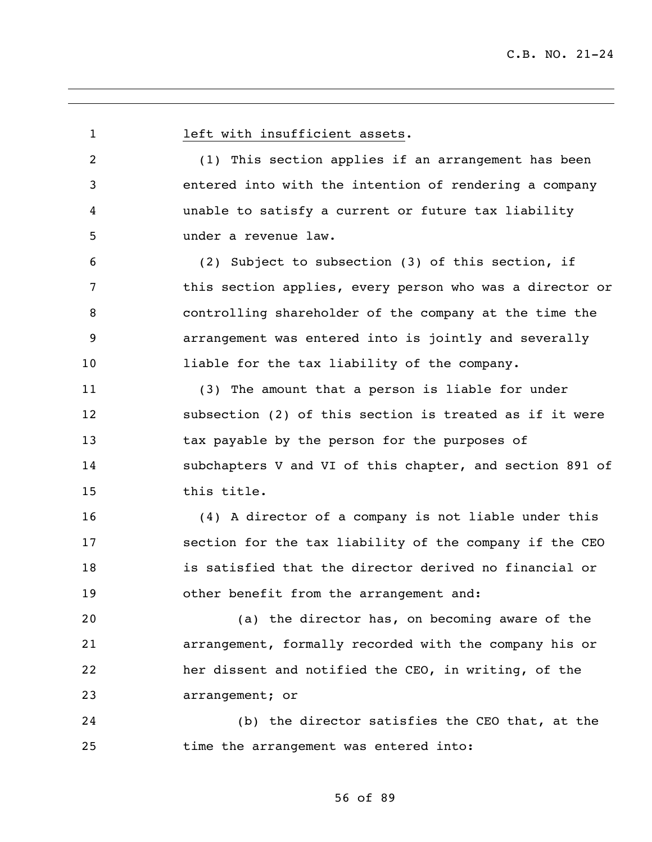1 left with insufficient assets. (1) This section applies if an arrangement has been entered into with the intention of rendering a company unable to satisfy a current or future tax liability under a revenue law. (2) Subject to subsection (3) of this section, if this section applies, every person who was a director or controlling shareholder of the company at the time the arrangement was entered into is jointly and severally liable for the tax liability of the company. (3) The amount that a person is liable for under subsection (2) of this section is treated as if it were tax payable by the person for the purposes of subchapters V and VI of this chapter, and section 891 of this title. (4) A director of a company is not liable under this section for the tax liability of the company if the CEO is satisfied that the director derived no financial or other benefit from the arrangement and: (a) the director has, on becoming aware of the arrangement, formally recorded with the company his or her dissent and notified the CEO, in writing, of the arrangement; or (b) the director satisfies the CEO that, at the time the arrangement was entered into: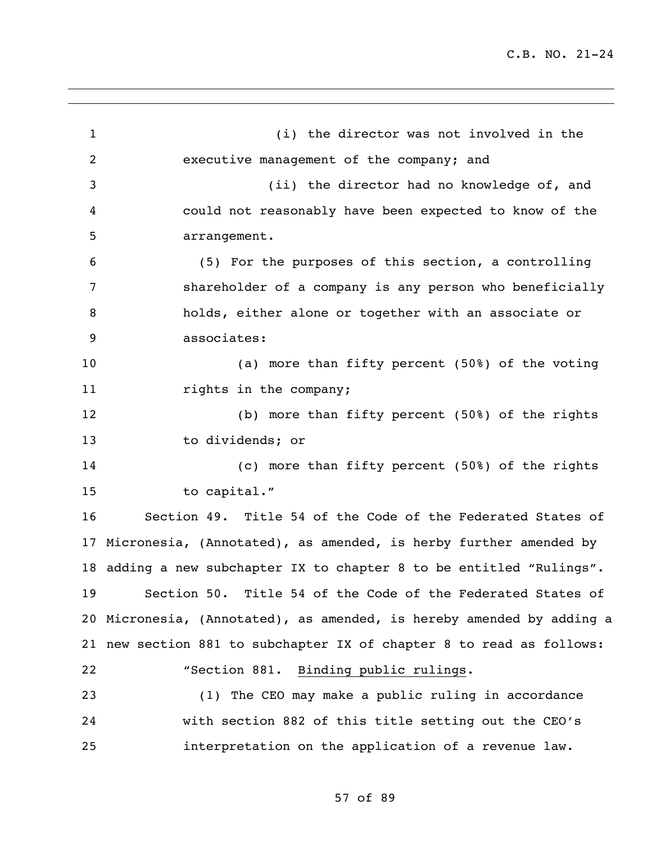| $\mathbf{1}$ | (i) the director was not involved in the                              |
|--------------|-----------------------------------------------------------------------|
| 2            | executive management of the company; and                              |
| 3            | (ii) the director had no knowledge of, and                            |
| 4            | could not reasonably have been expected to know of the                |
| 5            | arrangement.                                                          |
| 6            | (5) For the purposes of this section, a controlling                   |
| 7            | shareholder of a company is any person who beneficially               |
| 8            | holds, either alone or together with an associate or                  |
| 9            | associates:                                                           |
| 10           | (a) more than fifty percent (50%) of the voting                       |
| 11           | rights in the company;                                                |
| 12           | (b) more than fifty percent (50%) of the rights                       |
| 13           | to dividends; or                                                      |
| 14           | (c) more than fifty percent (50%) of the rights                       |
| 15           | to capital."                                                          |
| 16           | Section 49. Title 54 of the Code of the Federated States of           |
|              | 17 Micronesia, (Annotated), as amended, is herby further amended by   |
|              | 18 adding a new subchapter IX to chapter 8 to be entitled "Rulings".  |
|              | 19 Section 50. Title 54 of the Code of the Federated States of        |
|              | 20 Micronesia, (Annotated), as amended, is hereby amended by adding a |
|              | 21 new section 881 to subchapter IX of chapter 8 to read as follows:  |
| 22           | "Section 881. Binding public rulings.                                 |
| 23           | (1) The CEO may make a public ruling in accordance                    |
| 24           | with section 882 of this title setting out the CEO's                  |
| 25           | interpretation on the application of a revenue law.                   |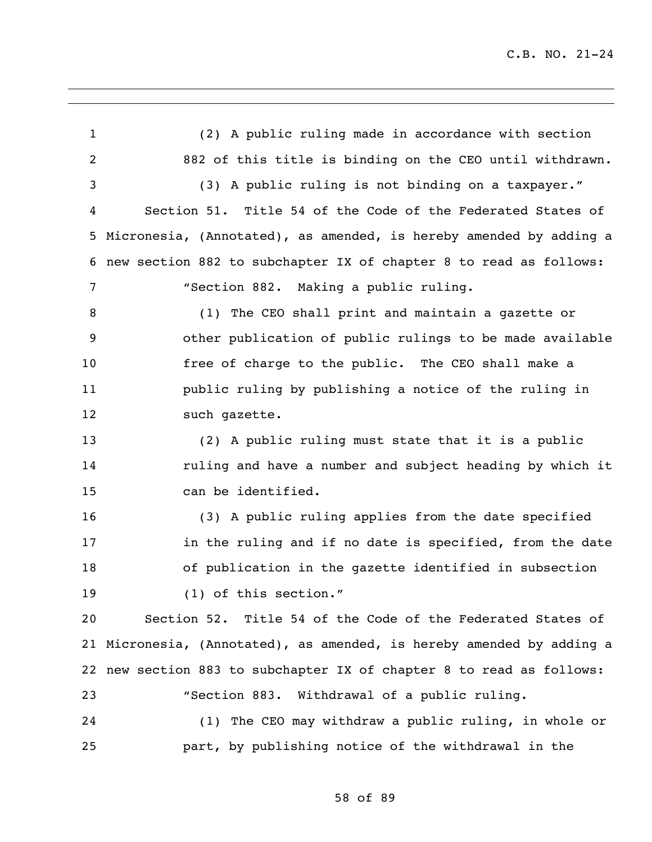(2) A public ruling made in accordance with section 882 of this title is binding on the CEO until withdrawn. (3) A public ruling is not binding on a taxpayer." Section 51. Title 54 of the Code of the Federated States of Micronesia, (Annotated), as amended, is hereby amended by adding a new section 882 to subchapter IX of chapter 8 to read as follows: "Section 882. Making a public ruling. (1) The CEO shall print and maintain a gazette or other publication of public rulings to be made available free of charge to the public. The CEO shall make a public ruling by publishing a notice of the ruling in 12 such gazette. (2) A public ruling must state that it is a public ruling and have a number and subject heading by which it can be identified. (3) A public ruling applies from the date specified in the ruling and if no date is specified, from the date of publication in the gazette identified in subsection (1) of this section." Section 52. Title 54 of the Code of the Federated States of Micronesia, (Annotated), as amended, is hereby amended by adding a new section 883 to subchapter IX of chapter 8 to read as follows: "Section 883. Withdrawal of a public ruling. (1) The CEO may withdraw a public ruling, in whole or part, by publishing notice of the withdrawal in the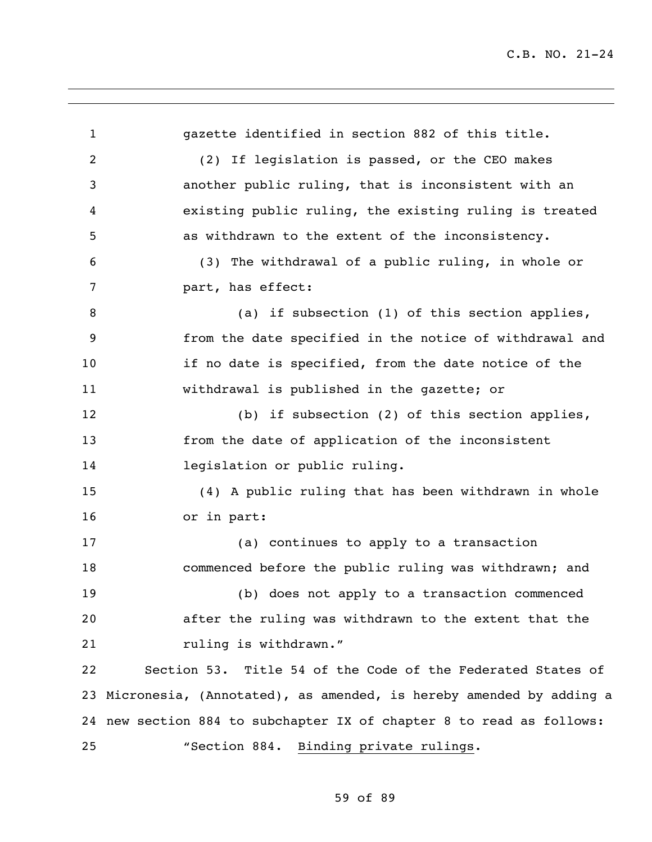gazette identified in section 882 of this title. (2) If legislation is passed, or the CEO makes another public ruling, that is inconsistent with an existing public ruling, the existing ruling is treated as withdrawn to the extent of the inconsistency. (3) The withdrawal of a public ruling, in whole or part, has effect: 8 (a) if subsection (1) of this section applies, from the date specified in the notice of withdrawal and if no date is specified, from the date notice of the withdrawal is published in the gazette; or (b) if subsection (2) of this section applies, from the date of application of the inconsistent legislation or public ruling. (4) A public ruling that has been withdrawn in whole or in part: (a) continues to apply to a transaction commenced before the public ruling was withdrawn; and (b) does not apply to a transaction commenced after the ruling was withdrawn to the extent that the 21 ruling is withdrawn." Section 53. Title 54 of the Code of the Federated States of Micronesia, (Annotated), as amended, is hereby amended by adding a new section 884 to subchapter IX of chapter 8 to read as follows: "Section 884. Binding private rulings.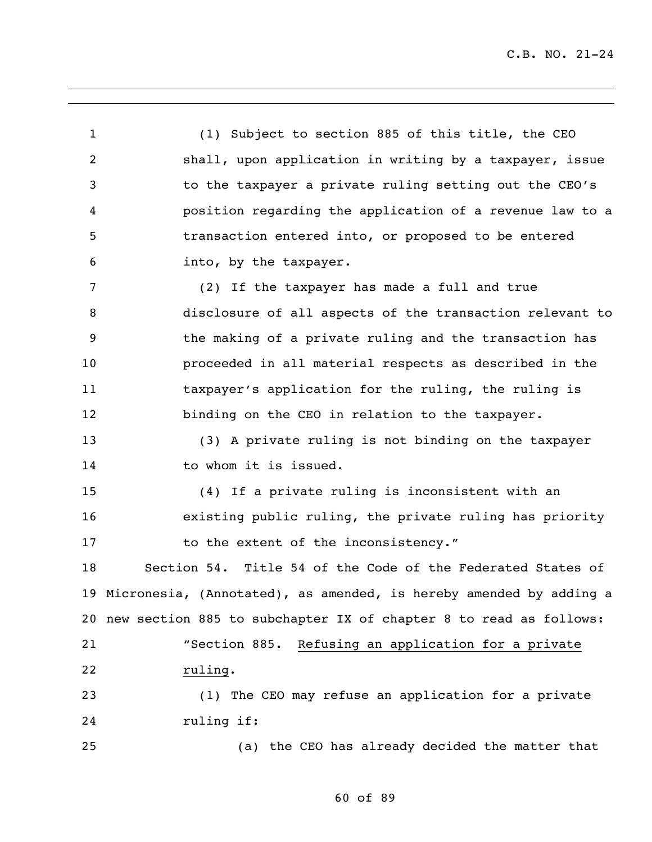(1) Subject to section 885 of this title, the CEO shall, upon application in writing by a taxpayer, issue to the taxpayer a private ruling setting out the CEO's position regarding the application of a revenue law to a transaction entered into, or proposed to be entered into, by the taxpayer. (2) If the taxpayer has made a full and true disclosure of all aspects of the transaction relevant to the making of a private ruling and the transaction has proceeded in all material respects as described in the 11 taxpayer's application for the ruling, the ruling is 12 binding on the CEO in relation to the taxpayer. (3) A private ruling is not binding on the taxpayer 14 to whom it is issued. (4) If a private ruling is inconsistent with an existing public ruling, the private ruling has priority 17 to the extent of the inconsistency." Section 54. Title 54 of the Code of the Federated States of Micronesia, (Annotated), as amended, is hereby amended by adding a new section 885 to subchapter IX of chapter 8 to read as follows: "Section 885. Refusing an application for a private ruling. (1) The CEO may refuse an application for a private ruling if: (a) the CEO has already decided the matter that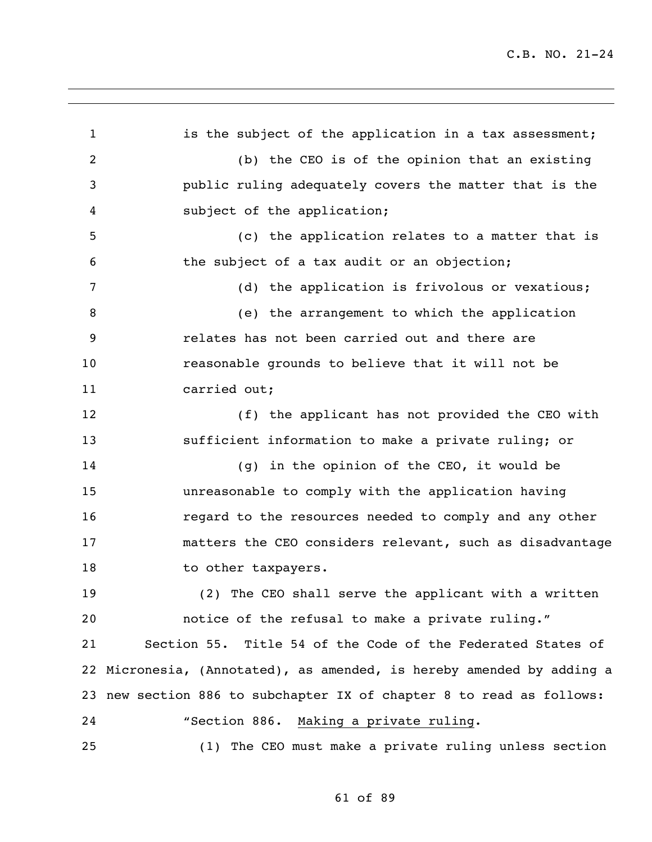1 is the subject of the application in a tax assessment; (b) the CEO is of the opinion that an existing public ruling adequately covers the matter that is the subject of the application; (c) the application relates to a matter that is the subject of a tax audit or an objection; (d) the application is frivolous or vexatious; (e) the arrangement to which the application relates has not been carried out and there are reasonable grounds to believe that it will not be carried out; (f) the applicant has not provided the CEO with sufficient information to make a private ruling; or (g) in the opinion of the CEO, it would be unreasonable to comply with the application having regard to the resources needed to comply and any other matters the CEO considers relevant, such as disadvantage 18 to other taxpayers. (2) The CEO shall serve the applicant with a written notice of the refusal to make a private ruling." Section 55. Title 54 of the Code of the Federated States of Micronesia, (Annotated), as amended, is hereby amended by adding a new section 886 to subchapter IX of chapter 8 to read as follows: "Section 886. Making a private ruling. (1) The CEO must make a private ruling unless section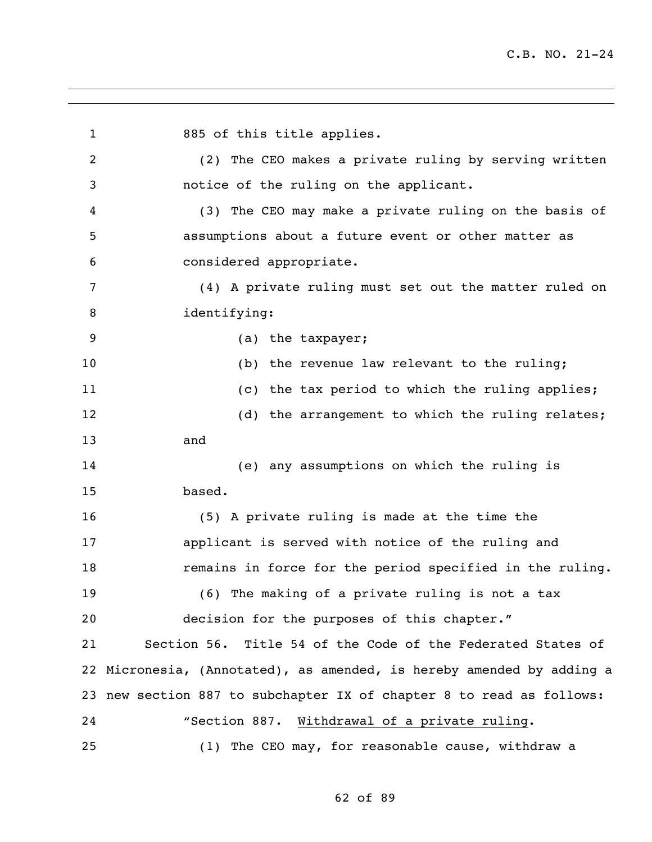1 885 of this title applies. (2) The CEO makes a private ruling by serving written notice of the ruling on the applicant. (3) The CEO may make a private ruling on the basis of assumptions about a future event or other matter as considered appropriate. (4) A private ruling must set out the matter ruled on identifying: (a) the taxpayer; (b) the revenue law relevant to the ruling; (c) the tax period to which the ruling applies; 12 (d) the arrangement to which the ruling relates; and (e) any assumptions on which the ruling is based. (5) A private ruling is made at the time the applicant is served with notice of the ruling and remains in force for the period specified in the ruling. (6) The making of a private ruling is not a tax decision for the purposes of this chapter." Section 56. Title 54 of the Code of the Federated States of Micronesia, (Annotated), as amended, is hereby amended by adding a new section 887 to subchapter IX of chapter 8 to read as follows: "Section 887. Withdrawal of a private ruling. (1) The CEO may, for reasonable cause, withdraw a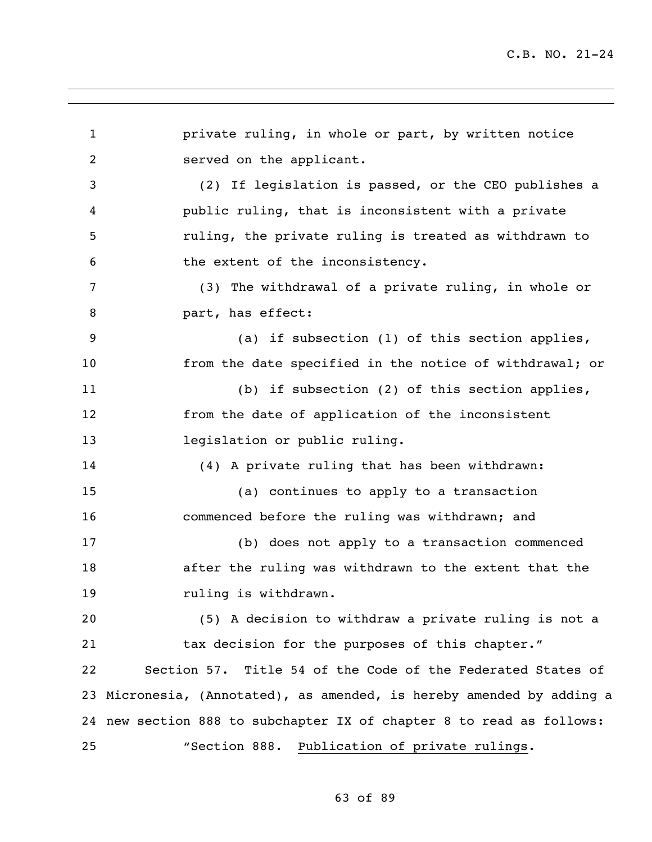private ruling, in whole or part, by written notice served on the applicant. (2) If legislation is passed, or the CEO publishes a public ruling, that is inconsistent with a private ruling, the private ruling is treated as withdrawn to the extent of the inconsistency. (3) The withdrawal of a private ruling, in whole or **part, has effect:**  (a) if subsection (1) of this section applies, from the date specified in the notice of withdrawal; or (b) if subsection (2) of this section applies, from the date of application of the inconsistent legislation or public ruling. (4) A private ruling that has been withdrawn: (a) continues to apply to a transaction commenced before the ruling was withdrawn; and (b) does not apply to a transaction commenced after the ruling was withdrawn to the extent that the **ruling is withdrawn.**  (5) A decision to withdraw a private ruling is not a tax decision for the purposes of this chapter." Section 57. Title 54 of the Code of the Federated States of Micronesia, (Annotated), as amended, is hereby amended by adding a new section 888 to subchapter IX of chapter 8 to read as follows: "Section 888. Publication of private rulings.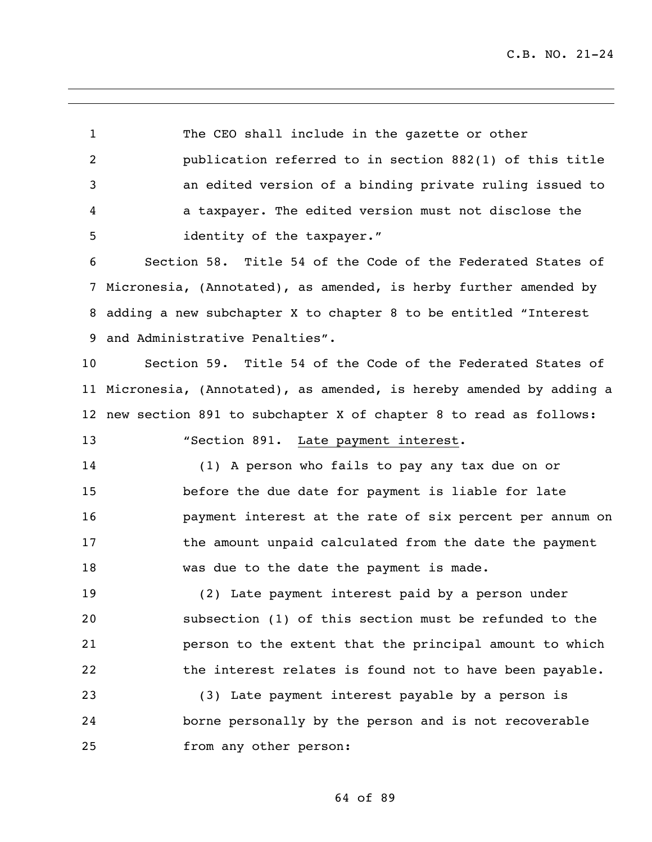The CEO shall include in the gazette or other publication referred to in section 882(1) of this title an edited version of a binding private ruling issued to a taxpayer. The edited version must not disclose the identity of the taxpayer."

 Section 58. Title 54 of the Code of the Federated States of Micronesia, (Annotated), as amended, is herby further amended by adding a new subchapter X to chapter 8 to be entitled "Interest and Administrative Penalties".

 Section 59. Title 54 of the Code of the Federated States of Micronesia, (Annotated), as amended, is hereby amended by adding a new section 891 to subchapter X of chapter 8 to read as follows:

"Section 891. Late payment interest.

 (1) A person who fails to pay any tax due on or before the due date for payment is liable for late payment interest at the rate of six percent per annum on the amount unpaid calculated from the date the payment was due to the date the payment is made.

 (2) Late payment interest paid by a person under subsection (1) of this section must be refunded to the person to the extent that the principal amount to which the interest relates is found not to have been payable.

 (3) Late payment interest payable by a person is borne personally by the person and is not recoverable from any other person: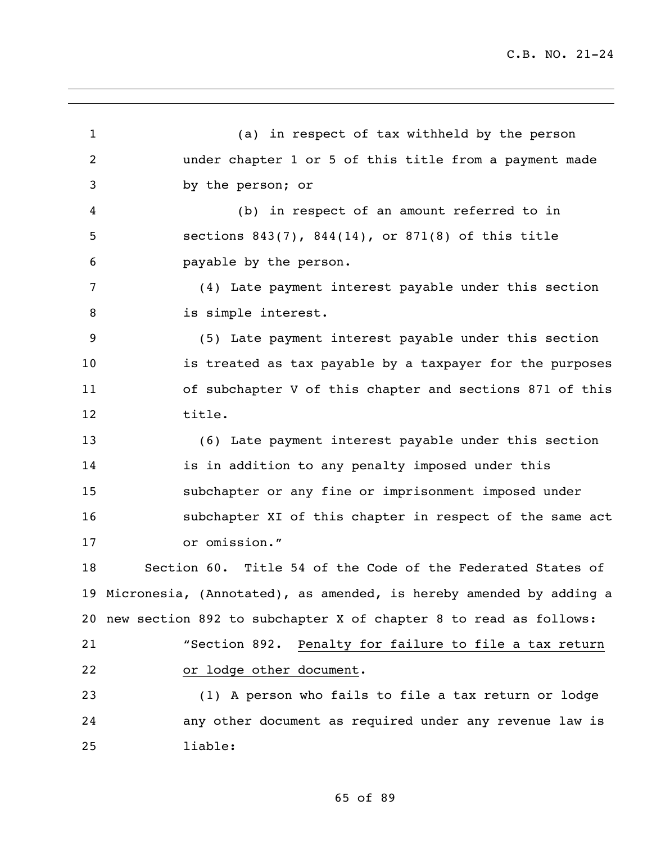(a) in respect of tax withheld by the person under chapter 1 or 5 of this title from a payment made by the person; or (b) in respect of an amount referred to in sections 843(7), 844(14), or 871(8) of this title payable by the person. (4) Late payment interest payable under this section 8 is simple interest. (5) Late payment interest payable under this section is treated as tax payable by a taxpayer for the purposes of subchapter V of this chapter and sections 871 of this title. (6) Late payment interest payable under this section is in addition to any penalty imposed under this subchapter or any fine or imprisonment imposed under subchapter XI of this chapter in respect of the same act or omission." Section 60. Title 54 of the Code of the Federated States of Micronesia, (Annotated), as amended, is hereby amended by adding a new section 892 to subchapter X of chapter 8 to read as follows: "Section 892. Penalty for failure to file a tax return or lodge other document. (1) A person who fails to file a tax return or lodge any other document as required under any revenue law is liable: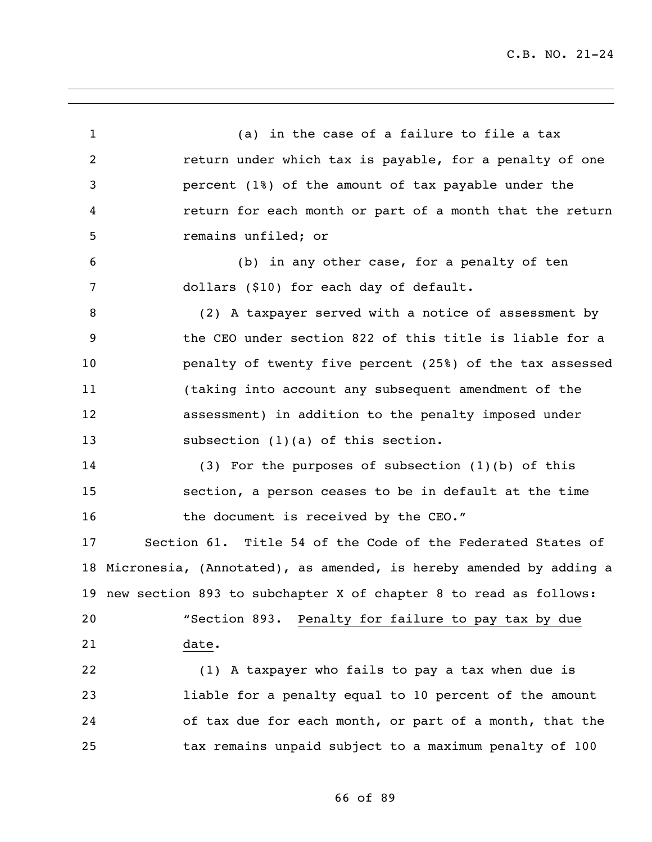(a) in the case of a failure to file a tax **2** return under which tax is payable, for a penalty of one percent (1%) of the amount of tax payable under the return for each month or part of a month that the return remains unfiled; or (b) in any other case, for a penalty of ten dollars (\$10) for each day of default. (2) A taxpayer served with a notice of assessment by the CEO under section 822 of this title is liable for a penalty of twenty five percent (25%) of the tax assessed (taking into account any subsequent amendment of the assessment) in addition to the penalty imposed under 13 subsection (1)(a) of this section. (3) For the purposes of subsection (1)(b) of this section, a person ceases to be in default at the time 16 the document is received by the CEO." Section 61. Title 54 of the Code of the Federated States of Micronesia, (Annotated), as amended, is hereby amended by adding a new section 893 to subchapter X of chapter 8 to read as follows: "Section 893. Penalty for failure to pay tax by due date. (1) A taxpayer who fails to pay a tax when due is liable for a penalty equal to 10 percent of the amount of tax due for each month, or part of a month, that the tax remains unpaid subject to a maximum penalty of 100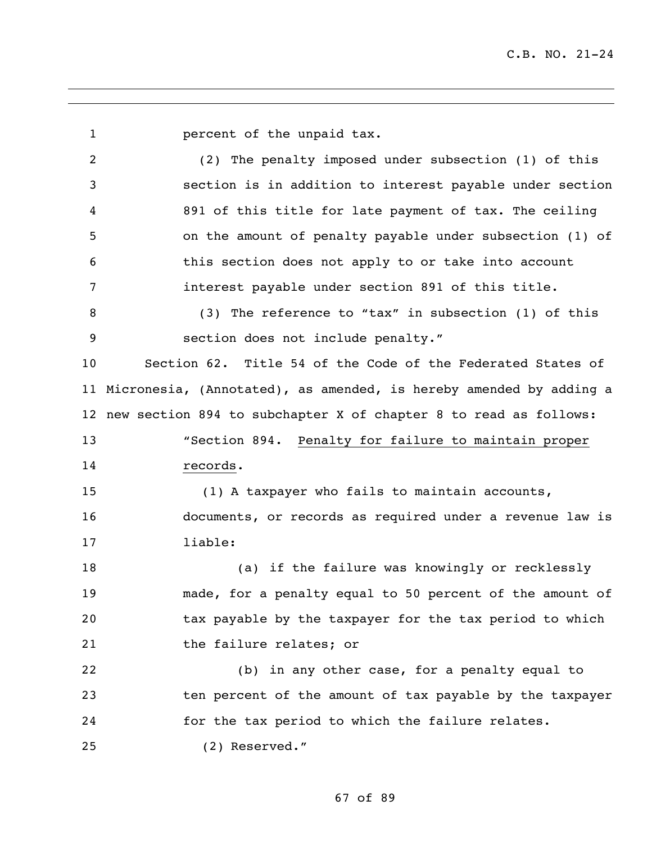percent of the unpaid tax. (2) The penalty imposed under subsection (1) of this section is in addition to interest payable under section 891 of this title for late payment of tax. The ceiling on the amount of penalty payable under subsection (1) of this section does not apply to or take into account interest payable under section 891 of this title. (3) The reference to "tax" in subsection (1) of this section does not include penalty." Section 62. Title 54 of the Code of the Federated States of Micronesia, (Annotated), as amended, is hereby amended by adding a new section 894 to subchapter X of chapter 8 to read as follows: "Section 894. Penalty for failure to maintain proper records. (1) A taxpayer who fails to maintain accounts, documents, or records as required under a revenue law is liable: (a) if the failure was knowingly or recklessly made, for a penalty equal to 50 percent of the amount of tax payable by the taxpayer for the tax period to which 21 the failure relates; or (b) in any other case, for a penalty equal to ten percent of the amount of tax payable by the taxpayer for the tax period to which the failure relates. (2) Reserved."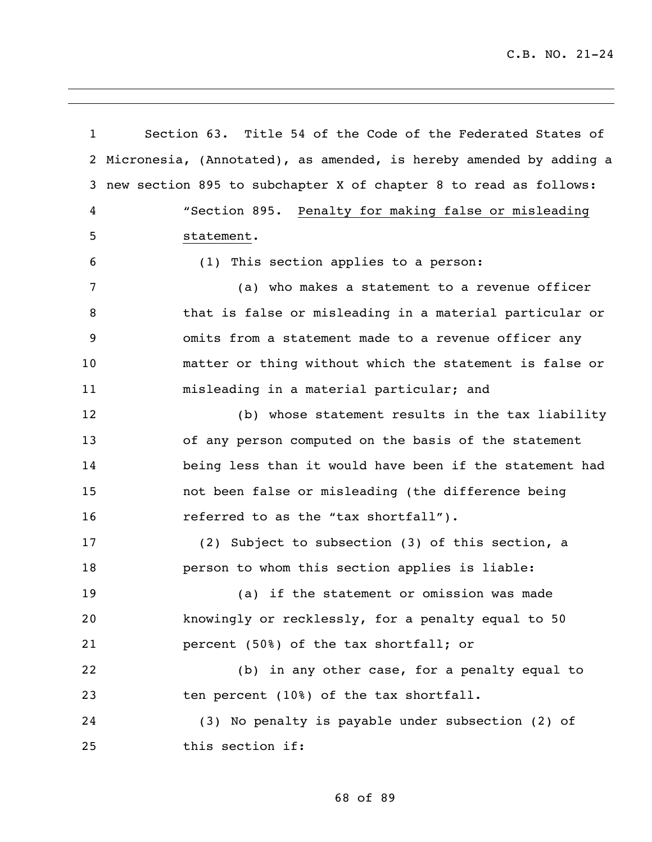Section 63. Title 54 of the Code of the Federated States of Micronesia, (Annotated), as amended, is hereby amended by adding a new section 895 to subchapter X of chapter 8 to read as follows: "Section 895. Penalty for making false or misleading statement. (1) This section applies to a person: (a) who makes a statement to a revenue officer that is false or misleading in a material particular or omits from a statement made to a revenue officer any matter or thing without which the statement is false or misleading in a material particular; and (b) whose statement results in the tax liability of any person computed on the basis of the statement being less than it would have been if the statement had not been false or misleading (the difference being 16 referred to as the "tax shortfall"). (2) Subject to subsection (3) of this section, a person to whom this section applies is liable: (a) if the statement or omission was made knowingly or recklessly, for a penalty equal to 50 percent (50%) of the tax shortfall; or (b) in any other case, for a penalty equal to ten percent (10%) of the tax shortfall. (3) No penalty is payable under subsection (2) of this section if: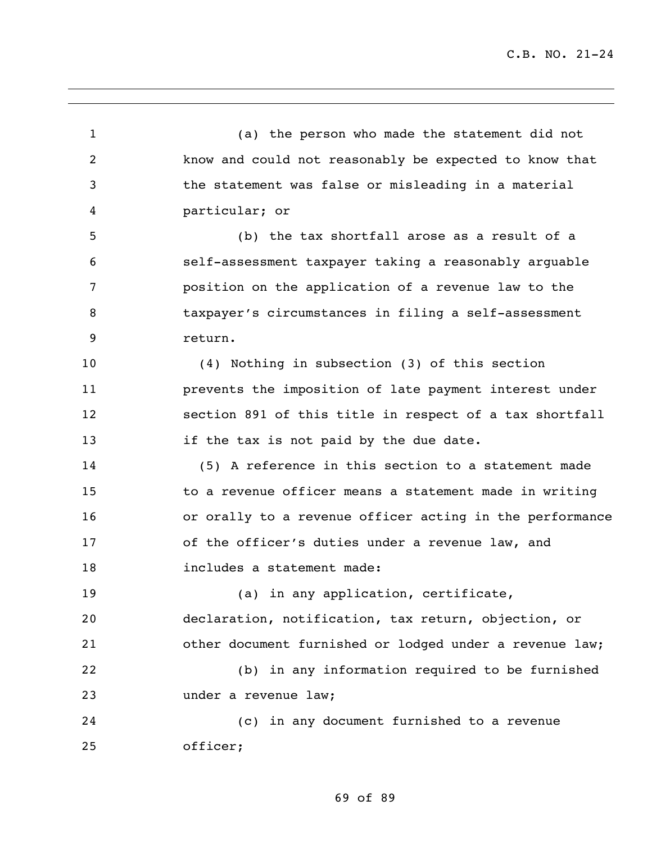(a) the person who made the statement did not know and could not reasonably be expected to know that the statement was false or misleading in a material particular; or (b) the tax shortfall arose as a result of a self-assessment taxpayer taking a reasonably arguable position on the application of a revenue law to the taxpayer's circumstances in filing a self-assessment return. (4) Nothing in subsection (3) of this section prevents the imposition of late payment interest under section 891 of this title in respect of a tax shortfall **if the tax is not paid by the due date.**  (5) A reference in this section to a statement made to a revenue officer means a statement made in writing or orally to a revenue officer acting in the performance of the officer's duties under a revenue law, and 18 includes a statement made: 19 (a) in any application, certificate, declaration, notification, tax return, objection, or other document furnished or lodged under a revenue law; (b) in any information required to be furnished under a revenue law; (c) in any document furnished to a revenue officer;

69 of 89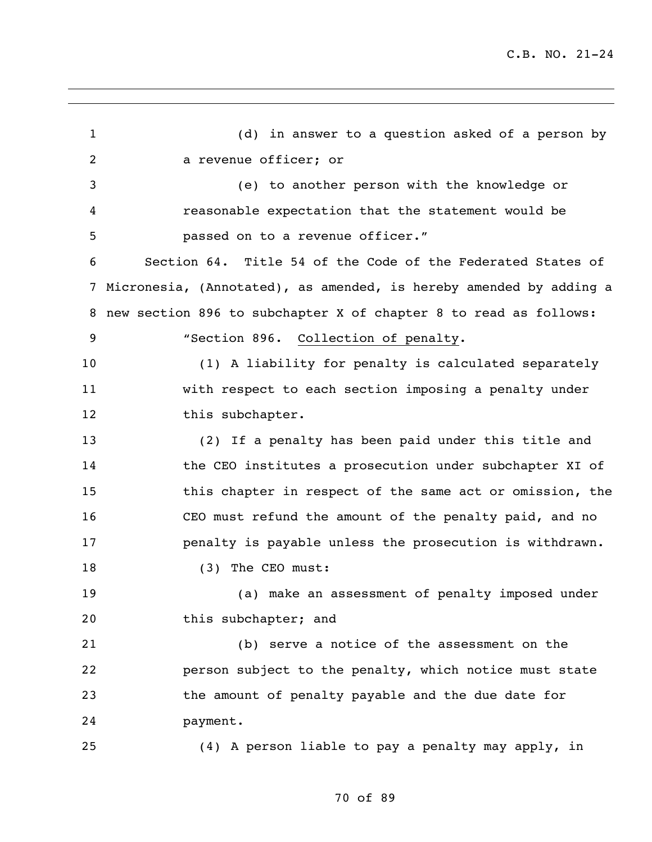(d) in answer to a question asked of a person by a revenue officer; or (e) to another person with the knowledge or reasonable expectation that the statement would be passed on to a revenue officer." Section 64. Title 54 of the Code of the Federated States of Micronesia, (Annotated), as amended, is hereby amended by adding a new section 896 to subchapter X of chapter 8 to read as follows: "Section 896. Collection of penalty. (1) A liability for penalty is calculated separately with respect to each section imposing a penalty under 12 this subchapter. (2) If a penalty has been paid under this title and the CEO institutes a prosecution under subchapter XI of this chapter in respect of the same act or omission, the CEO must refund the amount of the penalty paid, and no penalty is payable unless the prosecution is withdrawn. 18 (3) The CEO must: (a) make an assessment of penalty imposed under 20 this subchapter; and (b) serve a notice of the assessment on the person subject to the penalty, which notice must state the amount of penalty payable and the due date for payment. (4) A person liable to pay a penalty may apply, in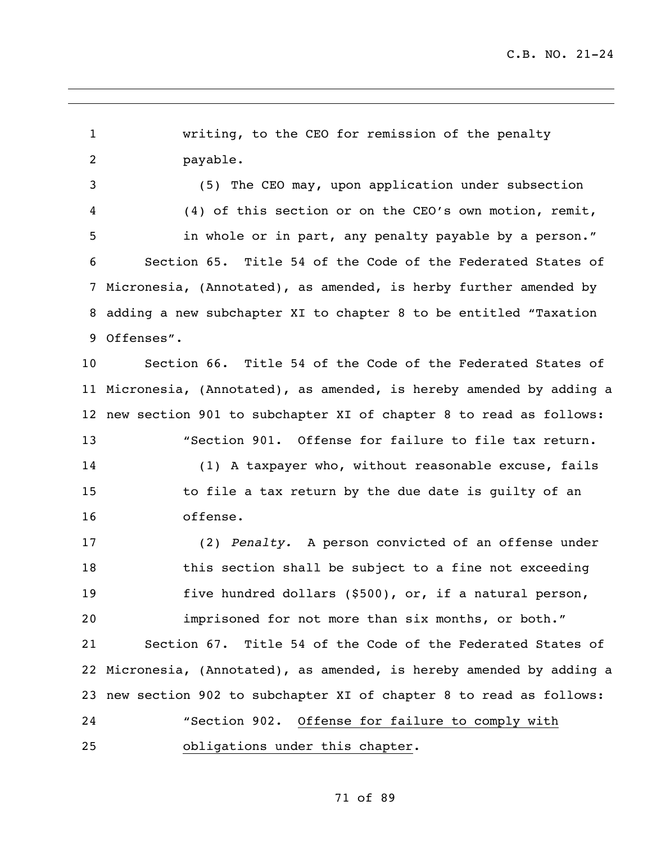writing, to the CEO for remission of the penalty payable. (5) The CEO may, upon application under subsection (4) of this section or on the CEO's own motion, remit, in whole or in part, any penalty payable by a person." Section 65. Title 54 of the Code of the Federated States of Micronesia, (Annotated), as amended, is herby further amended by adding a new subchapter XI to chapter 8 to be entitled "Taxation Offenses". Section 66. Title 54 of the Code of the Federated States of Micronesia, (Annotated), as amended, is hereby amended by adding a new section 901 to subchapter XI of chapter 8 to read as follows: "Section 901. Offense for failure to file tax return. (1) A taxpayer who, without reasonable excuse, fails to file a tax return by the due date is guilty of an offense. (2) *Penalty.* A person convicted of an offense under this section shall be subject to a fine not exceeding five hundred dollars (\$500), or, if a natural person, imprisoned for not more than six months, or both." Section 67. Title 54 of the Code of the Federated States of Micronesia, (Annotated), as amended, is hereby amended by adding a new section 902 to subchapter XI of chapter 8 to read as follows: "Section 902. Offense for failure to comply with obligations under this chapter.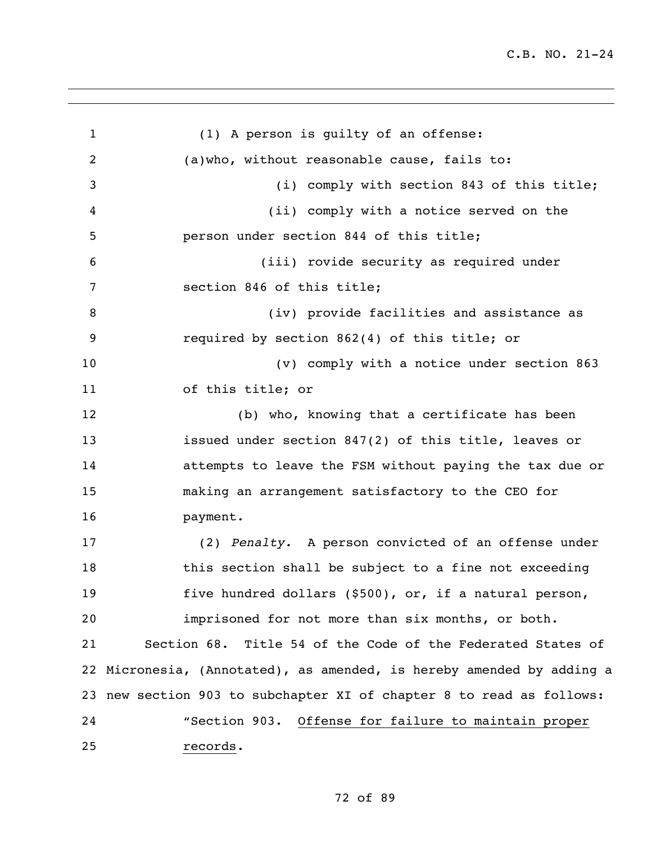(1) A person is guilty of an offense: (a)who, without reasonable cause, fails to: (i) comply with section 843 of this title; (ii) comply with a notice served on the person under section 844 of this title; (iii) rovide security as required under section 846 of this title; 8 (iv) provide facilities and assistance as required by section 862(4) of this title; or (v) comply with a notice under section 863 of this title; or (b) who, knowing that a certificate has been issued under section 847(2) of this title, leaves or attempts to leave the FSM without paying the tax due or making an arrangement satisfactory to the CEO for payment. (2) *Penalty.* A person convicted of an offense under this section shall be subject to a fine not exceeding five hundred dollars (\$500), or, if a natural person, imprisoned for not more than six months, or both. Section 68. Title 54 of the Code of the Federated States of Micronesia, (Annotated), as amended, is hereby amended by adding a new section 903 to subchapter XI of chapter 8 to read as follows: "Section 903. Offense for failure to maintain proper records.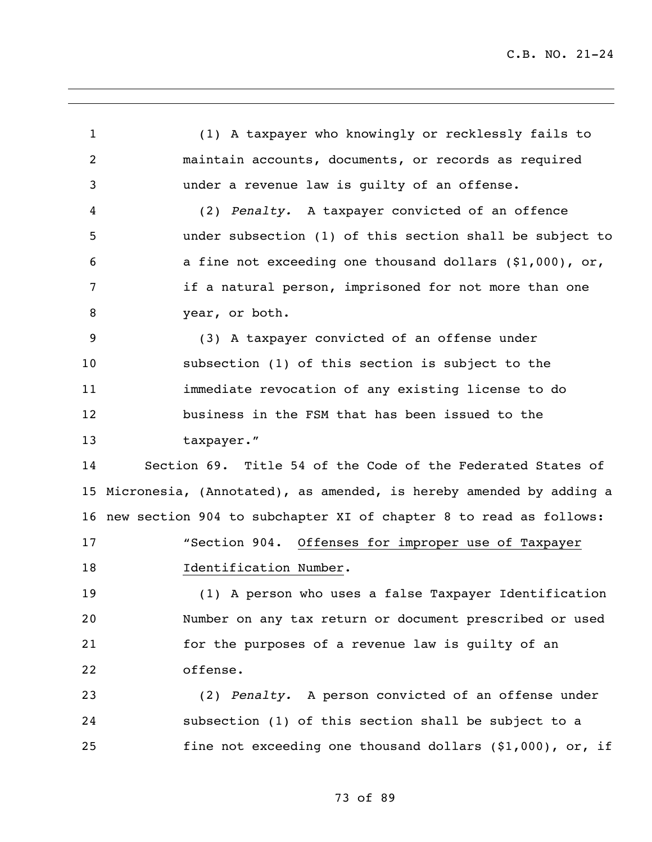(1) A taxpayer who knowingly or recklessly fails to maintain accounts, documents, or records as required under a revenue law is guilty of an offense. (2) *Penalty.* A taxpayer convicted of an offence under subsection (1) of this section shall be subject to a fine not exceeding one thousand dollars (\$1,000), or, if a natural person, imprisoned for not more than one year, or both. (3) A taxpayer convicted of an offense under subsection (1) of this section is subject to the immediate revocation of any existing license to do business in the FSM that has been issued to the 13 taxpayer." Section 69. Title 54 of the Code of the Federated States of Micronesia, (Annotated), as amended, is hereby amended by adding a new section 904 to subchapter XI of chapter 8 to read as follows: "Section 904. Offenses for improper use of Taxpayer **Identification Number.**  (1) A person who uses a false Taxpayer Identification Number on any tax return or document prescribed or used for the purposes of a revenue law is guilty of an offense. (2) *Penalty.* A person convicted of an offense under subsection (1) of this section shall be subject to a fine not exceeding one thousand dollars (\$1,000), or, if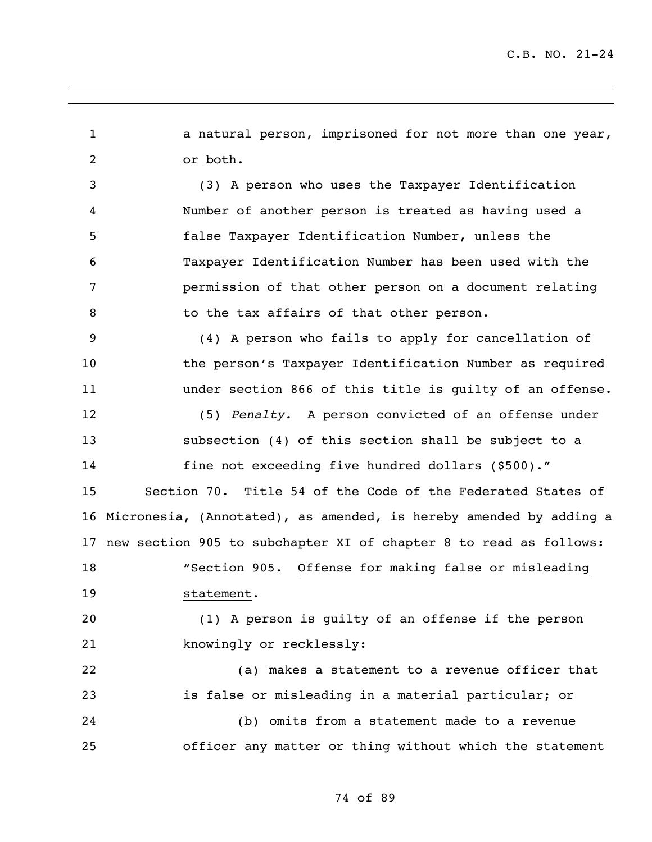1 a natural person, imprisoned for not more than one year, or both.

 (3) A person who uses the Taxpayer Identification Number of another person is treated as having used a false Taxpayer Identification Number, unless the Taxpayer Identification Number has been used with the permission of that other person on a document relating 8 to the tax affairs of that other person.

 (4) A person who fails to apply for cancellation of the person's Taxpayer Identification Number as required under section 866 of this title is guilty of an offense.

 (5) *Penalty.* A person convicted of an offense under subsection (4) of this section shall be subject to a fine not exceeding five hundred dollars (\$500)."

 Section 70. Title 54 of the Code of the Federated States of Micronesia, (Annotated), as amended, is hereby amended by adding a new section 905 to subchapter XI of chapter 8 to read as follows:

 "Section 905. Offense for making false or misleading statement.

 (1) A person is guilty of an offense if the person knowingly or recklessly:

 (a) makes a statement to a revenue officer that is false or misleading in a material particular; or

 (b) omits from a statement made to a revenue officer any matter or thing without which the statement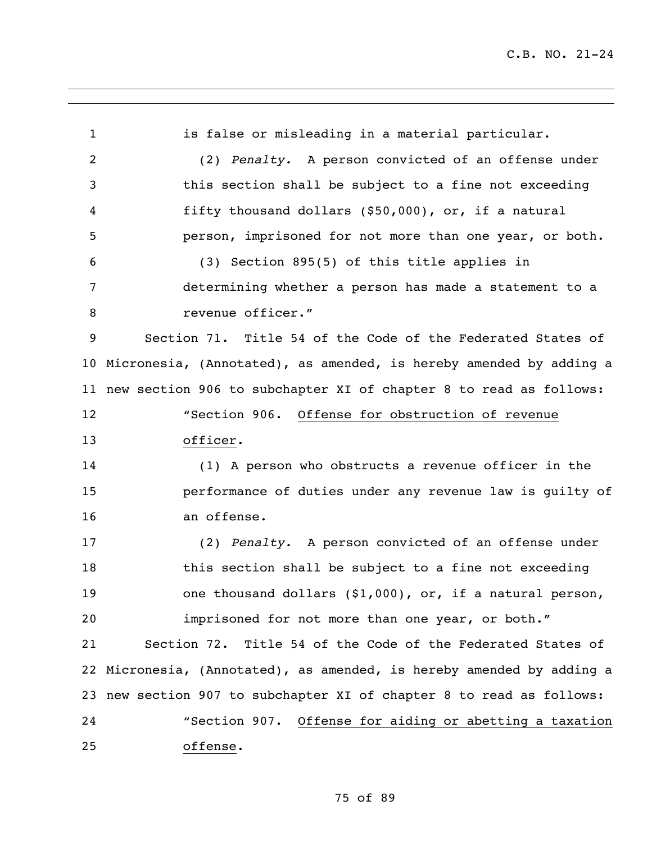1 is false or misleading in a material particular. (2) *Penalty.* A person convicted of an offense under this section shall be subject to a fine not exceeding fifty thousand dollars (\$50,000), or, if a natural person, imprisoned for not more than one year, or both. (3) Section 895(5) of this title applies in determining whether a person has made a statement to a revenue officer." Section 71. Title 54 of the Code of the Federated States of Micronesia, (Annotated), as amended, is hereby amended by adding a new section 906 to subchapter XI of chapter 8 to read as follows: "Section 906. Offense for obstruction of revenue officer. (1) A person who obstructs a revenue officer in the performance of duties under any revenue law is guilty of an offense. (2) *Penalty.* A person convicted of an offense under this section shall be subject to a fine not exceeding one thousand dollars (\$1,000), or, if a natural person, imprisoned for not more than one year, or both." Section 72. Title 54 of the Code of the Federated States of Micronesia, (Annotated), as amended, is hereby amended by adding a new section 907 to subchapter XI of chapter 8 to read as follows: "Section 907. Offense for aiding or abetting a taxation offense.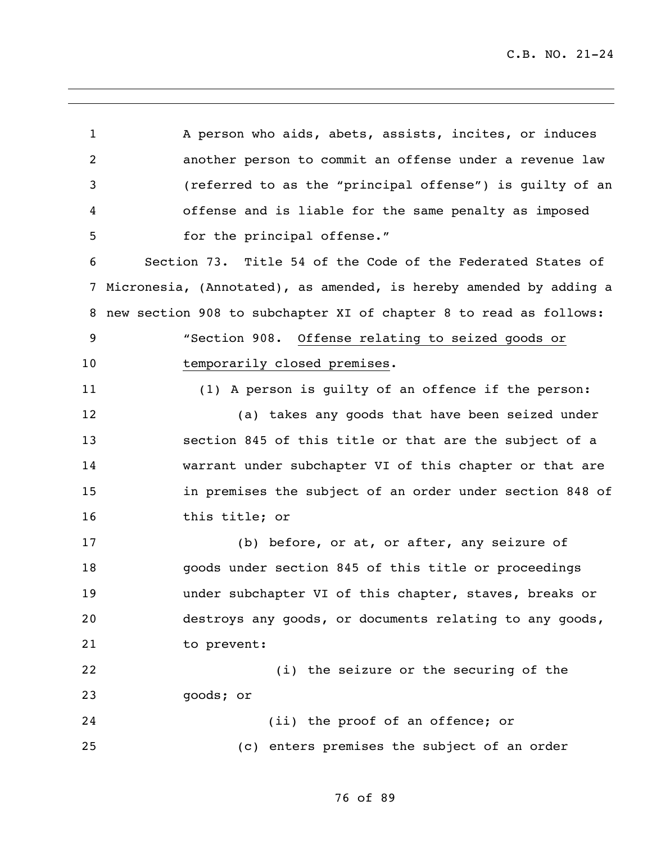1 A person who aids, abets, assists, incites, or induces another person to commit an offense under a revenue law (referred to as the "principal offense") is guilty of an offense and is liable for the same penalty as imposed 5 for the principal offense." Section 73. Title 54 of the Code of the Federated States of Micronesia, (Annotated), as amended, is hereby amended by adding a new section 908 to subchapter XI of chapter 8 to read as follows: "Section 908. Offense relating to seized goods or 10 temporarily closed premises. (1) A person is guilty of an offence if the person: (a) takes any goods that have been seized under section 845 of this title or that are the subject of a warrant under subchapter VI of this chapter or that are in premises the subject of an order under section 848 of this title; or (b) before, or at, or after, any seizure of goods under section 845 of this title or proceedings under subchapter VI of this chapter, staves, breaks or destroys any goods, or documents relating to any goods, to prevent: (i) the seizure or the securing of the goods; or (ii) the proof of an offence; or (c) enters premises the subject of an order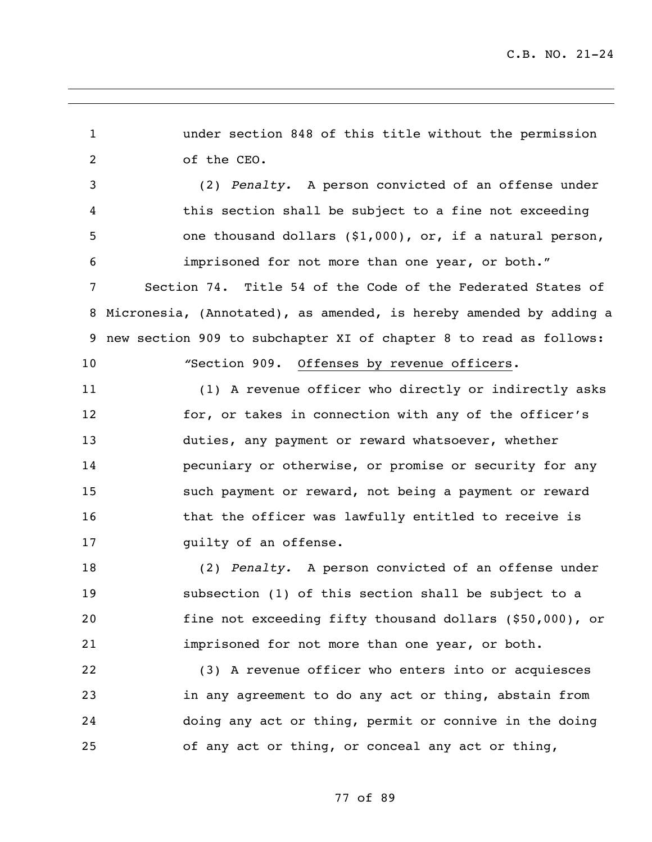under section 848 of this title without the permission of the CEO. (2) *Penalty.* A person convicted of an offense under this section shall be subject to a fine not exceeding one thousand dollars (\$1,000), or, if a natural person, imprisoned for not more than one year, or both." Section 74. Title 54 of the Code of the Federated States of Micronesia, (Annotated), as amended, is hereby amended by adding a new section 909 to subchapter XI of chapter 8 to read as follows: *"*Section 909. Offenses by revenue officers. (1) A revenue officer who directly or indirectly asks for, or takes in connection with any of the officer's duties, any payment or reward whatsoever, whether pecuniary or otherwise, or promise or security for any such payment or reward, not being a payment or reward **that the officer was lawfully entitled to receive is guilty of an offense.**  (2) *Penalty.* A person convicted of an offense under subsection (1) of this section shall be subject to a fine not exceeding fifty thousand dollars (\$50,000), or imprisoned for not more than one year, or both. (3) A revenue officer who enters into or acquiesces in any agreement to do any act or thing, abstain from doing any act or thing, permit or connive in the doing

of any act or thing, or conceal any act or thing,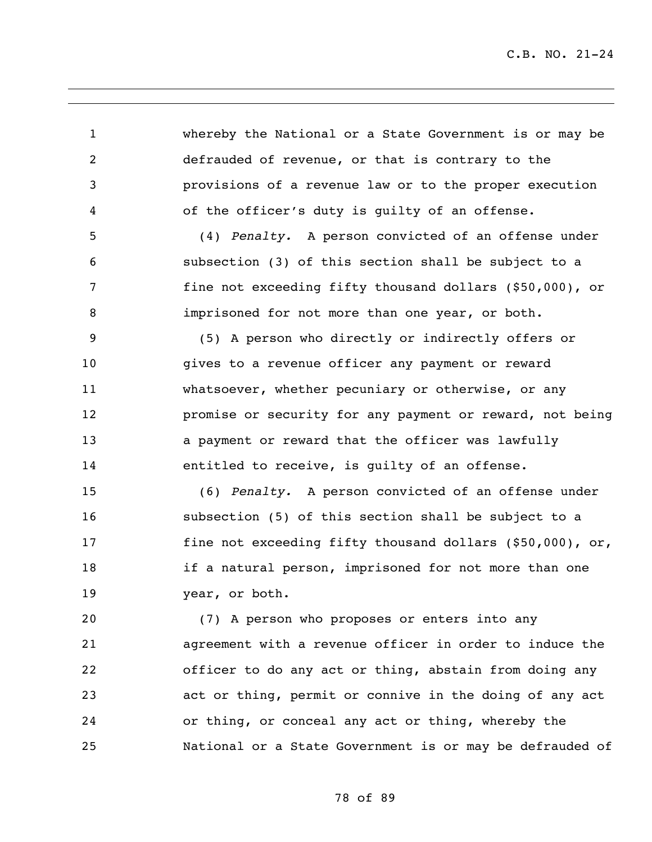whereby the National or a State Government is or may be defrauded of revenue, or that is contrary to the provisions of a revenue law or to the proper execution of the officer's duty is guilty of an offense. (4) *Penalty.* A person convicted of an offense under subsection (3) of this section shall be subject to a fine not exceeding fifty thousand dollars (\$50,000), or imprisoned for not more than one year, or both. (5) A person who directly or indirectly offers or gives to a revenue officer any payment or reward whatsoever, whether pecuniary or otherwise, or any promise or security for any payment or reward, not being **13** a payment or reward that the officer was lawfully entitled to receive, is guilty of an offense. (6) *Penalty.* A person convicted of an offense under subsection (5) of this section shall be subject to a fine not exceeding fifty thousand dollars (\$50,000), or,

 if a natural person, imprisoned for not more than one year, or both.

 (7) A person who proposes or enters into any agreement with a revenue officer in order to induce the officer to do any act or thing, abstain from doing any act or thing, permit or connive in the doing of any act or thing, or conceal any act or thing, whereby the National or a State Government is or may be defrauded of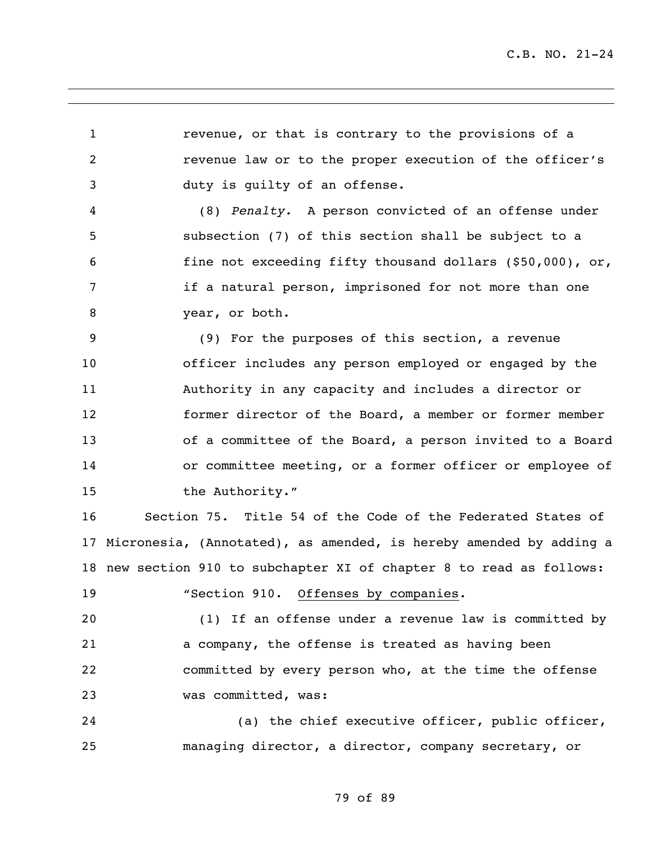revenue, or that is contrary to the provisions of a revenue law or to the proper execution of the officer's duty is guilty of an offense.

 (8) *Penalty.* A person convicted of an offense under subsection (7) of this section shall be subject to a fine not exceeding fifty thousand dollars (\$50,000), or, if a natural person, imprisoned for not more than one year, or both.

 (9) For the purposes of this section, a revenue officer includes any person employed or engaged by the Authority in any capacity and includes a director or former director of the Board, a member or former member of a committee of the Board, a person invited to a Board or committee meeting, or a former officer or employee of 15 the Authority."

 Section 75. Title 54 of the Code of the Federated States of Micronesia, (Annotated), as amended, is hereby amended by adding a new section 910 to subchapter XI of chapter 8 to read as follows:

"Section 910. Offenses by companies.

 (1) If an offense under a revenue law is committed by a company, the offense is treated as having been committed by every person who, at the time the offense was committed, was:

 (a) the chief executive officer, public officer, managing director, a director, company secretary, or

## 79 of 89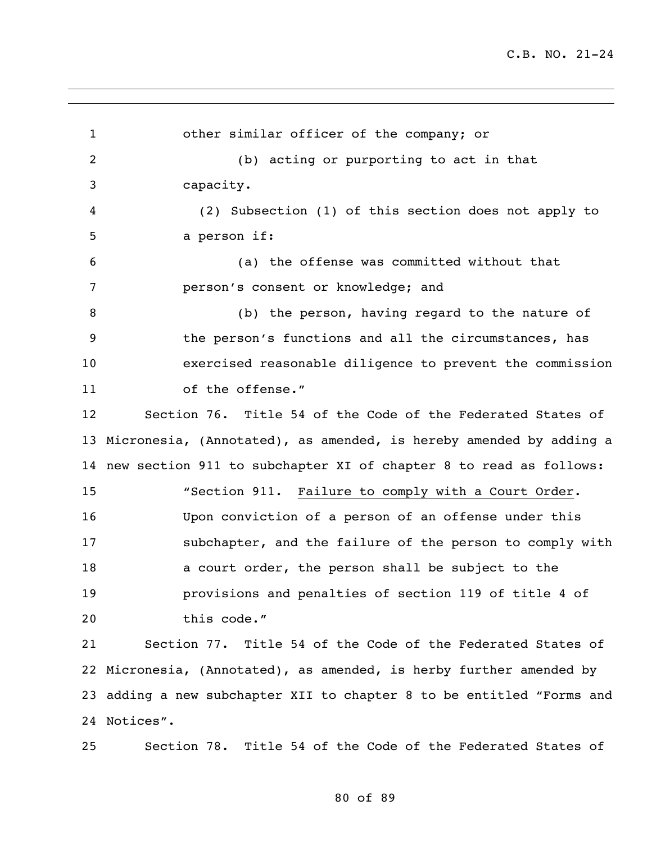other similar officer of the company; or (b) acting or purporting to act in that capacity. (2) Subsection (1) of this section does not apply to a person if: (a) the offense was committed without that person's consent or knowledge; and (b) the person, having regard to the nature of the person's functions and all the circumstances, has exercised reasonable diligence to prevent the commission 11 of the offense." Section 76. Title 54 of the Code of the Federated States of Micronesia, (Annotated), as amended, is hereby amended by adding a new section 911 to subchapter XI of chapter 8 to read as follows: "Section 911. Failure to comply with a Court Order. Upon conviction of a person of an offense under this subchapter, and the failure of the person to comply with a court order, the person shall be subject to the provisions and penalties of section 119 of title 4 of this code." Section 77. Title 54 of the Code of the Federated States of Micronesia, (Annotated), as amended, is herby further amended by adding a new subchapter XII to chapter 8 to be entitled "Forms and Notices". Section 78. Title 54 of the Code of the Federated States of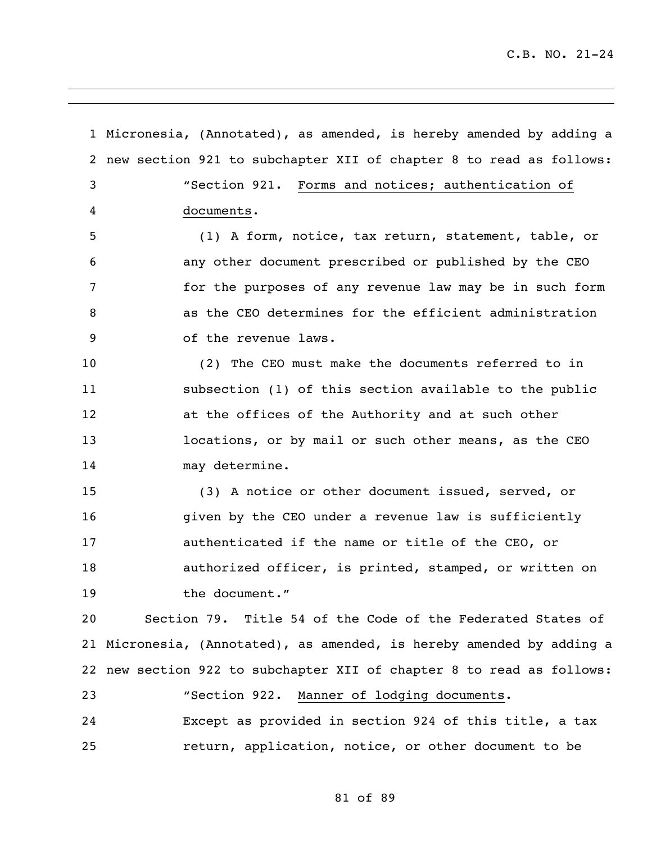Micronesia, (Annotated), as amended, is hereby amended by adding a new section 921 to subchapter XII of chapter 8 to read as follows: "Section 921. Forms and notices; authentication of documents. (1) A form, notice, tax return, statement, table, or any other document prescribed or published by the CEO for the purposes of any revenue law may be in such form as the CEO determines for the efficient administration of the revenue laws. (2) The CEO must make the documents referred to in subsection (1) of this section available to the public at the offices of the Authority and at such other locations, or by mail or such other means, as the CEO may determine. (3) A notice or other document issued, served, or given by the CEO under a revenue law is sufficiently authenticated if the name or title of the CEO, or authorized officer, is printed, stamped, or written on the document." Section 79. Title 54 of the Code of the Federated States of Micronesia, (Annotated), as amended, is hereby amended by adding a new section 922 to subchapter XII of chapter 8 to read as follows: "Section 922. Manner of lodging documents. Except as provided in section 924 of this title, a tax return, application, notice, or other document to be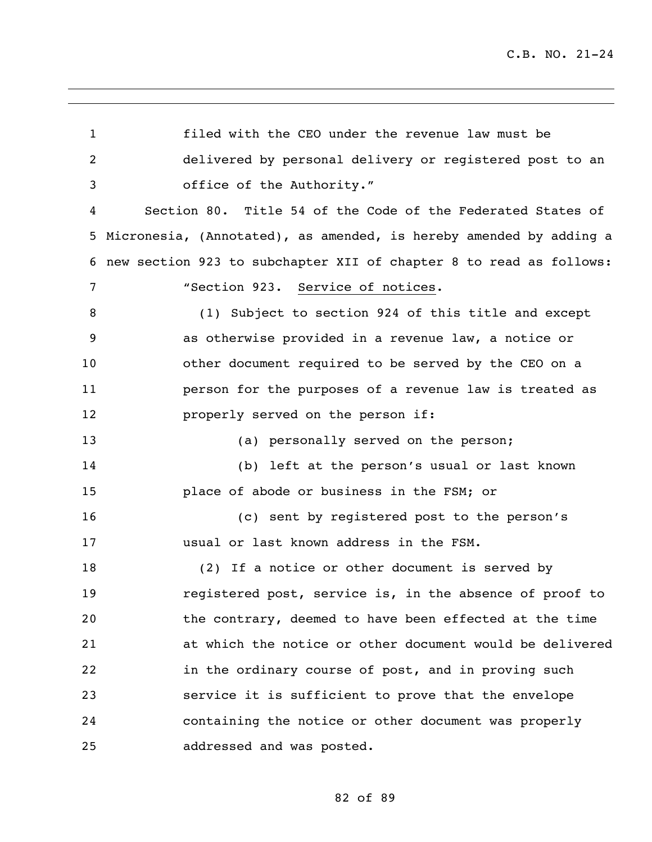filed with the CEO under the revenue law must be delivered by personal delivery or registered post to an office of the Authority." Section 80. Title 54 of the Code of the Federated States of Micronesia, (Annotated), as amended, is hereby amended by adding a new section 923 to subchapter XII of chapter 8 to read as follows: "Section 923. Service of notices. (1) Subject to section 924 of this title and except as otherwise provided in a revenue law, a notice or other document required to be served by the CEO on a person for the purposes of a revenue law is treated as **properly served on the person if:** 13 (a) personally served on the person; (b) left at the person's usual or last known place of abode or business in the FSM; or (c) sent by registered post to the person's usual or last known address in the FSM. (2) If a notice or other document is served by registered post, service is, in the absence of proof to the contrary, deemed to have been effected at the time at which the notice or other document would be delivered in the ordinary course of post, and in proving such service it is sufficient to prove that the envelope containing the notice or other document was properly addressed and was posted.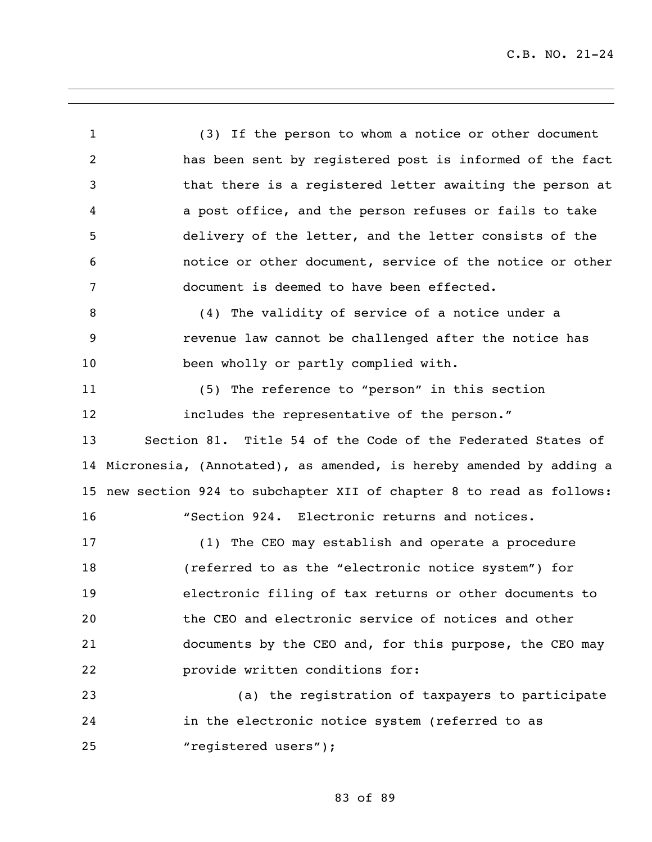(3) If the person to whom a notice or other document has been sent by registered post is informed of the fact that there is a registered letter awaiting the person at a post office, and the person refuses or fails to take delivery of the letter, and the letter consists of the notice or other document, service of the notice or other document is deemed to have been effected. (4) The validity of service of a notice under a revenue law cannot be challenged after the notice has been wholly or partly complied with. (5) The reference to "person" in this section includes the representative of the person." Section 81. Title 54 of the Code of the Federated States of Micronesia, (Annotated), as amended, is hereby amended by adding a new section 924 to subchapter XII of chapter 8 to read as follows: "Section 924. Electronic returns and notices. (1) The CEO may establish and operate a procedure (referred to as the "electronic notice system") for electronic filing of tax returns or other documents to the CEO and electronic service of notices and other documents by the CEO and, for this purpose, the CEO may provide written conditions for: (a) the registration of taxpayers to participate in the electronic notice system (referred to as 25 "registered users");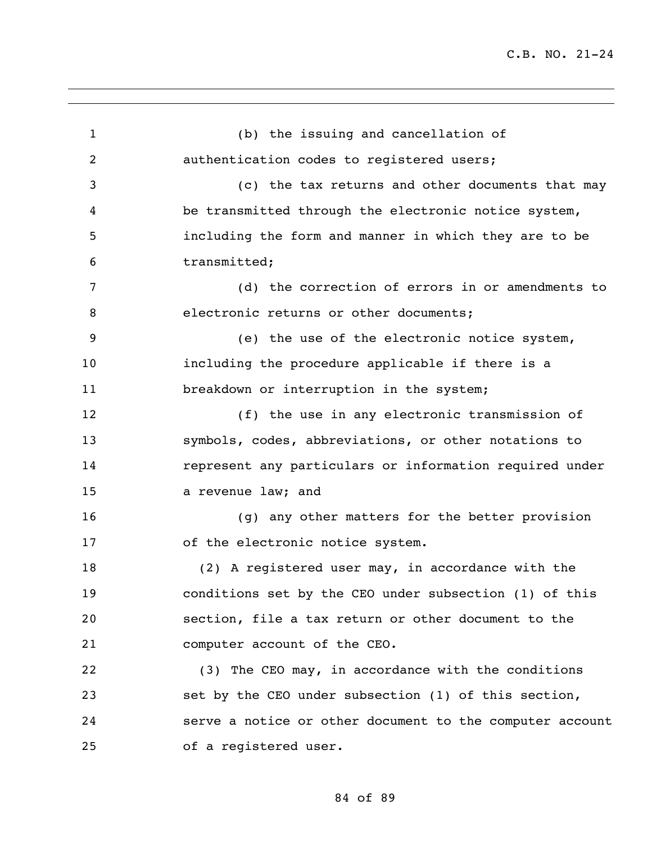| $\mathbf{1}$   | (b) the issuing and cancellation of                      |
|----------------|----------------------------------------------------------|
| $\overline{2}$ | authentication codes to registered users;                |
| 3              | (c) the tax returns and other documents that may         |
| 4              | be transmitted through the electronic notice system,     |
| 5              | including the form and manner in which they are to be    |
| 6              | transmitted;                                             |
| 7              | (d) the correction of errors in or amendments to         |
| 8              | electronic returns or other documents;                   |
| 9              | (e) the use of the electronic notice system,             |
| 10             | including the procedure applicable if there is a         |
| 11             | breakdown or interruption in the system;                 |
| 12             | (f) the use in any electronic transmission of            |
| 13             | symbols, codes, abbreviations, or other notations to     |
| 14             | represent any particulars or information required under  |
| 15             | a revenue law; and                                       |
| 16             | (g) any other matters for the better provision           |
| 17             | of the electronic notice system.                         |
| 18             | (2) A registered user may, in accordance with the        |
| 19             | conditions set by the CEO under subsection (1) of this   |
| 20             | section, file a tax return or other document to the      |
| 21             | computer account of the CEO.                             |
| 22             | (3) The CEO may, in accordance with the conditions       |
| 23             | set by the CEO under subsection (1) of this section,     |
| 24             | serve a notice or other document to the computer account |
| 25             | of a registered user.                                    |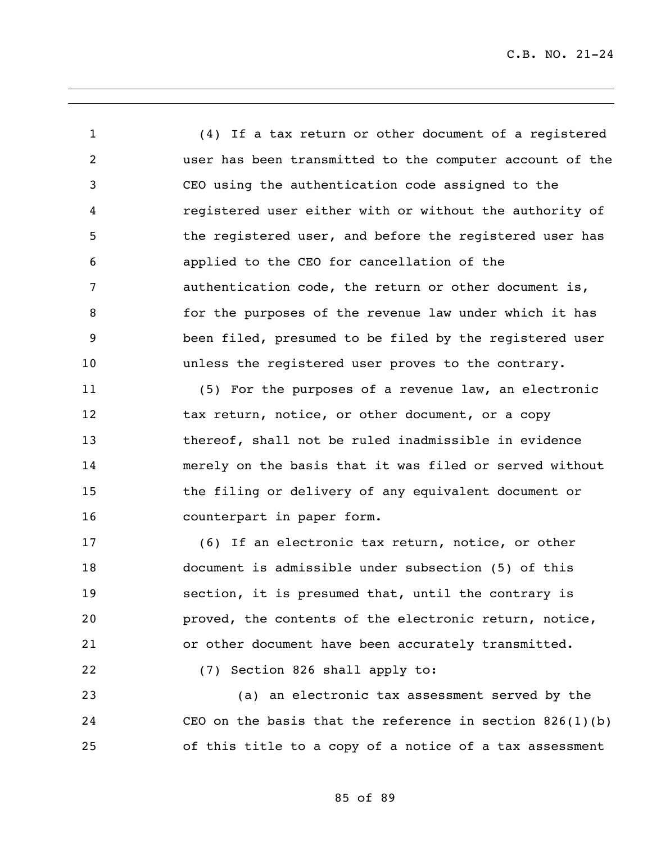(4) If a tax return or other document of a registered user has been transmitted to the computer account of the CEO using the authentication code assigned to the registered user either with or without the authority of 5 the registered user, and before the registered user has applied to the CEO for cancellation of the authentication code, the return or other document is, for the purposes of the revenue law under which it has been filed, presumed to be filed by the registered user unless the registered user proves to the contrary.

 (5) For the purposes of a revenue law, an electronic 12 tax return, notice, or other document, or a copy thereof, shall not be ruled inadmissible in evidence merely on the basis that it was filed or served without the filing or delivery of any equivalent document or counterpart in paper form.

 (6) If an electronic tax return, notice, or other document is admissible under subsection (5) of this section, it is presumed that, until the contrary is proved, the contents of the electronic return, notice, or other document have been accurately transmitted.

(7) Section 826 shall apply to:

 (a) an electronic tax assessment served by the CEO on the basis that the reference in section 826(1)(b) of this title to a copy of a notice of a tax assessment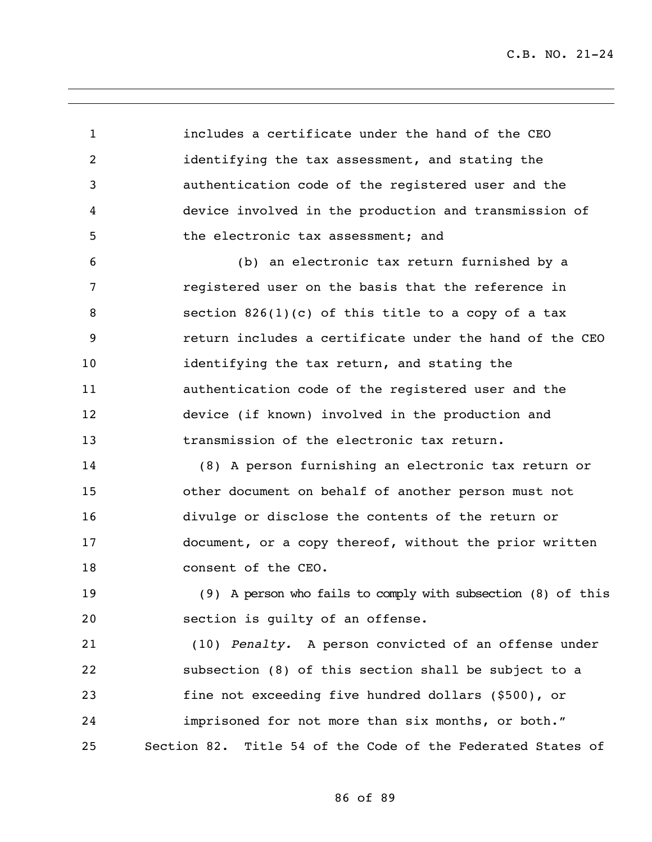includes a certificate under the hand of the CEO identifying the tax assessment, and stating the authentication code of the registered user and the device involved in the production and transmission of the electronic tax assessment; and (b) an electronic tax return furnished by a registered user on the basis that the reference in section 826(1)(c) of this title to a copy of a tax return includes a certificate under the hand of the CEO identifying the tax return, and stating the authentication code of the registered user and the device (if known) involved in the production and transmission of the electronic tax return. (8) A person furnishing an electronic tax return or other document on behalf of another person must not divulge or disclose the contents of the return or document, or a copy thereof, without the prior written 18 consent of the CEO. (9) A person who fails to comply with subsection (8) of this section is guilty of an offense. (10) *Penalty.* A person convicted of an offense under subsection (8) of this section shall be subject to a fine not exceeding five hundred dollars (\$500), or imprisoned for not more than six months, or both." Section 82. Title 54 of the Code of the Federated States of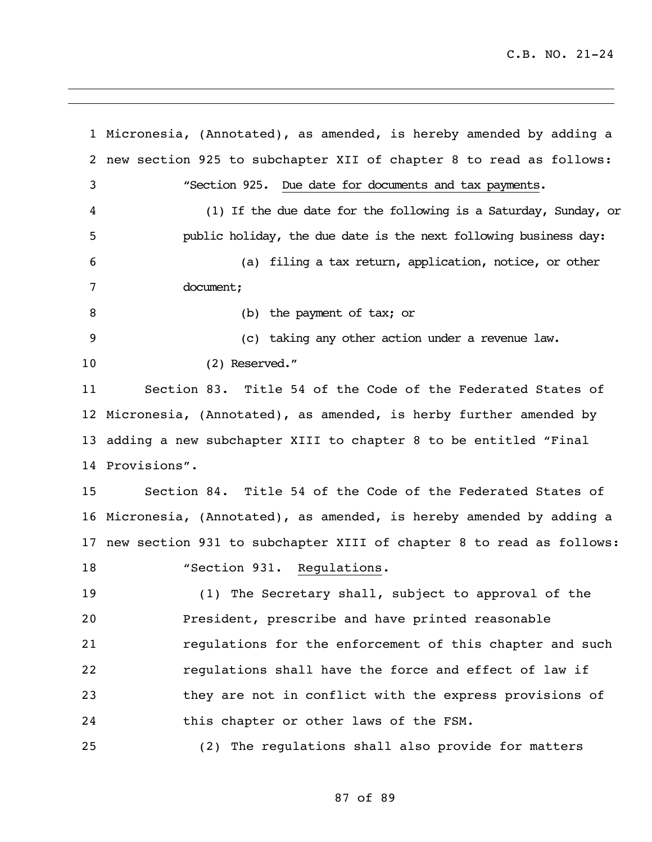Micronesia, (Annotated), as amended, is hereby amended by adding a new section 925 to subchapter XII of chapter 8 to read as follows: "Section 925. Due date for documents and tax payments. (1) If the due date for the following is a Saturday, Sunday, or public holiday, the due date is the next following business day: (a) filing a tax return, application, notice, or other document; (b) the payment of tax; or (c) taking any other action under a revenue law. (2) Reserved." Section 83. Title 54 of the Code of the Federated States of Micronesia, (Annotated), as amended, is herby further amended by adding a new subchapter XIII to chapter 8 to be entitled "Final Provisions". Section 84. Title 54 of the Code of the Federated States of Micronesia, (Annotated), as amended, is hereby amended by adding a new section 931 to subchapter XIII of chapter 8 to read as follows: 18 "Section 931. Regulations. (1) The Secretary shall, subject to approval of the President, prescribe and have printed reasonable regulations for the enforcement of this chapter and such regulations shall have the force and effect of law if they are not in conflict with the express provisions of this chapter or other laws of the FSM. (2) The regulations shall also provide for matters

## 87 of 89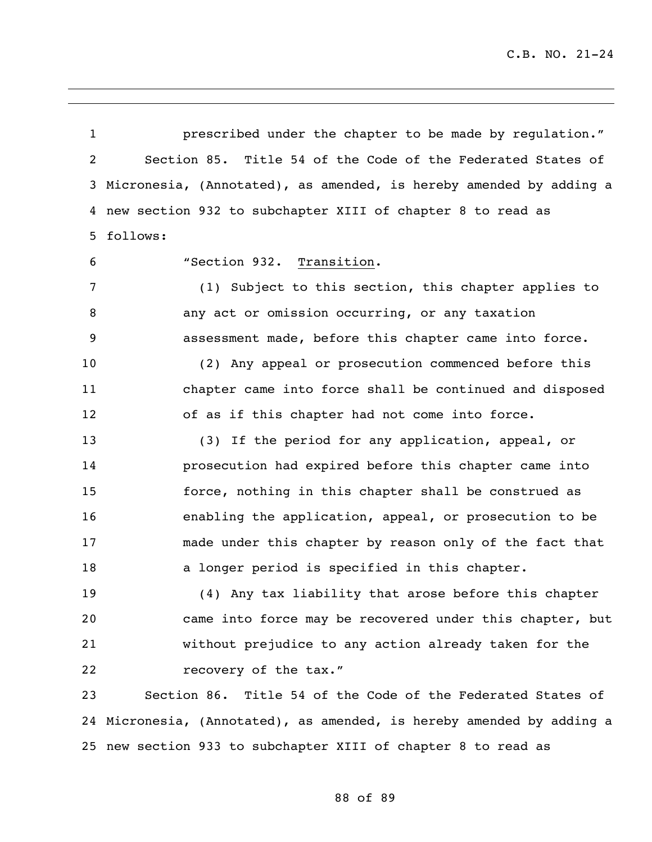prescribed under the chapter to be made by regulation." Section 85. Title 54 of the Code of the Federated States of Micronesia, (Annotated), as amended, is hereby amended by adding a new section 932 to subchapter XIII of chapter 8 to read as follows:

"Section 932. Transition.

 (1) Subject to this section, this chapter applies to any act or omission occurring, or any taxation assessment made, before this chapter came into force.

 (2) Any appeal or prosecution commenced before this chapter came into force shall be continued and disposed of as if this chapter had not come into force.

 (3) If the period for any application, appeal, or prosecution had expired before this chapter came into force, nothing in this chapter shall be construed as enabling the application, appeal, or prosecution to be made under this chapter by reason only of the fact that 18 a longer period is specified in this chapter.

 (4) Any tax liability that arose before this chapter came into force may be recovered under this chapter, but without prejudice to any action already taken for the **recovery of the tax."** 

 Section 86. Title 54 of the Code of the Federated States of Micronesia, (Annotated), as amended, is hereby amended by adding a new section 933 to subchapter XIII of chapter 8 to read as